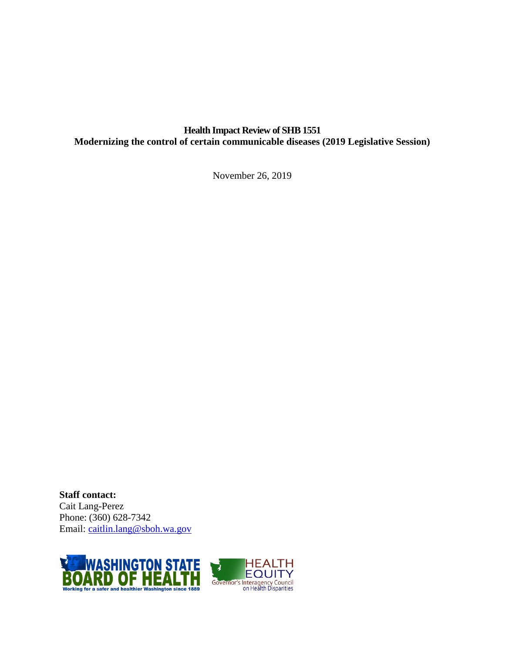## **Health Impact Review of SHB 1551 Modernizing the control of certain communicable diseases (2019 Legislative Session)**

November 26, 2019

**Staff contact:** Cait Lang-Perez Phone: (360) 628-7342 Email: [caitlin.lang@sboh.wa.gov](mailto:caitlin.lang@sboh.wa.gov)

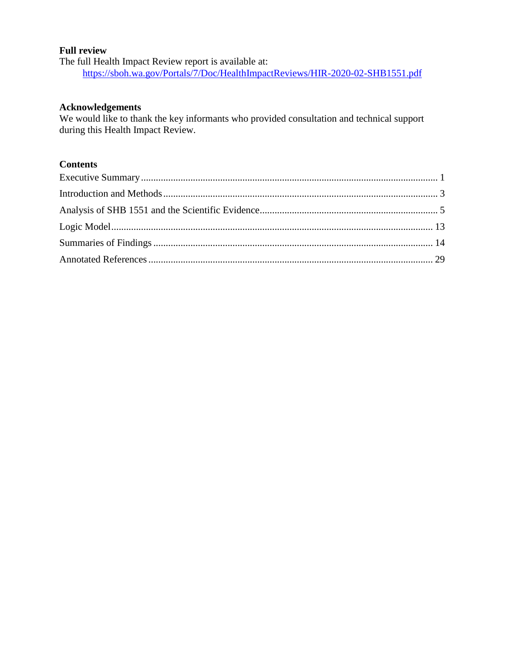### **Full review**

The full Health Impact Review report is available at: <https://sboh.wa.gov/Portals/7/Doc/HealthImpactReviews/HIR-2020-02-SHB1551.pdf>

### **Acknowledgements**

We would like to thank the key informants who provided consultation and technical support during this Health Impact Review.

# **Contents**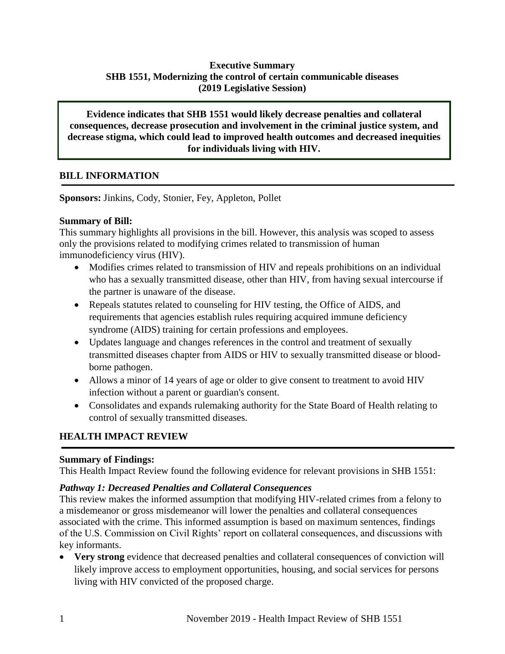# **Executive Summary SHB 1551, Modernizing the control of certain communicable diseases (2019 Legislative Session)**

**Evidence indicates that SHB 1551 would likely decrease penalties and collateral consequences, decrease prosecution and involvement in the criminal justice system, and decrease stigma, which could lead to improved health outcomes and decreased inequities for individuals living with HIV.**

# **BILL INFORMATION**

**Sponsors:** Jinkins, Cody, Stonier, Fey, Appleton, Pollet

## **Summary of Bill:**

This summary highlights all provisions in the bill. However, this analysis was scoped to assess only the provisions related to modifying crimes related to transmission of human immunodeficiency virus (HIV).

- Modifies crimes related to transmission of HIV and repeals prohibitions on an individual who has a sexually transmitted disease, other than HIV, from having sexual intercourse if the partner is unaware of the disease.
- Repeals statutes related to counseling for HIV testing, the Office of AIDS, and requirements that agencies establish rules requiring acquired immune deficiency syndrome (AIDS) training for certain professions and employees.
- Updates language and changes references in the control and treatment of sexually transmitted diseases chapter from AIDS or HIV to sexually transmitted disease or bloodborne pathogen.
- Allows a minor of 14 years of age or older to give consent to treatment to avoid HIV infection without a parent or guardian's consent.
- Consolidates and expands rulemaking authority for the State Board of Health relating to control of sexually transmitted diseases.

# **HEALTH IMPACT REVIEW**

## **Summary of Findings:**

This Health Impact Review found the following evidence for relevant provisions in SHB 1551:

## *Pathway 1: Decreased Penalties and Collateral Consequences*

This review makes the informed assumption that modifying HIV-related crimes from a felony to a misdemeanor or gross misdemeanor will lower the penalties and collateral consequences associated with the crime. This informed assumption is based on maximum sentences, findings of the U.S. Commission on Civil Rights' report on collateral consequences, and discussions with key informants.

 **Very strong** evidence that decreased penalties and collateral consequences of conviction will likely improve access to employment opportunities, housing, and social services for persons living with HIV convicted of the proposed charge.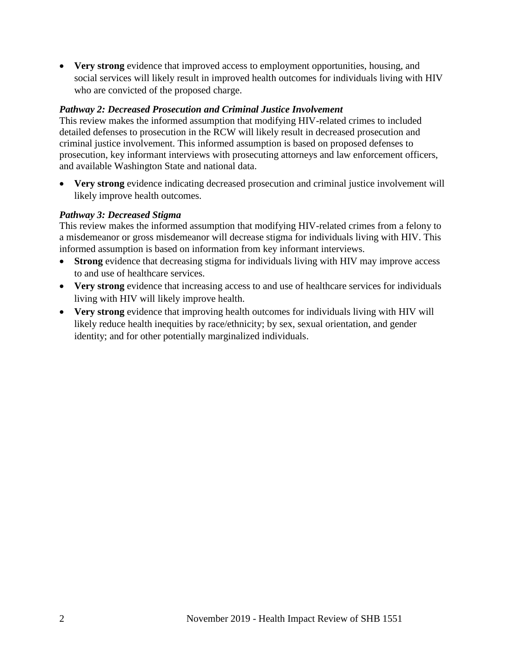**Very strong** evidence that improved access to employment opportunities, housing, and social services will likely result in improved health outcomes for individuals living with HIV who are convicted of the proposed charge.

## *Pathway 2: Decreased Prosecution and Criminal Justice Involvement*

This review makes the informed assumption that modifying HIV-related crimes to included detailed defenses to prosecution in the RCW will likely result in decreased prosecution and criminal justice involvement. This informed assumption is based on proposed defenses to prosecution, key informant interviews with prosecuting attorneys and law enforcement officers, and available Washington State and national data.

 **Very strong** evidence indicating decreased prosecution and criminal justice involvement will likely improve health outcomes.

# *Pathway 3: Decreased Stigma*

This review makes the informed assumption that modifying HIV-related crimes from a felony to a misdemeanor or gross misdemeanor will decrease stigma for individuals living with HIV. This informed assumption is based on information from key informant interviews.

- **Strong** evidence that decreasing stigma for individuals living with HIV may improve access to and use of healthcare services.
- Very strong evidence that increasing access to and use of healthcare services for individuals living with HIV will likely improve health.
- **Very strong** evidence that improving health outcomes for individuals living with HIV will likely reduce health inequities by race/ethnicity; by sex, sexual orientation, and gender identity; and for other potentially marginalized individuals.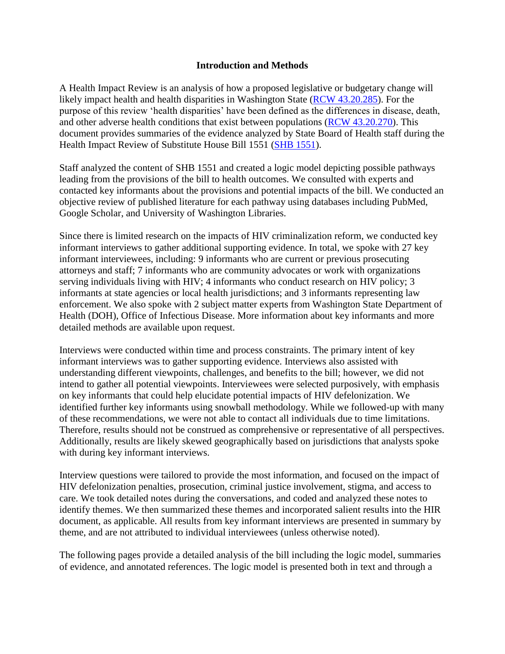### **Introduction and Methods**

<span id="page-4-0"></span>A Health Impact Review is an analysis of how a proposed legislative or budgetary change will likely impact health and health disparities in Washington State [\(RCW 43.20.285\)](http://apps.leg.wa.gov/rcw/default.aspx?cite=43.20.285). For the purpose of this review 'health disparities' have been defined as the differences in disease, death, and other adverse health conditions that exist between populations [\(RCW 43.20.270\)](http://apps.leg.wa.gov/rcw/default.aspx?cite=43.20.270). This document provides summaries of the evidence analyzed by State Board of Health staff during the Health Impact Review of Substitute House Bill 1551 [\(SHB 1551\)](https://app.leg.wa.gov/billsummary?BillNumber=1551&Year=2019&Initiative=false).

Staff analyzed the content of SHB 1551 and created a logic model depicting possible pathways leading from the provisions of the bill to health outcomes. We consulted with experts and contacted key informants about the provisions and potential impacts of the bill. We conducted an objective review of published literature for each pathway using databases including PubMed, Google Scholar, and University of Washington Libraries.

Since there is limited research on the impacts of HIV criminalization reform, we conducted key informant interviews to gather additional supporting evidence. In total, we spoke with 27 key informant interviewees, including: 9 informants who are current or previous prosecuting attorneys and staff; 7 informants who are community advocates or work with organizations serving individuals living with HIV; 4 informants who conduct research on HIV policy; 3 informants at state agencies or local health jurisdictions; and 3 informants representing law enforcement. We also spoke with 2 subject matter experts from Washington State Department of Health (DOH), Office of Infectious Disease. More information about key informants and more detailed methods are available upon request.

Interviews were conducted within time and process constraints. The primary intent of key informant interviews was to gather supporting evidence. Interviews also assisted with understanding different viewpoints, challenges, and benefits to the bill; however, we did not intend to gather all potential viewpoints. Interviewees were selected purposively, with emphasis on key informants that could help elucidate potential impacts of HIV defelonization. We identified further key informants using snowball methodology. While we followed-up with many of these recommendations, we were not able to contact all individuals due to time limitations. Therefore, results should not be construed as comprehensive or representative of all perspectives. Additionally, results are likely skewed geographically based on jurisdictions that analysts spoke with during key informant interviews.

Interview questions were tailored to provide the most information, and focused on the impact of HIV defelonization penalties, prosecution, criminal justice involvement, stigma, and access to care. We took detailed notes during the conversations, and coded and analyzed these notes to identify themes. We then summarized these themes and incorporated salient results into the HIR document, as applicable. All results from key informant interviews are presented in summary by theme, and are not attributed to individual interviewees (unless otherwise noted).

The following pages provide a detailed analysis of the bill including the logic model, summaries of evidence, and annotated references. The logic model is presented both in text and through a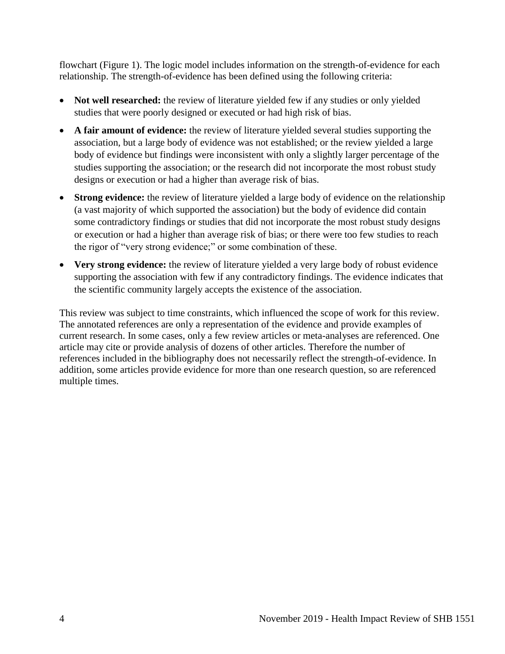flowchart (Figure 1). The logic model includes information on the strength-of-evidence for each relationship. The strength-of-evidence has been defined using the following criteria:

- Not well researched: the review of literature yielded few if any studies or only yielded studies that were poorly designed or executed or had high risk of bias.
- **A fair amount of evidence:** the review of literature yielded several studies supporting the association, but a large body of evidence was not established; or the review yielded a large body of evidence but findings were inconsistent with only a slightly larger percentage of the studies supporting the association; or the research did not incorporate the most robust study designs or execution or had a higher than average risk of bias.
- **Strong evidence:** the review of literature yielded a large body of evidence on the relationship (a vast majority of which supported the association) but the body of evidence did contain some contradictory findings or studies that did not incorporate the most robust study designs or execution or had a higher than average risk of bias; or there were too few studies to reach the rigor of "very strong evidence;" or some combination of these.
- **Very strong evidence:** the review of literature yielded a very large body of robust evidence supporting the association with few if any contradictory findings. The evidence indicates that the scientific community largely accepts the existence of the association.

<span id="page-5-0"></span>This review was subject to time constraints, which influenced the scope of work for this review. The annotated references are only a representation of the evidence and provide examples of current research. In some cases, only a few review articles or meta-analyses are referenced. One article may cite or provide analysis of dozens of other articles. Therefore the number of references included in the bibliography does not necessarily reflect the strength-of-evidence. In addition, some articles provide evidence for more than one research question, so are referenced multiple times.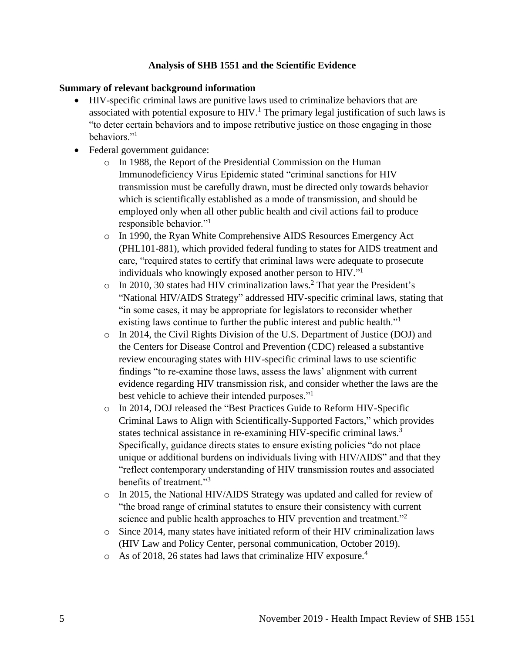## **Analysis of SHB 1551 and the Scientific Evidence**

### **Summary of relevant background information**

- HIV-specific criminal laws are punitive laws used to criminalize behaviors that are associated with potential exposure to  $HIV.<sup>1</sup>$  The primary legal justification of such laws is "to deter certain behaviors and to impose retributive justice on those engaging in those behaviors."<sup>1</sup>
- Federal government guidance:
	- o In 1988, the Report of the Presidential Commission on the Human Immunodeficiency Virus Epidemic stated "criminal sanctions for HIV transmission must be carefully drawn, must be directed only towards behavior which is scientifically established as a mode of transmission, and should be employed only when all other public health and civil actions fail to produce responsible behavior."<sup>1</sup>
	- o In 1990, the Ryan White Comprehensive AIDS Resources Emergency Act (PHL101-881), which provided federal funding to states for AIDS treatment and care, "required states to certify that criminal laws were adequate to prosecute individuals who knowingly exposed another person to HIV."<sup>1</sup>
	- $\circ$  In 2010, 30 states had HIV criminalization laws.<sup>2</sup> That year the President's "National HIV/AIDS Strategy" addressed HIV-specific criminal laws, stating that "in some cases, it may be appropriate for legislators to reconsider whether existing laws continue to further the public interest and public health."<sup>1</sup>
	- o In 2014, the Civil Rights Division of the U.S. Department of Justice (DOJ) and the Centers for Disease Control and Prevention (CDC) released a substantive review encouraging states with HIV-specific criminal laws to use scientific findings "to re-examine those laws, assess the laws' alignment with current evidence regarding HIV transmission risk, and consider whether the laws are the best vehicle to achieve their intended purposes."<sup>1</sup>
	- o In 2014, DOJ released the "Best Practices Guide to Reform HIV-Specific Criminal Laws to Align with Scientifically-Supported Factors," which provides states technical assistance in re-examining HIV-specific criminal laws.<sup>3</sup> Specifically, guidance directs states to ensure existing policies "do not place unique or additional burdens on individuals living with HIV/AIDS" and that they "reflect contemporary understanding of HIV transmission routes and associated benefits of treatment."<sup>3</sup>
	- o In 2015, the National HIV/AIDS Strategy was updated and called for review of "the broad range of criminal statutes to ensure their consistency with current science and public health approaches to HIV prevention and treatment."<sup>2</sup>
	- o Since 2014, many states have initiated reform of their HIV criminalization laws (HIV Law and Policy Center, personal communication, October 2019).
	- $\circ$  As of 2018, 26 states had laws that criminalize HIV exposure.<sup>4</sup>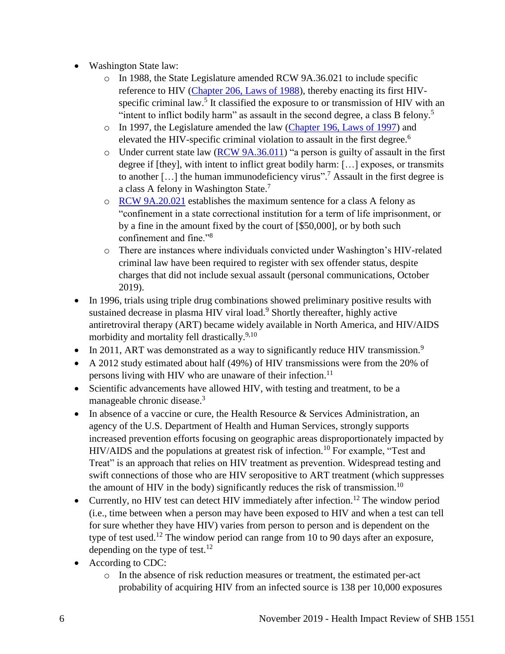- Washington State law:
	- o In 1988, the State Legislature amended RCW 9A.36.021 to include specific reference to HIV [\(Chapter 206, Laws of 1988\)](http://leg.wa.gov/CodeReviser/documents/sessionlaw/1988c206.pdf?cite=1988%20c%20206%20%C2%A7%20916;), thereby enacting its first HIVspecific criminal law.<sup>5</sup> It classified the exposure to or transmission of HIV with an "intent to inflict bodily harm" as assault in the second degree, a class B felony.<sup>5</sup>
	- o In 1997, the Legislature amended the law [\(Chapter 196, Laws of 1997\)](http://lawfilesext.leg.wa.gov/biennium/1997-98/Pdf/Bills/Session%20Laws/Senate/5044-S.SL.pdf?cite=1997%20c%20196%20%C2%A7%201;) and elevated the HIV-specific criminal violation to assault in the first degree.<sup>6</sup>
	- o Under current state law [\(RCW 9A.36.011\)](https://app.leg.wa.gov/rcw/default.aspx?cite=9A.36.011) "a person is guilty of assault in the first degree if [they], with intent to inflict great bodily harm: […] exposes, or transmits to another [ $\dots$ ] the human immunodeficiency virus".<sup>7</sup> Assault in the first degree is a class A felony in Washington State.<sup>7</sup>
	- o [RCW 9A.20.021](https://app.leg.wa.gov/RCW/default.aspx?cite=9a.20.021) establishes the maximum sentence for a class A felony as "confinement in a state correctional institution for a term of life imprisonment, or by a fine in the amount fixed by the court of [\$50,000], or by both such confinement and fine."<sup>8</sup>
	- o There are instances where individuals convicted under Washington's HIV-related criminal law have been required to register with sex offender status, despite charges that did not include sexual assault (personal communications, October 2019).
- In 1996, trials using triple drug combinations showed preliminary positive results with sustained decrease in plasma HIV viral load.<sup>9</sup> Shortly thereafter, highly active antiretroviral therapy (ART) became widely available in North America, and HIV/AIDS morbidity and mortality fell drastically.<sup>9,10</sup>
- In 2011, ART was demonstrated as a way to significantly reduce HIV transmission.<sup>9</sup>
- A 2012 study estimated about half (49%) of HIV transmissions were from the 20% of persons living with HIV who are unaware of their infection.<sup>11</sup>
- Scientific advancements have allowed HIV, with testing and treatment, to be a manageable chronic disease.<sup>3</sup>
- In absence of a vaccine or cure, the Health Resource  $\&$  Services Administration, an agency of the U.S. Department of Health and Human Services, strongly supports increased prevention efforts focusing on geographic areas disproportionately impacted by HIV/AIDS and the populations at greatest risk of infection.<sup>10</sup> For example, "Test and Treat" is an approach that relies on HIV treatment as prevention. Widespread testing and swift connections of those who are HIV seropositive to ART treatment (which suppresses the amount of HIV in the body) significantly reduces the risk of transmission.<sup>10</sup>
- Currently, no HIV test can detect HIV immediately after infection.<sup>12</sup> The window period (i.e., time between when a person may have been exposed to HIV and when a test can tell for sure whether they have HIV) varies from person to person and is dependent on the type of test used.<sup>12</sup> The window period can range from 10 to 90 days after an exposure, depending on the type of test. $^{12}$
- According to CDC:
	- o In the absence of risk reduction measures or treatment, the estimated per-act probability of acquiring HIV from an infected source is 138 per 10,000 exposures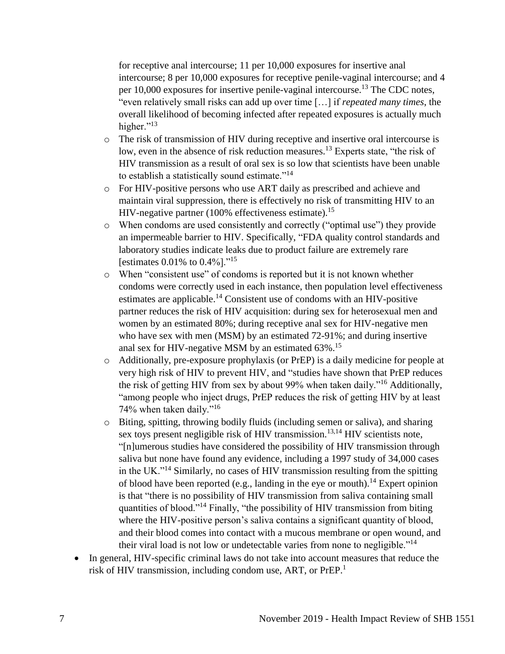for receptive anal intercourse; 11 per 10,000 exposures for insertive anal intercourse; 8 per 10,000 exposures for receptive penile-vaginal intercourse; and 4 per  $10,000$  exposures for insertive penile-vaginal intercourse.<sup>13</sup> The CDC notes, "even relatively small risks can add up over time […] if *repeated many times*, the overall likelihood of becoming infected after repeated exposures is actually much higher." $^{13}$ 

- o The risk of transmission of HIV during receptive and insertive oral intercourse is low, even in the absence of risk reduction measures.<sup>13</sup> Experts state, "the risk of HIV transmission as a result of oral sex is so low that scientists have been unable to establish a statistically sound estimate."<sup>14</sup>
- o For HIV-positive persons who use ART daily as prescribed and achieve and maintain viral suppression, there is effectively no risk of transmitting HIV to an HIV-negative partner  $(100\%$  effectiveness estimate).<sup>15</sup>
- o When condoms are used consistently and correctly ("optimal use") they provide an impermeable barrier to HIV. Specifically, "FDA quality control standards and laboratory studies indicate leaks due to product failure are extremely rare [estimates  $0.01\%$  to  $0.4\%$ ]."<sup>15</sup>
- o When "consistent use" of condoms is reported but it is not known whether condoms were correctly used in each instance, then population level effectiveness estimates are applicable.<sup>14</sup> Consistent use of condoms with an HIV-positive partner reduces the risk of HIV acquisition: during sex for heterosexual men and women by an estimated 80%; during receptive anal sex for HIV-negative men who have sex with men (MSM) by an estimated 72-91%; and during insertive anal sex for HIV-negative MSM by an estimated 63%.<sup>15</sup>
- o Additionally, pre-exposure prophylaxis (or PrEP) is a daily medicine for people at very high risk of HIV to prevent HIV, and "studies have shown that PrEP reduces the risk of getting HIV from sex by about 99% when taken daily."<sup>16</sup> Additionally, "among people who inject drugs, PrEP reduces the risk of getting HIV by at least 74% when taken daily."<sup>16</sup>
- o Biting, spitting, throwing bodily fluids (including semen or saliva), and sharing sex toys present negligible risk of HIV transmission.<sup>13,14</sup> HIV scientists note, "[n]umerous studies have considered the possibility of HIV transmission through saliva but none have found any evidence, including a 1997 study of 34,000 cases in the UK."<sup>14</sup> Similarly, no cases of HIV transmission resulting from the spitting of blood have been reported (e.g., landing in the eye or mouth).<sup>14</sup> Expert opinion is that "there is no possibility of HIV transmission from saliva containing small quantities of blood."<sup>14</sup> Finally, "the possibility of HIV transmission from biting where the HIV-positive person's saliva contains a significant quantity of blood, and their blood comes into contact with a mucous membrane or open wound, and their viral load is not low or undetectable varies from none to negligible."<sup>14</sup>
- In general, HIV-specific criminal laws do not take into account measures that reduce the risk of HIV transmission, including condom use, ART, or PrEP. 1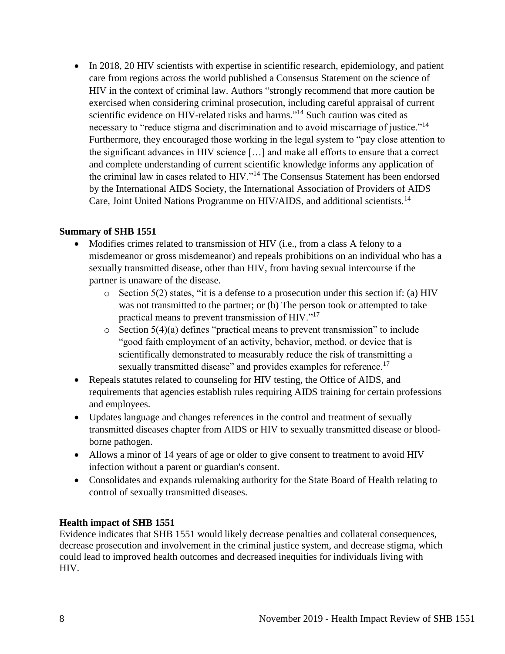• In 2018, 20 HIV scientists with expertise in scientific research, epidemiology, and patient care from regions across the world published a Consensus Statement on the science of HIV in the context of criminal law. Authors "strongly recommend that more caution be exercised when considering criminal prosecution, including careful appraisal of current scientific evidence on HIV-related risks and harms."<sup>14</sup> Such caution was cited as necessary to "reduce stigma and discrimination and to avoid miscarriage of justice."<sup>14</sup> Furthermore, they encouraged those working in the legal system to "pay close attention to the significant advances in HIV science […] and make all efforts to ensure that a correct and complete understanding of current scientific knowledge informs any application of the criminal law in cases related to HIV."<sup>14</sup> The Consensus Statement has been endorsed by the International AIDS Society, the International Association of Providers of AIDS Care, Joint United Nations Programme on HIV/AIDS, and additional scientists.<sup>14</sup>

## **Summary of SHB 1551**

- Modifies crimes related to transmission of HIV (i.e., from a class A felony to a misdemeanor or gross misdemeanor) and repeals prohibitions on an individual who has a sexually transmitted disease, other than HIV, from having sexual intercourse if the partner is unaware of the disease.
	- o Section 5(2) states, "it is a defense to a prosecution under this section if: (a) HIV was not transmitted to the partner; or (b) The person took or attempted to take practical means to prevent transmission of HIV."<sup>17</sup>
	- o Section 5(4)(a) defines "practical means to prevent transmission" to include "good faith employment of an activity, behavior, method, or device that is scientifically demonstrated to measurably reduce the risk of transmitting a sexually transmitted disease" and provides examples for reference.<sup>17</sup>
- Repeals statutes related to counseling for HIV testing, the Office of AIDS, and requirements that agencies establish rules requiring AIDS training for certain professions and employees.
- Updates language and changes references in the control and treatment of sexually transmitted diseases chapter from AIDS or HIV to sexually transmitted disease or bloodborne pathogen.
- Allows a minor of 14 years of age or older to give consent to treatment to avoid HIV infection without a parent or guardian's consent.
- Consolidates and expands rulemaking authority for the State Board of Health relating to control of sexually transmitted diseases.

### **Health impact of SHB 1551**

Evidence indicates that SHB 1551 would likely decrease penalties and collateral consequences, decrease prosecution and involvement in the criminal justice system, and decrease stigma, which could lead to improved health outcomes and decreased inequities for individuals living with HIV.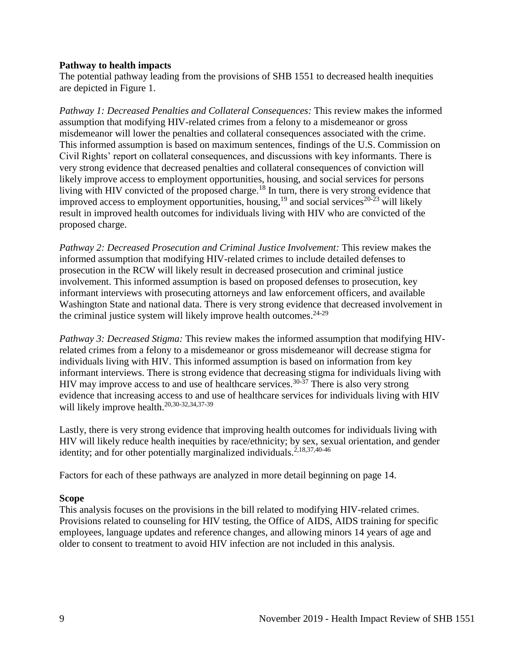### **Pathway to health impacts**

The potential pathway leading from the provisions of SHB 1551 to decreased health inequities are depicted in Figure 1.

*Pathway 1: Decreased Penalties and Collateral Consequences:* This review makes the informed assumption that modifying HIV-related crimes from a felony to a misdemeanor or gross misdemeanor will lower the penalties and collateral consequences associated with the crime. This informed assumption is based on maximum sentences, findings of the U.S. Commission on Civil Rights' report on collateral consequences, and discussions with key informants. There is very strong evidence that decreased penalties and collateral consequences of conviction will likely improve access to employment opportunities, housing, and social services for persons living with HIV convicted of the proposed charge.<sup>18</sup> In turn, there is very strong evidence that improved access to employment opportunities, housing,<sup>19</sup> and social services<sup>20-23</sup> will likely result in improved health outcomes for individuals living with HIV who are convicted of the proposed charge.

*Pathway 2: Decreased Prosecution and Criminal Justice Involvement:* This review makes the informed assumption that modifying HIV-related crimes to include detailed defenses to prosecution in the RCW will likely result in decreased prosecution and criminal justice involvement. This informed assumption is based on proposed defenses to prosecution, key informant interviews with prosecuting attorneys and law enforcement officers, and available Washington State and national data. There is very strong evidence that decreased involvement in the criminal justice system will likely improve health outcomes.<sup>24-29</sup>

*Pathway 3: Decreased Stigma:* This review makes the informed assumption that modifying HIVrelated crimes from a felony to a misdemeanor or gross misdemeanor will decrease stigma for individuals living with HIV. This informed assumption is based on information from key informant interviews. There is strong evidence that decreasing stigma for individuals living with HIV may improve access to and use of healthcare services.<sup>30-37</sup> There is also very strong evidence that increasing access to and use of healthcare services for individuals living with HIV will likely improve health.<sup>20,30-32,34,37-39</sup>

Lastly, there is very strong evidence that improving health outcomes for individuals living with HIV will likely reduce health inequities by race/ethnicity; by sex, sexual orientation, and gender identity; and for other potentially marginalized individuals.<sup>2,18,37,40-46</sup>

Factors for each of these pathways are analyzed in more detail beginning on page 14.

### **Scope**

This analysis focuses on the provisions in the bill related to modifying HIV-related crimes. Provisions related to counseling for HIV testing, the Office of AIDS, AIDS training for specific employees, language updates and reference changes, and allowing minors 14 years of age and older to consent to treatment to avoid HIV infection are not included in this analysis.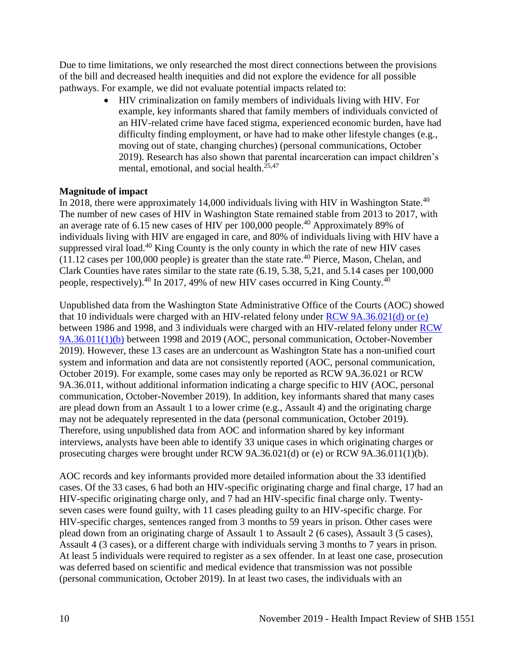Due to time limitations, we only researched the most direct connections between the provisions of the bill and decreased health inequities and did not explore the evidence for all possible pathways. For example, we did not evaluate potential impacts related to:

> HIV criminalization on family members of individuals living with HIV. For example, key informants shared that family members of individuals convicted of an HIV-related crime have faced stigma, experienced economic burden, have had difficulty finding employment, or have had to make other lifestyle changes (e.g., moving out of state, changing churches) (personal communications, October 2019). Research has also shown that parental incarceration can impact children's mental, emotional, and social health.<sup>25,47</sup>

### **Magnitude of impact**

In 2018, there were approximately 14,000 individuals living with HIV in Washington State. $40$ The number of new cases of HIV in Washington State remained stable from 2013 to 2017, with an average rate of 6.15 new cases of HIV per 100,000 people.<sup>40</sup> Approximately 89% of individuals living with HIV are engaged in care, and 80% of individuals living with HIV have a suppressed viral load.<sup>40</sup> King County is the only county in which the rate of new HIV cases  $(11.12 \text{ cases per } 100,000 \text{ people})$  is greater than the state rate.<sup>40</sup> Pierce, Mason, Chelan, and Clark Counties have rates similar to the state rate (6.19, 5.38, 5,21, and 5.14 cases per 100,000 people, respectively).<sup>40</sup> In 2017, 49% of new HIV cases occurred in King County.<sup>40</sup>

Unpublished data from the Washington State Administrative Office of the Courts (AOC) showed that 10 individuals were charged with an HIV-related felony under [RCW 9A.36.021\(d\) or \(e\)](https://app.leg.wa.gov/RCW/default.aspx?cite=9A.36.021) between 1986 and 1998, and 3 individuals were charged with an HIV-related felony under [RCW](https://app.leg.wa.gov/RCW/default.aspx?cite=9A.36.011)  [9A.36.011\(1\)\(b\)](https://app.leg.wa.gov/RCW/default.aspx?cite=9A.36.011) between 1998 and 2019 (AOC, personal communication, October-November 2019). However, these 13 cases are an undercount as Washington State has a non-unified court system and information and data are not consistently reported (AOC, personal communication, October 2019). For example, some cases may only be reported as RCW 9A.36.021 or RCW 9A.36.011, without additional information indicating a charge specific to HIV (AOC, personal communication, October-November 2019). In addition, key informants shared that many cases are plead down from an Assault 1 to a lower crime (e.g., Assault 4) and the originating charge may not be adequately represented in the data (personal communication, October 2019). Therefore, using unpublished data from AOC and information shared by key informant interviews, analysts have been able to identify 33 unique cases in which originating charges or prosecuting charges were brought under RCW 9A.36.021(d) or (e) or RCW 9A.36.011(1)(b).

AOC records and key informants provided more detailed information about the 33 identified cases. Of the 33 cases, 6 had both an HIV-specific originating charge and final charge, 17 had an HIV-specific originating charge only, and 7 had an HIV-specific final charge only. Twentyseven cases were found guilty, with 11 cases pleading guilty to an HIV-specific charge. For HIV-specific charges, sentences ranged from 3 months to 59 years in prison. Other cases were plead down from an originating charge of Assault 1 to Assault 2 (6 cases), Assault 3 (5 cases), Assault 4 (3 cases), or a different charge with individuals serving 3 months to 7 years in prison. At least 5 individuals were required to register as a sex offender. In at least one case, prosecution was deferred based on scientific and medical evidence that transmission was not possible (personal communication, October 2019). In at least two cases, the individuals with an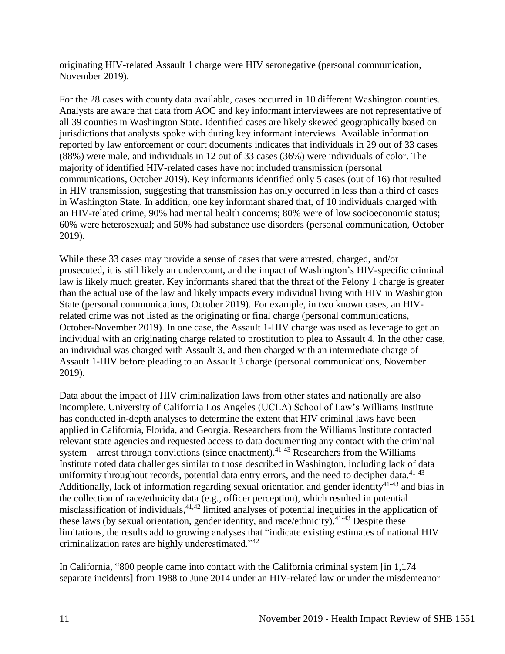originating HIV-related Assault 1 charge were HIV seronegative (personal communication, November 2019).

For the 28 cases with county data available, cases occurred in 10 different Washington counties. Analysts are aware that data from AOC and key informant interviewees are not representative of all 39 counties in Washington State. Identified cases are likely skewed geographically based on jurisdictions that analysts spoke with during key informant interviews. Available information reported by law enforcement or court documents indicates that individuals in 29 out of 33 cases (88%) were male, and individuals in 12 out of 33 cases (36%) were individuals of color. The majority of identified HIV-related cases have not included transmission (personal communications, October 2019). Key informants identified only 5 cases (out of 16) that resulted in HIV transmission, suggesting that transmission has only occurred in less than a third of cases in Washington State. In addition, one key informant shared that, of 10 individuals charged with an HIV-related crime, 90% had mental health concerns; 80% were of low socioeconomic status; 60% were heterosexual; and 50% had substance use disorders (personal communication, October 2019).

While these 33 cases may provide a sense of cases that were arrested, charged, and/or prosecuted, it is still likely an undercount, and the impact of Washington's HIV-specific criminal law is likely much greater. Key informants shared that the threat of the Felony 1 charge is greater than the actual use of the law and likely impacts every individual living with HIV in Washington State (personal communications, October 2019). For example, in two known cases, an HIVrelated crime was not listed as the originating or final charge (personal communications, October-November 2019). In one case, the Assault 1-HIV charge was used as leverage to get an individual with an originating charge related to prostitution to plea to Assault 4. In the other case, an individual was charged with Assault 3, and then charged with an intermediate charge of Assault 1-HIV before pleading to an Assault 3 charge (personal communications, November 2019).

Data about the impact of HIV criminalization laws from other states and nationally are also incomplete. University of California Los Angeles (UCLA) School of Law's Williams Institute has conducted in-depth analyses to determine the extent that HIV criminal laws have been applied in California, Florida, and Georgia. Researchers from the Williams Institute contacted relevant state agencies and requested access to data documenting any contact with the criminal system—arrest through convictions (since enactment).<sup>41-43</sup> Researchers from the Williams Institute noted data challenges similar to those described in Washington, including lack of data uniformity throughout records, potential data entry errors, and the need to decipher data.<sup>41-43</sup> Additionally, lack of information regarding sexual orientation and gender identity<sup>41-43</sup> and bias in the collection of race/ethnicity data (e.g., officer perception), which resulted in potential misclassification of individuals,<sup>41,42</sup> limited analyses of potential inequities in the application of these laws (by sexual orientation, gender identity, and race/ethnicity).<sup>41-43</sup> Despite these limitations, the results add to growing analyses that "indicate existing estimates of national HIV criminalization rates are highly underestimated."<sup>42</sup>

In California, "800 people came into contact with the California criminal system [in 1,174 separate incidents] from 1988 to June 2014 under an HIV-related law or under the misdemeanor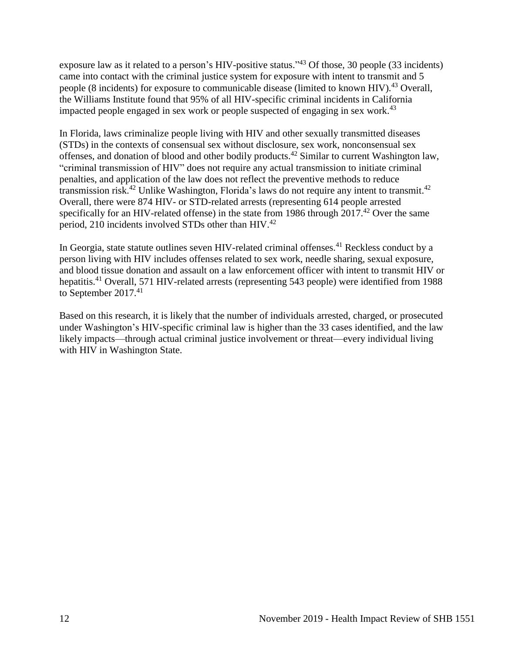exposure law as it related to a person's HIV-positive status."<sup>43</sup> Of those, 30 people (33 incidents) came into contact with the criminal justice system for exposure with intent to transmit and 5 people (8 incidents) for exposure to communicable disease (limited to known HIV).<sup>43</sup> Overall, the Williams Institute found that 95% of all HIV-specific criminal incidents in California impacted people engaged in sex work or people suspected of engaging in sex work.<sup>43</sup>

In Florida, laws criminalize people living with HIV and other sexually transmitted diseases (STDs) in the contexts of consensual sex without disclosure, sex work, nonconsensual sex offenses, and donation of blood and other bodily products.<sup>42</sup> Similar to current Washington law, "criminal transmission of HIV" does not require any actual transmission to initiate criminal penalties, and application of the law does not reflect the preventive methods to reduce transmission risk.<sup>42</sup> Unlike Washington, Florida's laws do not require any intent to transmit.<sup>42</sup> Overall, there were 874 HIV- or STD-related arrests (representing 614 people arrested specifically for an HIV-related offense) in the state from 1986 through 2017.<sup>42</sup> Over the same period, 210 incidents involved STDs other than HIV.<sup>42</sup>

In Georgia, state statute outlines seven HIV-related criminal offenses.<sup>41</sup> Reckless conduct by a person living with HIV includes offenses related to sex work, needle sharing, sexual exposure, and blood tissue donation and assault on a law enforcement officer with intent to transmit HIV or hepatitis.<sup>41</sup> Overall, 571 HIV-related arrests (representing 543 people) were identified from 1988 to September 2017.<sup>41</sup>

Based on this research, it is likely that the number of individuals arrested, charged, or prosecuted under Washington's HIV-specific criminal law is higher than the 33 cases identified, and the law likely impacts—through actual criminal justice involvement or threat—every individual living with HIV in Washington State.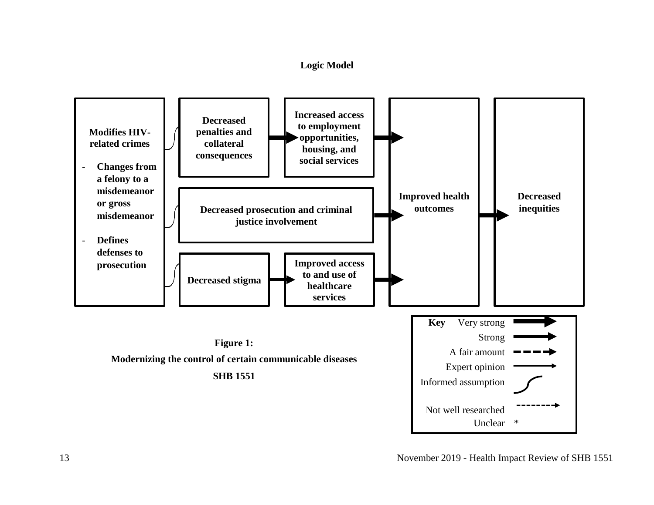## **Logic Model**

<span id="page-14-0"></span>

13 November 2019 - Health Impact Review of SHB 1551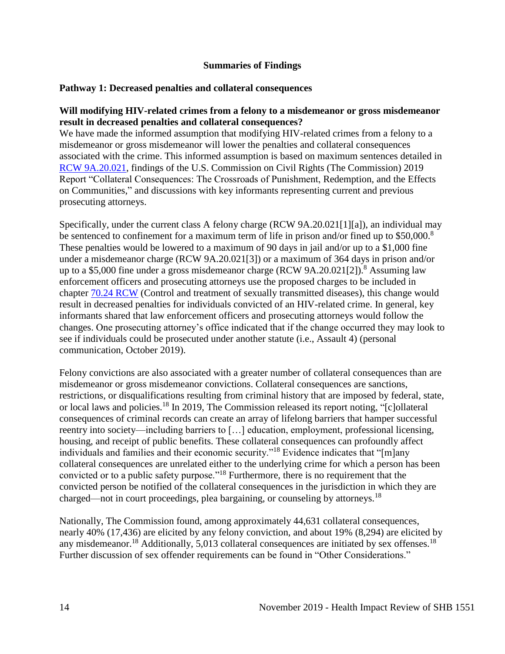### **Summaries of Findings**

### <span id="page-15-0"></span>**Pathway 1: Decreased penalties and collateral consequences**

### **Will modifying HIV-related crimes from a felony to a misdemeanor or gross misdemeanor result in decreased penalties and collateral consequences?**

We have made the informed assumption that modifying HIV-related crimes from a felony to a misdemeanor or gross misdemeanor will lower the penalties and collateral consequences associated with the crime. This informed assumption is based on maximum sentences detailed in RCW [9A.20.021,](https://app.leg.wa.gov/rcw/default.aspx?cite=9a.20.021) findings of the U.S. Commission on Civil Rights (The Commission) 2019 Report "Collateral Consequences: The Crossroads of Punishment, Redemption, and the Effects on Communities," and discussions with key informants representing current and previous prosecuting attorneys.

Specifically, under the current class A felony charge (RCW 9A.20.021[1][a]), an individual may be sentenced to confinement for a maximum term of life in prison and/or fined up to \$50,000.<sup>8</sup> These penalties would be lowered to a maximum of 90 days in jail and/or up to a \$1,000 fine under a misdemeanor charge (RCW 9A.20.021[3]) or a maximum of 364 days in prison and/or up to a \$5,000 fine under a gross misdemeanor charge (RCW 9A.20.021[2]). <sup>8</sup> Assuming law enforcement officers and prosecuting attorneys use the proposed charges to be included in chapter [70.24 RCW](https://app.leg.wa.gov/RCW/default.aspx?cite=70.24) (Control and treatment of sexually transmitted diseases), this change would result in decreased penalties for individuals convicted of an HIV-related crime. In general, key informants shared that law enforcement officers and prosecuting attorneys would follow the changes. One prosecuting attorney's office indicated that if the change occurred they may look to see if individuals could be prosecuted under another statute (i.e., Assault 4) (personal communication, October 2019).

Felony convictions are also associated with a greater number of collateral consequences than are misdemeanor or gross misdemeanor convictions. Collateral consequences are sanctions, restrictions, or disqualifications resulting from criminal history that are imposed by federal, state, or local laws and policies.<sup>18</sup> In 2019, The Commission released its report noting, "[c]ollateral consequences of criminal records can create an array of lifelong barriers that hamper successful reentry into society—including barriers to […] education, employment, professional licensing, housing, and receipt of public benefits. These collateral consequences can profoundly affect individuals and families and their economic security."<sup>18</sup> Evidence indicates that "[m]any collateral consequences are unrelated either to the underlying crime for which a person has been convicted or to a public safety purpose."<sup>18</sup> Furthermore, there is no requirement that the convicted person be notified of the collateral consequences in the jurisdiction in which they are charged—not in court proceedings, plea bargaining, or counseling by attorneys.<sup>18</sup>

Nationally, The Commission found, among approximately 44,631 collateral consequences, nearly 40% (17,436) are elicited by any felony conviction, and about 19% (8,294) are elicited by any misdemeanor.<sup>18</sup> Additionally, 5,013 collateral consequences are initiated by sex offenses.<sup>18</sup> Further discussion of sex offender requirements can be found in "Other Considerations."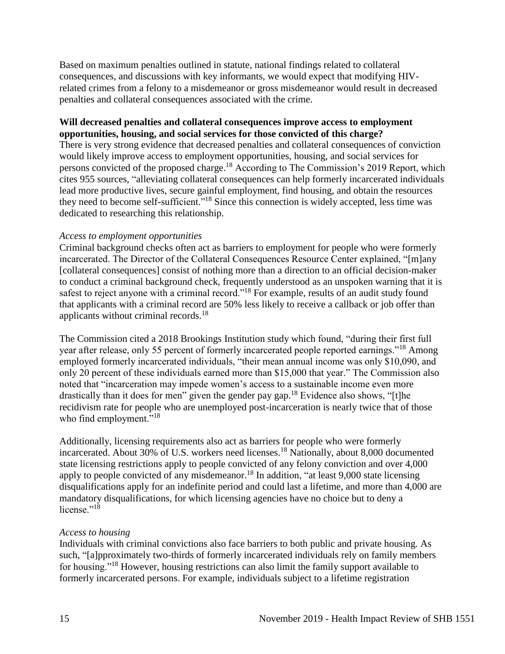Based on maximum penalties outlined in statute, national findings related to collateral consequences, and discussions with key informants, we would expect that modifying HIVrelated crimes from a felony to a misdemeanor or gross misdemeanor would result in decreased penalties and collateral consequences associated with the crime.

### **Will decreased penalties and collateral consequences improve access to employment opportunities, housing, and social services for those convicted of this charge?**

There is very strong evidence that decreased penalties and collateral consequences of conviction would likely improve access to employment opportunities, housing, and social services for persons convicted of the proposed charge.<sup>18</sup> According to The Commission's 2019 Report, which cites 955 sources, "alleviating collateral consequences can help formerly incarcerated individuals lead more productive lives, secure gainful employment, find housing, and obtain the resources they need to become self-sufficient."<sup>18</sup> Since this connection is widely accepted, less time was dedicated to researching this relationship.

### *Access to employment opportunities*

Criminal background checks often act as barriers to employment for people who were formerly incarcerated. The Director of the Collateral Consequences Resource Center explained, "[m]any [collateral consequences] consist of nothing more than a direction to an official decision-maker to conduct a criminal background check, frequently understood as an unspoken warning that it is safest to reject anyone with a criminal record."<sup>18</sup> For example, results of an audit study found that applicants with a criminal record are 50% less likely to receive a callback or job offer than applicants without criminal records.<sup>18</sup>

The Commission cited a 2018 Brookings Institution study which found, "during their first full year after release, only 55 percent of formerly incarcerated people reported earnings."<sup>18</sup> Among employed formerly incarcerated individuals, "their mean annual income was only \$10,090, and only 20 percent of these individuals earned more than \$15,000 that year." The Commission also noted that "incarceration may impede women's access to a sustainable income even more drastically than it does for men" given the gender pay gap.<sup>18</sup> Evidence also shows, "[t]he recidivism rate for people who are unemployed post-incarceration is nearly twice that of those who find employment."<sup>18</sup>

Additionally, licensing requirements also act as barriers for people who were formerly incarcerated. About 30% of U.S. workers need licenses.<sup>18</sup> Nationally, about 8,000 documented state licensing restrictions apply to people convicted of any felony conviction and over 4,000 apply to people convicted of any misdemeanor.<sup>18</sup> In addition, "at least 9,000 state licensing disqualifications apply for an indefinite period and could last a lifetime, and more than 4,000 are mandatory disqualifications, for which licensing agencies have no choice but to deny a license."<sup>18</sup>

## *Access to housing*

Individuals with criminal convictions also face barriers to both public and private housing. As such, "[a]pproximately two-thirds of formerly incarcerated individuals rely on family members for housing."<sup>18</sup> However, housing restrictions can also limit the family support available to formerly incarcerated persons. For example, individuals subject to a lifetime registration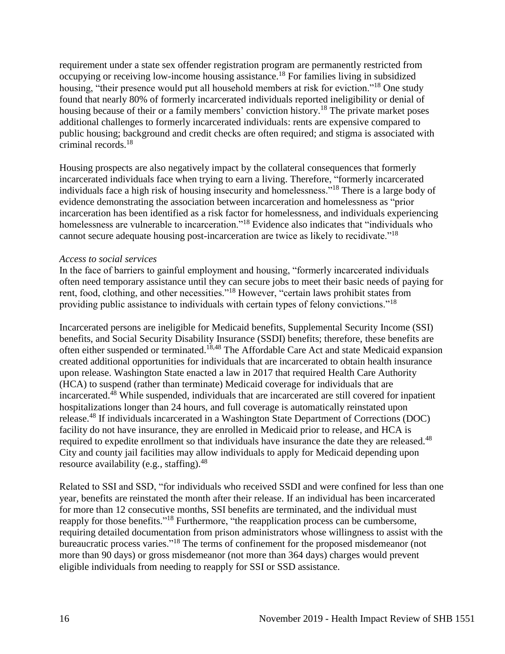requirement under a state sex offender registration program are permanently restricted from occupying or receiving low-income housing assistance.<sup>18</sup> For families living in subsidized housing, "their presence would put all household members at risk for eviction."<sup>18</sup> One study found that nearly 80% of formerly incarcerated individuals reported ineligibility or denial of housing because of their or a family members' conviction history.<sup>18</sup> The private market poses additional challenges to formerly incarcerated individuals: rents are expensive compared to public housing; background and credit checks are often required; and stigma is associated with criminal records.<sup>18</sup>

Housing prospects are also negatively impact by the collateral consequences that formerly incarcerated individuals face when trying to earn a living. Therefore, "formerly incarcerated individuals face a high risk of housing insecurity and homelessness."<sup>18</sup> There is a large body of evidence demonstrating the association between incarceration and homelessness as "prior incarceration has been identified as a risk factor for homelessness, and individuals experiencing homelessness are vulnerable to incarceration."<sup>18</sup> Evidence also indicates that "individuals who cannot secure adequate housing post-incarceration are twice as likely to recidivate."<sup>18</sup>

### *Access to social services*

In the face of barriers to gainful employment and housing, "formerly incarcerated individuals often need temporary assistance until they can secure jobs to meet their basic needs of paying for rent, food, clothing, and other necessities."<sup>18</sup> However, "certain laws prohibit states from providing public assistance to individuals with certain types of felony convictions."<sup>18</sup>

Incarcerated persons are ineligible for Medicaid benefits, Supplemental Security Income (SSI) benefits, and Social Security Disability Insurance (SSDI) benefits; therefore, these benefits are often either suspended or terminated.<sup>18,48</sup> The Affordable Care Act and state Medicaid expansion created additional opportunities for individuals that are incarcerated to obtain health insurance upon release. Washington State enacted a law in 2017 that required Health Care Authority (HCA) to suspend (rather than terminate) Medicaid coverage for individuals that are incarcerated. <sup>48</sup> While suspended, individuals that are incarcerated are still covered for inpatient hospitalizations longer than 24 hours, and full coverage is automatically reinstated upon release.<sup>48</sup> If individuals incarcerated in a Washington State Department of Corrections (DOC) facility do not have insurance, they are enrolled in Medicaid prior to release, and HCA is required to expedite enrollment so that individuals have insurance the date they are released.<sup>48</sup> City and county jail facilities may allow individuals to apply for Medicaid depending upon resource availability (e.g., staffing). $48$ 

Related to SSI and SSD, "for individuals who received SSDI and were confined for less than one year, benefits are reinstated the month after their release. If an individual has been incarcerated for more than 12 consecutive months, SSI benefits are terminated, and the individual must reapply for those benefits."<sup>18</sup> Furthermore, "the reapplication process can be cumbersome, requiring detailed documentation from prison administrators whose willingness to assist with the bureaucratic process varies."<sup>18</sup> The terms of confinement for the proposed misdemeanor (not more than 90 days) or gross misdemeanor (not more than 364 days) charges would prevent eligible individuals from needing to reapply for SSI or SSD assistance.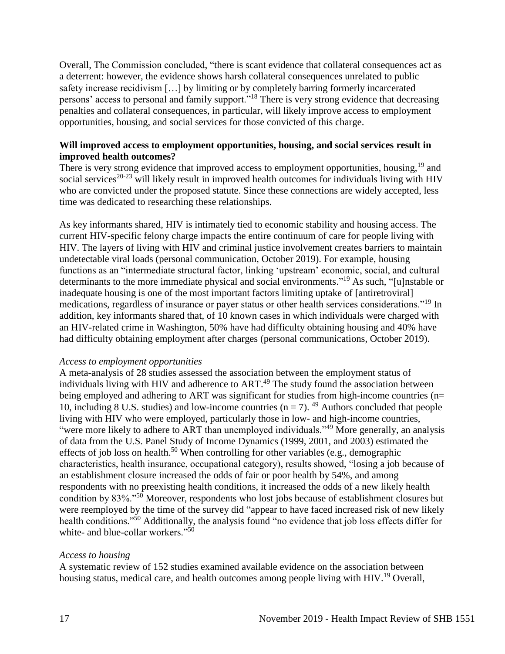Overall, The Commission concluded, "there is scant evidence that collateral consequences act as a deterrent: however, the evidence shows harsh collateral consequences unrelated to public safety increase recidivism […] by limiting or by completely barring formerly incarcerated persons' access to personal and family support."<sup>18</sup> There is very strong evidence that decreasing penalties and collateral consequences, in particular, will likely improve access to employment opportunities, housing, and social services for those convicted of this charge.

### **Will improved access to employment opportunities, housing, and social services result in improved health outcomes?**

There is very strong evidence that improved access to employment opportunities, housing,<sup>19</sup> and social services<sup>20-23</sup> will likely result in improved health outcomes for individuals living with HIV who are convicted under the proposed statute. Since these connections are widely accepted, less time was dedicated to researching these relationships.

As key informants shared, HIV is intimately tied to economic stability and housing access. The current HIV-specific felony charge impacts the entire continuum of care for people living with HIV. The layers of living with HIV and criminal justice involvement creates barriers to maintain undetectable viral loads (personal communication, October 2019). For example, housing functions as an "intermediate structural factor, linking 'upstream' economic, social, and cultural determinants to the more immediate physical and social environments."<sup>19</sup> As such, "[u]nstable or inadequate housing is one of the most important factors limiting uptake of [antiretroviral] medications, regardless of insurance or payer status or other health services considerations."<sup>19</sup> In addition, key informants shared that, of 10 known cases in which individuals were charged with an HIV-related crime in Washington, 50% have had difficulty obtaining housing and 40% have had difficulty obtaining employment after charges (personal communications, October 2019).

### *Access to employment opportunities*

A meta-analysis of 28 studies assessed the association between the employment status of individuals living with HIV and adherence to ART.<sup>49</sup> The study found the association between being employed and adhering to ART was significant for studies from high-income countries (n= 10, including 8 U.S. studies) and low-income countries ( $n = 7$ ). <sup>49</sup> Authors concluded that people living with HIV who were employed, particularly those in low- and high-income countries, "were more likely to adhere to ART than unemployed individuals."<sup>49</sup> More generally, an analysis of data from the U.S. Panel Study of Income Dynamics (1999, 2001, and 2003) estimated the effects of job loss on health.<sup>50</sup> When controlling for other variables (e.g., demographic characteristics, health insurance, occupational category), results showed, "losing a job because of an establishment closure increased the odds of fair or poor health by 54%, and among respondents with no preexisting health conditions, it increased the odds of a new likely health condition by 83%."<sup>50</sup> Moreover, respondents who lost jobs because of establishment closures but were reemployed by the time of the survey did "appear to have faced increased risk of new likely health conditions."<sup>50</sup> Additionally, the analysis found "no evidence that job loss effects differ for white- and blue-collar workers."<sup>50</sup>

### *Access to housing*

A systematic review of 152 studies examined available evidence on the association between housing status, medical care, and health outcomes among people living with HIV.<sup>19</sup> Overall,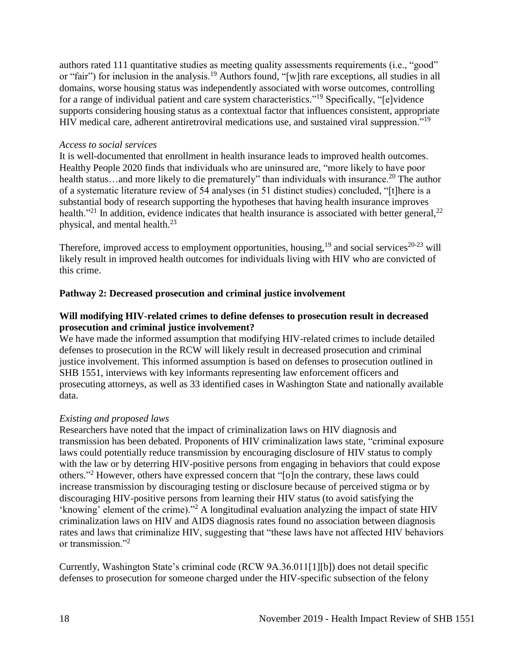authors rated 111 quantitative studies as meeting quality assessments requirements (i.e., "good" or "fair") for inclusion in the analysis.<sup>19</sup> Authors found, "[w]ith rare exceptions, all studies in all domains, worse housing status was independently associated with worse outcomes, controlling for a range of individual patient and care system characteristics."<sup>19</sup> Specifically, "[e]vidence supports considering housing status as a contextual factor that influences consistent, appropriate HIV medical care, adherent antiretroviral medications use, and sustained viral suppression."<sup>19</sup>

### *Access to social services*

It is well-documented that enrollment in health insurance leads to improved health outcomes. Healthy People 2020 finds that individuals who are uninsured are, "more likely to have poor health status...and more likely to die prematurely" than individuals with insurance.<sup>20</sup> The author of a systematic literature review of 54 analyses (in 51 distinct studies) concluded, "[t]here is a substantial body of research supporting the hypotheses that having health insurance improves health.<sup>"21</sup> In addition, evidence indicates that health insurance is associated with better general,<sup>22</sup> physical, and mental health.<sup>23</sup>

Therefore, improved access to employment opportunities, housing,  $^{19}$  and social services<sup>20-23</sup> will likely result in improved health outcomes for individuals living with HIV who are convicted of this crime.

## **Pathway 2: Decreased prosecution and criminal justice involvement**

## **Will modifying HIV-related crimes to define defenses to prosecution result in decreased prosecution and criminal justice involvement?**

We have made the informed assumption that modifying HIV-related crimes to include detailed defenses to prosecution in the RCW will likely result in decreased prosecution and criminal justice involvement. This informed assumption is based on defenses to prosecution outlined in SHB 1551, interviews with key informants representing law enforcement officers and prosecuting attorneys, as well as 33 identified cases in Washington State and nationally available data.

## *Existing and proposed laws*

Researchers have noted that the impact of criminalization laws on HIV diagnosis and transmission has been debated. Proponents of HIV criminalization laws state, "criminal exposure laws could potentially reduce transmission by encouraging disclosure of HIV status to comply with the law or by deterring HIV-positive persons from engaging in behaviors that could expose others." <sup>2</sup> However, others have expressed concern that "[o]n the contrary, these laws could increase transmission by discouraging testing or disclosure because of perceived stigma or by discouraging HIV-positive persons from learning their HIV status (to avoid satisfying the 'knowing' element of the crime)."<sup>2</sup> A longitudinal evaluation analyzing the impact of state HIV criminalization laws on HIV and AIDS diagnosis rates found no association between diagnosis rates and laws that criminalize HIV, suggesting that "these laws have not affected HIV behaviors or transmission."<sup>2</sup>

Currently, Washington State's criminal code (RCW 9A.36.011[1][b]) does not detail specific defenses to prosecution for someone charged under the HIV-specific subsection of the felony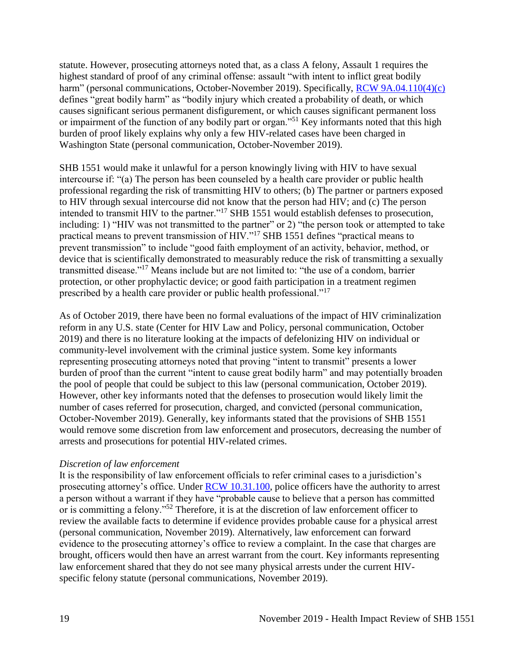statute. However, prosecuting attorneys noted that, as a class A felony, Assault 1 requires the highest standard of proof of any criminal offense: assault "with intent to inflict great bodily harm" (personal communications, October-November 2019). Specifically, [RCW 9A.04.110\(4\)\(c\)](https://apps.leg.wa.gov/RCW/default.aspx?cite=9A.04.110) defines "great bodily harm" as "bodily injury which created a probability of death, or which causes significant serious permanent disfigurement, or which causes significant permanent loss or impairment of the function of any bodily part or organ."<sup>51</sup> Key informants noted that this high burden of proof likely explains why only a few HIV-related cases have been charged in Washington State (personal communication, October-November 2019).

SHB 1551 would make it unlawful for a person knowingly living with HIV to have sexual intercourse if: "(a) The person has been counseled by a health care provider or public health professional regarding the risk of transmitting HIV to others; (b) The partner or partners exposed to HIV through sexual intercourse did not know that the person had HIV; and (c) The person intended to transmit HIV to the partner."<sup>17</sup> SHB 1551 would establish defenses to prosecution, including: 1) "HIV was not transmitted to the partner" or 2) "the person took or attempted to take practical means to prevent transmission of HIV."<sup>17</sup> SHB 1551 defines "practical means to prevent transmission" to include "good faith employment of an activity, behavior, method, or device that is scientifically demonstrated to measurably reduce the risk of transmitting a sexually transmitted disease."<sup>17</sup> Means include but are not limited to: "the use of a condom, barrier protection, or other prophylactic device; or good faith participation in a treatment regimen prescribed by a health care provider or public health professional."<sup>17</sup>

As of October 2019, there have been no formal evaluations of the impact of HIV criminalization reform in any U.S. state (Center for HIV Law and Policy, personal communication, October 2019) and there is no literature looking at the impacts of defelonizing HIV on individual or community-level involvement with the criminal justice system. Some key informants representing prosecuting attorneys noted that proving "intent to transmit" presents a lower burden of proof than the current "intent to cause great bodily harm" and may potentially broaden the pool of people that could be subject to this law (personal communication, October 2019). However, other key informants noted that the defenses to prosecution would likely limit the number of cases referred for prosecution, charged, and convicted (personal communication, October-November 2019). Generally, key informants stated that the provisions of SHB 1551 would remove some discretion from law enforcement and prosecutors, decreasing the number of arrests and prosecutions for potential HIV-related crimes.

## *Discretion of law enforcement*

It is the responsibility of law enforcement officials to refer criminal cases to a jurisdiction's prosecuting attorney's office. Under [RCW 10.31.100,](https://app.leg.wa.gov/RCW/default.aspx?cite=10.31.100) police officers have the authority to arrest a person without a warrant if they have "probable cause to believe that a person has committed or is committing a felony."<sup>52</sup> Therefore, it is at the discretion of law enforcement officer to review the available facts to determine if evidence provides probable cause for a physical arrest (personal communication, November 2019). Alternatively, law enforcement can forward evidence to the prosecuting attorney's office to review a complaint. In the case that charges are brought, officers would then have an arrest warrant from the court. Key informants representing law enforcement shared that they do not see many physical arrests under the current HIVspecific felony statute (personal communications, November 2019).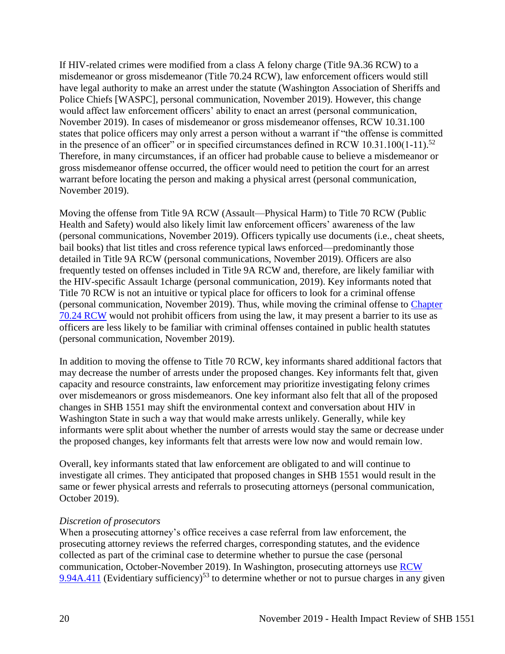If HIV-related crimes were modified from a class A felony charge (Title 9A.36 RCW) to a misdemeanor or gross misdemeanor (Title 70.24 RCW), law enforcement officers would still have legal authority to make an arrest under the statute (Washington Association of Sheriffs and Police Chiefs [WASPC], personal communication, November 2019). However, this change would affect law enforcement officers' ability to enact an arrest (personal communication, November 2019). In cases of misdemeanor or gross misdemeanor offenses, RCW 10.31.100 states that police officers may only arrest a person without a warrant if "the offense is committed in the presence of an officer" or in specified circumstances defined in RCW  $10.31.100(1-11)$ .<sup>52</sup> Therefore, in many circumstances, if an officer had probable cause to believe a misdemeanor or gross misdemeanor offense occurred, the officer would need to petition the court for an arrest warrant before locating the person and making a physical arrest (personal communication, November 2019).

Moving the offense from Title 9A RCW (Assault—Physical Harm) to Title 70 RCW (Public Health and Safety) would also likely limit law enforcement officers' awareness of the law (personal communications, November 2019). Officers typically use documents (i.e., cheat sheets, bail books) that list titles and cross reference typical laws enforced—predominantly those detailed in Title 9A RCW (personal communications, November 2019). Officers are also frequently tested on offenses included in Title 9A RCW and, therefore, are likely familiar with the HIV-specific Assault 1charge (personal communication, 2019). Key informants noted that Title 70 RCW is not an intuitive or typical place for officers to look for a criminal offense (personal communication, November 2019). Thus, while moving the criminal offense to [Chapter](https://app.leg.wa.gov/RCW/default.aspx?cite=70.24)  [70.24 RCW](https://app.leg.wa.gov/RCW/default.aspx?cite=70.24) would not prohibit officers from using the law, it may present a barrier to its use as officers are less likely to be familiar with criminal offenses contained in public health statutes (personal communication, November 2019).

In addition to moving the offense to Title 70 RCW, key informants shared additional factors that may decrease the number of arrests under the proposed changes. Key informants felt that, given capacity and resource constraints, law enforcement may prioritize investigating felony crimes over misdemeanors or gross misdemeanors. One key informant also felt that all of the proposed changes in SHB 1551 may shift the environmental context and conversation about HIV in Washington State in such a way that would make arrests unlikely. Generally, while key informants were split about whether the number of arrests would stay the same or decrease under the proposed changes, key informants felt that arrests were low now and would remain low.

Overall, key informants stated that law enforcement are obligated to and will continue to investigate all crimes. They anticipated that proposed changes in SHB 1551 would result in the same or fewer physical arrests and referrals to prosecuting attorneys (personal communication, October 2019).

### *Discretion of prosecutors*

When a prosecuting attorney's office receives a case referral from law enforcement, the prosecuting attorney reviews the referred charges, corresponding statutes, and the evidence collected as part of the criminal case to determine whether to pursue the case (personal communication, October-November 2019). In Washington, prosecuting attorneys use [RCW](https://app.leg.wa.gov/RCW/default.aspx?cite=9.94A.411)  [9.94A.411](https://app.leg.wa.gov/RCW/default.aspx?cite=9.94A.411) (Evidentiary sufficiency)<sup>53</sup> to determine whether or not to pursue charges in any given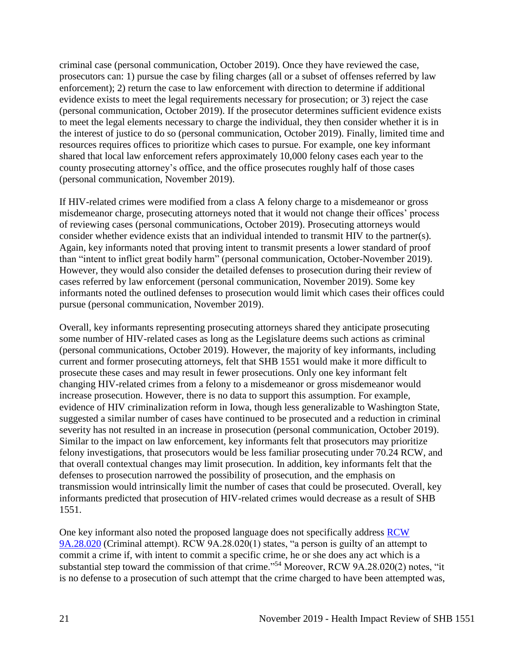criminal case (personal communication, October 2019). Once they have reviewed the case, prosecutors can: 1) pursue the case by filing charges (all or a subset of offenses referred by law enforcement); 2) return the case to law enforcement with direction to determine if additional evidence exists to meet the legal requirements necessary for prosecution; or 3) reject the case (personal communication, October 2019). If the prosecutor determines sufficient evidence exists to meet the legal elements necessary to charge the individual, they then consider whether it is in the interest of justice to do so (personal communication, October 2019). Finally, limited time and resources requires offices to prioritize which cases to pursue. For example, one key informant shared that local law enforcement refers approximately 10,000 felony cases each year to the county prosecuting attorney's office, and the office prosecutes roughly half of those cases (personal communication, November 2019).

If HIV-related crimes were modified from a class A felony charge to a misdemeanor or gross misdemeanor charge, prosecuting attorneys noted that it would not change their offices' process of reviewing cases (personal communications, October 2019). Prosecuting attorneys would consider whether evidence exists that an individual intended to transmit HIV to the partner(s). Again, key informants noted that proving intent to transmit presents a lower standard of proof than "intent to inflict great bodily harm" (personal communication, October-November 2019). However, they would also consider the detailed defenses to prosecution during their review of cases referred by law enforcement (personal communication, November 2019). Some key informants noted the outlined defenses to prosecution would limit which cases their offices could pursue (personal communication, November 2019).

Overall, key informants representing prosecuting attorneys shared they anticipate prosecuting some number of HIV-related cases as long as the Legislature deems such actions as criminal (personal communications, October 2019). However, the majority of key informants, including current and former prosecuting attorneys, felt that SHB 1551 would make it more difficult to prosecute these cases and may result in fewer prosecutions. Only one key informant felt changing HIV-related crimes from a felony to a misdemeanor or gross misdemeanor would increase prosecution. However, there is no data to support this assumption. For example, evidence of HIV criminalization reform in Iowa, though less generalizable to Washington State, suggested a similar number of cases have continued to be prosecuted and a reduction in criminal severity has not resulted in an increase in prosecution (personal communication, October 2019). Similar to the impact on law enforcement, key informants felt that prosecutors may prioritize felony investigations, that prosecutors would be less familiar prosecuting under 70.24 RCW, and that overall contextual changes may limit prosecution. In addition, key informants felt that the defenses to prosecution narrowed the possibility of prosecution, and the emphasis on transmission would intrinsically limit the number of cases that could be prosecuted. Overall, key informants predicted that prosecution of HIV-related crimes would decrease as a result of SHB 1551.

One key informant also noted the proposed language does not specifically address [RCW](https://app.leg.wa.gov/RCW/default.aspx?cite=9A.28.020)  [9A.28.020](https://app.leg.wa.gov/RCW/default.aspx?cite=9A.28.020) (Criminal attempt). RCW 9A.28.020(1) states, "a person is guilty of an attempt to commit a crime if, with intent to commit a specific crime, he or she does any act which is a substantial step toward the commission of that crime."<sup>54</sup> Moreover, RCW 9A.28.020(2) notes, "it is no defense to a prosecution of such attempt that the crime charged to have been attempted was,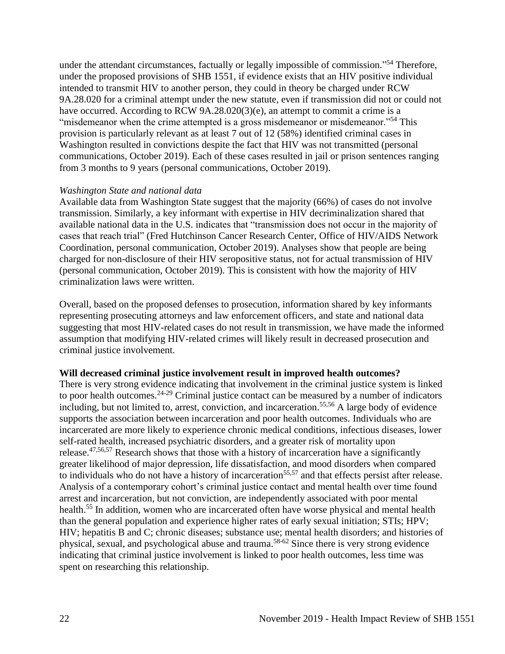under the attendant circumstances, factually or legally impossible of commission."<sup>54</sup> Therefore, under the proposed provisions of SHB 1551, if evidence exists that an HIV positive individual intended to transmit HIV to another person, they could in theory be charged under RCW 9A.28.020 for a criminal attempt under the new statute, even if transmission did not or could not have occurred. According to RCW 9A.28.020(3)(e), an attempt to commit a crime is a "misdemeanor when the crime attempted is a gross misdemeanor or misdemeanor."<sup>54</sup> This provision is particularly relevant as at least 7 out of 12 (58%) identified criminal cases in Washington resulted in convictions despite the fact that HIV was not transmitted (personal communications, October 2019). Each of these cases resulted in jail or prison sentences ranging from 3 months to 9 years (personal communications, October 2019).

### *Washington State and national data*

Available data from Washington State suggest that the majority (66%) of cases do not involve transmission. Similarly, a key informant with expertise in HIV decriminalization shared that available national data in the U.S. indicates that "transmission does not occur in the majority of cases that reach trial" (Fred Hutchinson Cancer Research Center, Office of HIV/AIDS Network Coordination, personal communication, October 2019). Analyses show that people are being charged for non-disclosure of their HIV seropositive status, not for actual transmission of HIV (personal communication, October 2019). This is consistent with how the majority of HIV criminalization laws were written.

Overall, based on the proposed defenses to prosecution, information shared by key informants representing prosecuting attorneys and law enforcement officers, and state and national data suggesting that most HIV-related cases do not result in transmission, we have made the informed assumption that modifying HIV-related crimes will likely result in decreased prosecution and criminal justice involvement.

### **Will decreased criminal justice involvement result in improved health outcomes?**

There is very strong evidence indicating that involvement in the criminal justice system is linked to poor health outcomes.<sup>24-29</sup> Criminal justice contact can be measured by a number of indicators including, but not limited to, arrest, conviction, and incarceration.<sup>55,56</sup> A large body of evidence supports the association between incarceration and poor health outcomes. Individuals who are incarcerated are more likely to experience chronic medical conditions, infectious diseases, lower self-rated health, increased psychiatric disorders, and a greater risk of mortality upon release.47,56,57 Research shows that those with a history of incarceration have a significantly greater likelihood of major depression, life dissatisfaction, and mood disorders when compared to individuals who do not have a history of incarceration<sup>55,57</sup> and that effects persist after release. Analysis of a contemporary cohort's criminal justice contact and mental health over time found arrest and incarceration, but not conviction, are independently associated with poor mental health.<sup>55</sup> In addition, women who are incarcerated often have worse physical and mental health than the general population and experience higher rates of early sexual initiation; STIs; HPV; HIV; hepatitis B and C; chronic diseases; substance use; mental health disorders; and histories of physical, sexual, and psychological abuse and trauma.58-62 Since there is very strong evidence indicating that criminal justice involvement is linked to poor health outcomes, less time was spent on researching this relationship.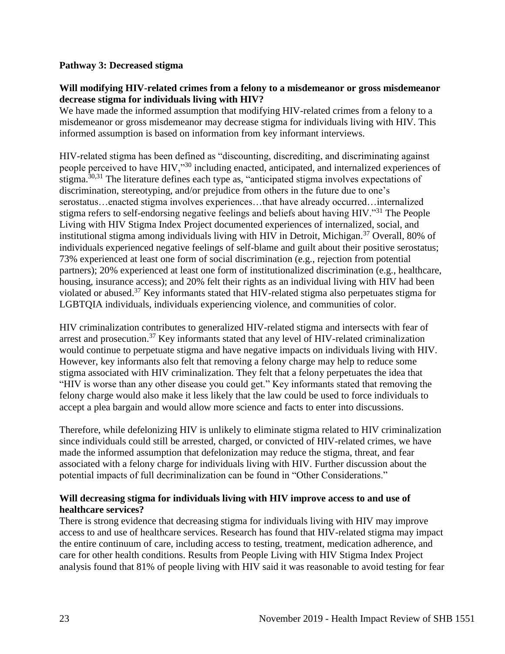### **Pathway 3: Decreased stigma**

### **Will modifying HIV-related crimes from a felony to a misdemeanor or gross misdemeanor decrease stigma for individuals living with HIV?**

We have made the informed assumption that modifying HIV-related crimes from a felony to a misdemeanor or gross misdemeanor may decrease stigma for individuals living with HIV. This informed assumption is based on information from key informant interviews.

HIV-related stigma has been defined as "discounting, discrediting, and discriminating against people perceived to have HIV,"<sup>30</sup> including enacted, anticipated, and internalized experiences of stigma.30,31 The literature defines each type as, "anticipated stigma involves expectations of discrimination, stereotyping, and/or prejudice from others in the future due to one's serostatus…enacted stigma involves experiences…that have already occurred…internalized stigma refers to self-endorsing negative feelings and beliefs about having HIV."<sup>31</sup> The People Living with HIV Stigma Index Project documented experiences of internalized, social, and institutional stigma among individuals living with HIV in Detroit, Michigan.<sup>37</sup> Overall, 80% of individuals experienced negative feelings of self-blame and guilt about their positive serostatus; 73% experienced at least one form of social discrimination (e.g., rejection from potential partners); 20% experienced at least one form of institutionalized discrimination (e.g., healthcare, housing, insurance access); and 20% felt their rights as an individual living with HIV had been violated or abused.<sup>37</sup> Key informants stated that HIV-related stigma also perpetuates stigma for LGBTQIA individuals, individuals experiencing violence, and communities of color.

HIV criminalization contributes to generalized HIV-related stigma and intersects with fear of arrest and prosecution.<sup>37</sup> Key informants stated that any level of HIV-related criminalization would continue to perpetuate stigma and have negative impacts on individuals living with HIV. However, key informants also felt that removing a felony charge may help to reduce some stigma associated with HIV criminalization. They felt that a felony perpetuates the idea that "HIV is worse than any other disease you could get." Key informants stated that removing the felony charge would also make it less likely that the law could be used to force individuals to accept a plea bargain and would allow more science and facts to enter into discussions.

Therefore, while defelonizing HIV is unlikely to eliminate stigma related to HIV criminalization since individuals could still be arrested, charged, or convicted of HIV-related crimes, we have made the informed assumption that defelonization may reduce the stigma, threat, and fear associated with a felony charge for individuals living with HIV. Further discussion about the potential impacts of full decriminalization can be found in "Other Considerations."

## **Will decreasing stigma for individuals living with HIV improve access to and use of healthcare services?**

There is strong evidence that decreasing stigma for individuals living with HIV may improve access to and use of healthcare services. Research has found that HIV-related stigma may impact the entire continuum of care, including access to testing, treatment, medication adherence, and care for other health conditions. Results from People Living with HIV Stigma Index Project analysis found that 81% of people living with HIV said it was reasonable to avoid testing for fear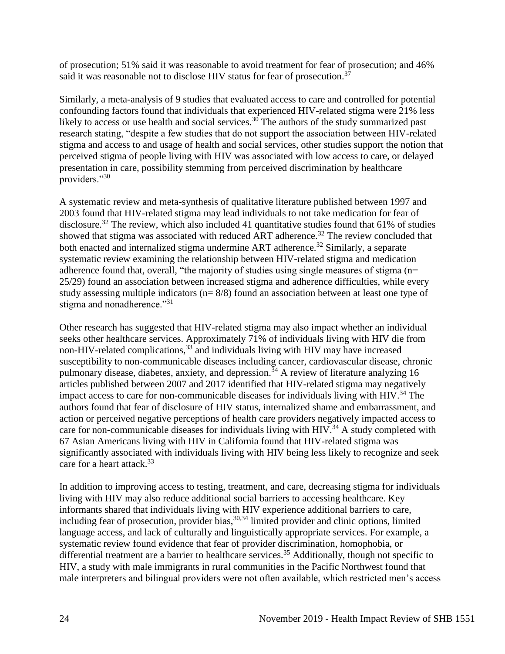of prosecution; 51% said it was reasonable to avoid treatment for fear of prosecution; and 46% said it was reasonable not to disclose HIV status for fear of prosecution.<sup>37</sup>

Similarly, a meta-analysis of 9 studies that evaluated access to care and controlled for potential confounding factors found that individuals that experienced HIV-related stigma were 21% less likely to access or use health and social services.<sup>30</sup> The authors of the study summarized past research stating, "despite a few studies that do not support the association between HIV-related stigma and access to and usage of health and social services, other studies support the notion that perceived stigma of people living with HIV was associated with low access to care, or delayed presentation in care, possibility stemming from perceived discrimination by healthcare providers."30

A systematic review and meta-synthesis of qualitative literature published between 1997 and 2003 found that HIV-related stigma may lead individuals to not take medication for fear of disclosure.<sup>32</sup> The review, which also included 41 quantitative studies found that 61% of studies showed that stigma was associated with reduced ART adherence.<sup>32</sup> The review concluded that both enacted and internalized stigma undermine ART adherence.<sup>32</sup> Similarly, a separate systematic review examining the relationship between HIV-related stigma and medication adherence found that, overall, "the majority of studies using single measures of stigma (n= 25/29) found an association between increased stigma and adherence difficulties, while every study assessing multiple indicators (n= 8/8) found an association between at least one type of stigma and nonadherence."<sup>31</sup>

Other research has suggested that HIV-related stigma may also impact whether an individual seeks other healthcare services. Approximately 71% of individuals living with HIV die from non-HIV-related complications,<sup>33</sup> and individuals living with HIV may have increased susceptibility to non-communicable diseases including cancer, cardiovascular disease, chronic pulmonary disease, diabetes, anxiety, and depression.<sup>34</sup> A review of literature analyzing 16 articles published between 2007 and 2017 identified that HIV-related stigma may negatively impact access to care for non-communicable diseases for individuals living with HIV.<sup>34</sup> The authors found that fear of disclosure of HIV status, internalized shame and embarrassment, and action or perceived negative perceptions of health care providers negatively impacted access to care for non-communicable diseases for individuals living with  $HIV.<sup>34</sup>$  A study completed with 67 Asian Americans living with HIV in California found that HIV-related stigma was significantly associated with individuals living with HIV being less likely to recognize and seek care for a heart attack.<sup>33</sup>

In addition to improving access to testing, treatment, and care, decreasing stigma for individuals living with HIV may also reduce additional social barriers to accessing healthcare. Key informants shared that individuals living with HIV experience additional barriers to care, including fear of prosecution, provider bias,<sup>30,34</sup> limited provider and clinic options, limited language access, and lack of culturally and linguistically appropriate services. For example, a systematic review found evidence that fear of provider discrimination, homophobia, or differential treatment are a barrier to healthcare services.<sup>35</sup> Additionally, though not specific to HIV, a study with male immigrants in rural communities in the Pacific Northwest found that male interpreters and bilingual providers were not often available, which restricted men's access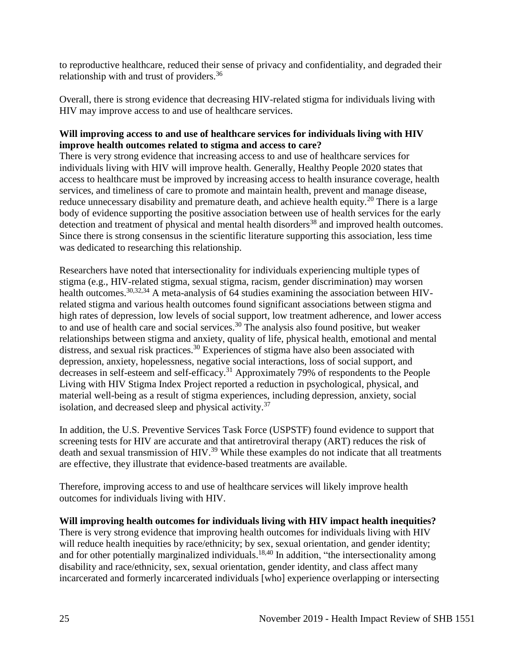to reproductive healthcare, reduced their sense of privacy and confidentiality, and degraded their relationship with and trust of providers.<sup>36</sup>

Overall, there is strong evidence that decreasing HIV-related stigma for individuals living with HIV may improve access to and use of healthcare services.

## **Will improving access to and use of healthcare services for individuals living with HIV improve health outcomes related to stigma and access to care?**

There is very strong evidence that increasing access to and use of healthcare services for individuals living with HIV will improve health. Generally, Healthy People 2020 states that access to healthcare must be improved by increasing access to health insurance coverage, health services, and timeliness of care to promote and maintain health, prevent and manage disease, reduce unnecessary disability and premature death, and achieve health equity.<sup>20</sup> There is a large body of evidence supporting the positive association between use of health services for the early detection and treatment of physical and mental health disorders<sup>38</sup> and improved health outcomes. Since there is strong consensus in the scientific literature supporting this association, less time was dedicated to researching this relationship.

Researchers have noted that intersectionality for individuals experiencing multiple types of stigma (e.g., HIV-related stigma, sexual stigma, racism, gender discrimination) may worsen health outcomes.<sup>30,32,34</sup> A meta-analysis of 64 studies examining the association between HIVrelated stigma and various health outcomes found significant associations between stigma and high rates of depression, low levels of social support, low treatment adherence, and lower access to and use of health care and social services.<sup>30</sup> The analysis also found positive, but weaker relationships between stigma and anxiety, quality of life, physical health, emotional and mental distress, and sexual risk practices.<sup>30</sup> Experiences of stigma have also been associated with depression, anxiety, hopelessness, negative social interactions, loss of social support, and decreases in self-esteem and self-efficacy.<sup>31</sup> Approximately 79% of respondents to the People Living with HIV Stigma Index Project reported a reduction in psychological, physical, and material well-being as a result of stigma experiences, including depression, anxiety, social isolation, and decreased sleep and physical activity.<sup>37</sup>

In addition, the U.S. Preventive Services Task Force (USPSTF) found evidence to support that screening tests for HIV are accurate and that antiretroviral therapy (ART) reduces the risk of death and sexual transmission of HIV.<sup>39</sup> While these examples do not indicate that all treatments are effective, they illustrate that evidence-based treatments are available.

Therefore, improving access to and use of healthcare services will likely improve health outcomes for individuals living with HIV.

### **Will improving health outcomes for individuals living with HIV impact health inequities?**

There is very strong evidence that improving health outcomes for individuals living with HIV will reduce health inequities by race/ethnicity; by sex, sexual orientation, and gender identity; and for other potentially marginalized individuals.<sup>18,40</sup> In addition, "the intersectionality among disability and race/ethnicity, sex, sexual orientation, gender identity, and class affect many incarcerated and formerly incarcerated individuals [who] experience overlapping or intersecting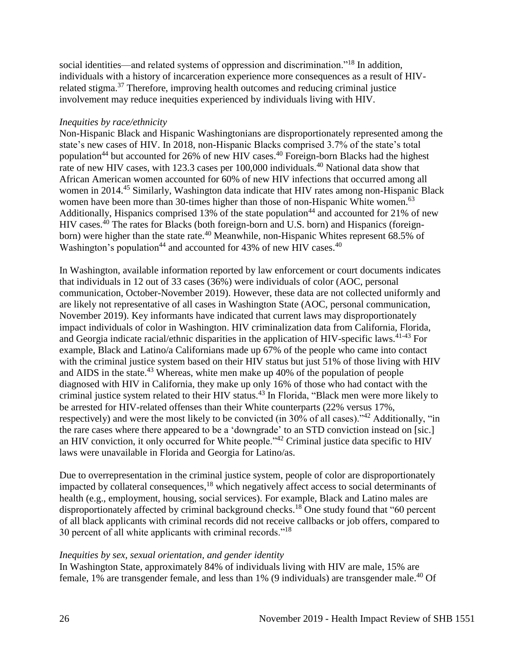social identities—and related systems of oppression and discrimination."<sup>18</sup> In addition, individuals with a history of incarceration experience more consequences as a result of HIVrelated stigma.<sup>37</sup> Therefore, improving health outcomes and reducing criminal justice involvement may reduce inequities experienced by individuals living with HIV.

### *Inequities by race/ethnicity*

Non-Hispanic Black and Hispanic Washingtonians are disproportionately represented among the state's new cases of HIV. In 2018, non-Hispanic Blacks comprised 3.7% of the state's total population<sup>44</sup> but accounted for 26% of new HIV cases.<sup>40</sup> Foreign-born Blacks had the highest rate of new HIV cases, with 123.3 cases per 100,000 individuals.<sup>40</sup> National data show that African American women accounted for 60% of new HIV infections that occurred among all women in 2014.<sup>45</sup> Similarly, Washington data indicate that HIV rates among non-Hispanic Black women have been more than 30-times higher than those of non-Hispanic White women.<sup>63</sup> Additionally, Hispanics comprised 13% of the state population<sup>44</sup> and accounted for 21% of new HIV cases.<sup>40</sup> The rates for Blacks (both foreign-born and U.S. born) and Hispanics (foreignborn) were higher than the state rate.<sup>40</sup> Meanwhile, non-Hispanic Whites represent 68.5% of Washington's population<sup>44</sup> and accounted for 43% of new HIV cases.<sup>40</sup>

In Washington, available information reported by law enforcement or court documents indicates that individuals in 12 out of 33 cases (36%) were individuals of color (AOC, personal communication, October-November 2019). However, these data are not collected uniformly and are likely not representative of all cases in Washington State (AOC, personal communication, November 2019). Key informants have indicated that current laws may disproportionately impact individuals of color in Washington. HIV criminalization data from California, Florida, and Georgia indicate racial/ethnic disparities in the application of HIV-specific laws.<sup>41-43</sup> For example, Black and Latino/a Californians made up 67% of the people who came into contact with the criminal justice system based on their HIV status but just 51% of those living with HIV and AIDS in the state.<sup>43</sup> Whereas, white men make up 40% of the population of people diagnosed with HIV in California, they make up only 16% of those who had contact with the criminal justice system related to their HIV status.<sup>43</sup> In Florida, "Black men were more likely to be arrested for HIV-related offenses than their White counterparts (22% versus 17%, respectively) and were the most likely to be convicted (in 30% of all cases)."<sup>42</sup> Additionally, "in the rare cases where there appeared to be a 'downgrade' to an STD conviction instead on [sic.] an HIV conviction, it only occurred for White people."<sup>42</sup> Criminal justice data specific to HIV laws were unavailable in Florida and Georgia for Latino/as.

Due to overrepresentation in the criminal justice system, people of color are disproportionately impacted by collateral consequences,<sup>18</sup> which negatively affect access to social determinants of health (e.g., employment, housing, social services). For example, Black and Latino males are disproportionately affected by criminal background checks.<sup>18</sup> One study found that "60 percent of all black applicants with criminal records did not receive callbacks or job offers, compared to 30 percent of all white applicants with criminal records."<sup>18</sup>

## *Inequities by sex, sexual orientation, and gender identity*

In Washington State, approximately 84% of individuals living with HIV are male, 15% are female, 1% are transgender female, and less than 1% (9 individuals) are transgender male.<sup>40</sup> Of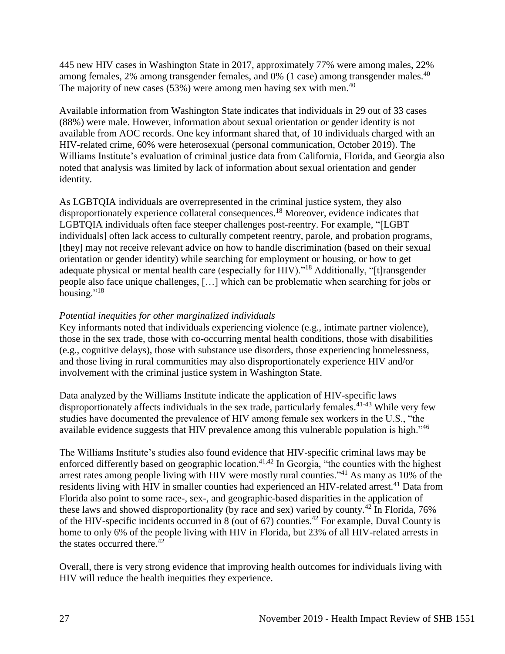445 new HIV cases in Washington State in 2017, approximately 77% were among males, 22% among females, 2% among transgender females, and 0% (1 case) among transgender males.<sup>40</sup> The majority of new cases  $(53%)$  were among men having sex with men.<sup>40</sup>

Available information from Washington State indicates that individuals in 29 out of 33 cases (88%) were male. However, information about sexual orientation or gender identity is not available from AOC records. One key informant shared that, of 10 individuals charged with an HIV-related crime, 60% were heterosexual (personal communication, October 2019). The Williams Institute's evaluation of criminal justice data from California, Florida, and Georgia also noted that analysis was limited by lack of information about sexual orientation and gender identity.

As LGBTQIA individuals are overrepresented in the criminal justice system, they also disproportionately experience collateral consequences.<sup>18</sup> Moreover, evidence indicates that LGBTQIA individuals often face steeper challenges post-reentry. For example, "[LGBT individuals] often lack access to culturally competent reentry, parole, and probation programs, [they] may not receive relevant advice on how to handle discrimination (based on their sexual orientation or gender identity) while searching for employment or housing, or how to get adequate physical or mental health care (especially for HIV)."<sup>18</sup> Additionally, "[t]ransgender people also face unique challenges, […] which can be problematic when searching for jobs or housing."<sup>18</sup>

# *Potential inequities for other marginalized individuals*

Key informants noted that individuals experiencing violence (e.g., intimate partner violence), those in the sex trade, those with co-occurring mental health conditions, those with disabilities (e.g., cognitive delays), those with substance use disorders, those experiencing homelessness, and those living in rural communities may also disproportionately experience HIV and/or involvement with the criminal justice system in Washington State.

Data analyzed by the Williams Institute indicate the application of HIV-specific laws disproportionately affects individuals in the sex trade, particularly females. 41-43 While very few studies have documented the prevalence of HIV among female sex workers in the U.S., "the available evidence suggests that HIV prevalence among this vulnerable population is high."<sup>46</sup>

The Williams Institute's studies also found evidence that HIV-specific criminal laws may be enforced differently based on geographic location.<sup>41,42</sup> In Georgia, "the counties with the highest arrest rates among people living with HIV were mostly rural counties."<sup>41</sup> As many as 10% of the residents living with HIV in smaller counties had experienced an HIV-related arrest.<sup>41</sup> Data from Florida also point to some race-, sex-, and geographic-based disparities in the application of these laws and showed disproportionality (by race and sex) varied by county.<sup>42</sup> In Florida, 76% of the HIV-specific incidents occurred in  $8$  (out of 67) counties.<sup>42</sup> For example, Duval County is home to only 6% of the people living with HIV in Florida, but 23% of all HIV-related arrests in the states occurred there. $42$ 

Overall, there is very strong evidence that improving health outcomes for individuals living with HIV will reduce the health inequities they experience.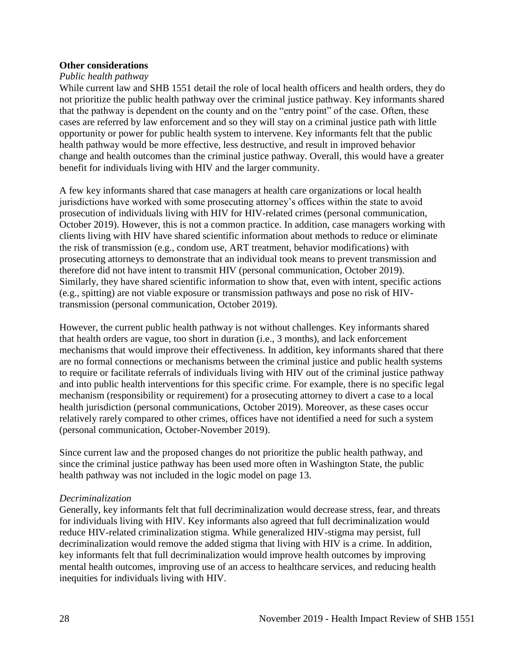### **Other considerations**

### *Public health pathway*

While current law and SHB 1551 detail the role of local health officers and health orders, they do not prioritize the public health pathway over the criminal justice pathway. Key informants shared that the pathway is dependent on the county and on the "entry point" of the case. Often, these cases are referred by law enforcement and so they will stay on a criminal justice path with little opportunity or power for public health system to intervene. Key informants felt that the public health pathway would be more effective, less destructive, and result in improved behavior change and health outcomes than the criminal justice pathway. Overall, this would have a greater benefit for individuals living with HIV and the larger community.

A few key informants shared that case managers at health care organizations or local health jurisdictions have worked with some prosecuting attorney's offices within the state to avoid prosecution of individuals living with HIV for HIV-related crimes (personal communication, October 2019). However, this is not a common practice. In addition, case managers working with clients living with HIV have shared scientific information about methods to reduce or eliminate the risk of transmission (e.g., condom use, ART treatment, behavior modifications) with prosecuting attorneys to demonstrate that an individual took means to prevent transmission and therefore did not have intent to transmit HIV (personal communication, October 2019). Similarly, they have shared scientific information to show that, even with intent, specific actions (e.g., spitting) are not viable exposure or transmission pathways and pose no risk of HIVtransmission (personal communication, October 2019).

However, the current public health pathway is not without challenges. Key informants shared that health orders are vague, too short in duration (i.e., 3 months), and lack enforcement mechanisms that would improve their effectiveness. In addition, key informants shared that there are no formal connections or mechanisms between the criminal justice and public health systems to require or facilitate referrals of individuals living with HIV out of the criminal justice pathway and into public health interventions for this specific crime. For example, there is no specific legal mechanism (responsibility or requirement) for a prosecuting attorney to divert a case to a local health jurisdiction (personal communications, October 2019). Moreover, as these cases occur relatively rarely compared to other crimes, offices have not identified a need for such a system (personal communication, October-November 2019).

Since current law and the proposed changes do not prioritize the public health pathway, and since the criminal justice pathway has been used more often in Washington State, the public health pathway was not included in the logic model on page 13.

### *Decriminalization*

Generally, key informants felt that full decriminalization would decrease stress, fear, and threats for individuals living with HIV. Key informants also agreed that full decriminalization would reduce HIV-related criminalization stigma. While generalized HIV-stigma may persist, full decriminalization would remove the added stigma that living with HIV is a crime. In addition, key informants felt that full decriminalization would improve health outcomes by improving mental health outcomes, improving use of an access to healthcare services, and reducing health inequities for individuals living with HIV.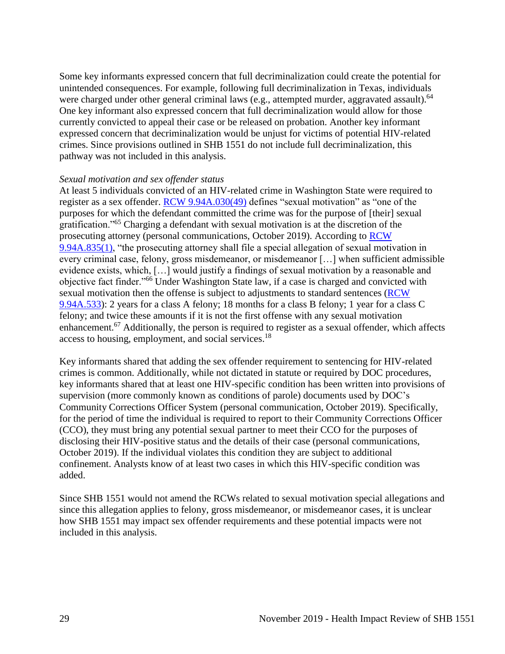Some key informants expressed concern that full decriminalization could create the potential for unintended consequences. For example, following full decriminalization in Texas, individuals were charged under other general criminal laws (e.g., attempted murder, aggravated assault).<sup>64</sup> One key informant also expressed concern that full decriminalization would allow for those currently convicted to appeal their case or be released on probation. Another key informant expressed concern that decriminalization would be unjust for victims of potential HIV-related crimes. Since provisions outlined in SHB 1551 do not include full decriminalization, this pathway was not included in this analysis.

### *Sexual motivation and sex offender status*

<span id="page-30-0"></span>At least 5 individuals convicted of an HIV-related crime in Washington State were required to register as a sex offender. [RCW 9.94A.030\(49\)](https://app.leg.wa.gov/RCW/default.aspx?cite=9.94A.030) defines "sexual motivation" as "one of the purposes for which the defendant committed the crime was for the purpose of [their] sexual gratification."<sup>65</sup> Charging a defendant with sexual motivation is at the discretion of the prosecuting attorney (personal communications, October 2019). According to [RCW](https://app.leg.wa.gov/RCW/default.aspx?cite=9.94A.835)  [9.94A.835\(1\),](https://app.leg.wa.gov/RCW/default.aspx?cite=9.94A.835) "the prosecuting attorney shall file a special allegation of sexual motivation in every criminal case, felony, gross misdemeanor, or misdemeanor […] when sufficient admissible evidence exists, which, […] would justify a findings of sexual motivation by a reasonable and objective fact finder."<sup>66</sup> Under Washington State law, if a case is charged and convicted with sexual motivation then the offense is subject to adjustments to standard sentences [\(RCW](https://app.leg.wa.gov/RCW/default.aspx?cite=9.94A.533)  [9.94A.533\)](https://app.leg.wa.gov/RCW/default.aspx?cite=9.94A.533): 2 years for a class A felony; 18 months for a class B felony; 1 year for a class C felony; and twice these amounts if it is not the first offense with any sexual motivation enhancement.<sup>67</sup> Additionally, the person is required to register as a sexual offender, which affects access to housing, employment, and social services.<sup>18</sup>

Key informants shared that adding the sex offender requirement to sentencing for HIV-related crimes is common. Additionally, while not dictated in statute or required by DOC procedures, key informants shared that at least one HIV-specific condition has been written into provisions of supervision (more commonly known as conditions of parole) documents used by DOC's Community Corrections Officer System (personal communication, October 2019). Specifically, for the period of time the individual is required to report to their Community Corrections Officer (CCO), they must bring any potential sexual partner to meet their CCO for the purposes of disclosing their HIV-positive status and the details of their case (personal communications, October 2019). If the individual violates this condition they are subject to additional confinement. Analysts know of at least two cases in which this HIV-specific condition was added.

Since SHB 1551 would not amend the RCWs related to sexual motivation special allegations and since this allegation applies to felony, gross misdemeanor, or misdemeanor cases, it is unclear how SHB 1551 may impact sex offender requirements and these potential impacts were not included in this analysis.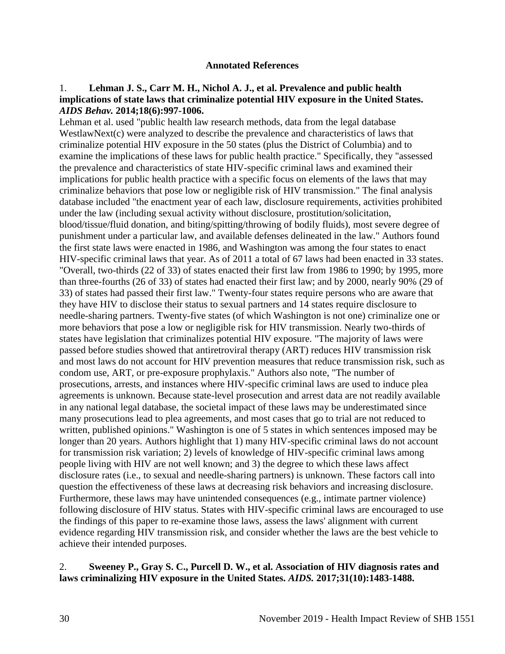### **Annotated References**

### 1. **Lehman J. S., Carr M. H., Nichol A. J., et al. Prevalence and public health implications of state laws that criminalize potential HIV exposure in the United States.**  *AIDS Behav.* **2014;18(6):997-1006.**

Lehman et al. used "public health law research methods, data from the legal database WestlawNext(c) were analyzed to describe the prevalence and characteristics of laws that criminalize potential HIV exposure in the 50 states (plus the District of Columbia) and to examine the implications of these laws for public health practice." Specifically, they "assessed the prevalence and characteristics of state HIV-specific criminal laws and examined their implications for public health practice with a specific focus on elements of the laws that may criminalize behaviors that pose low or negligible risk of HIV transmission." The final analysis database included "the enactment year of each law, disclosure requirements, activities prohibited under the law (including sexual activity without disclosure, prostitution/solicitation, blood/tissue/fluid donation, and biting/spitting/throwing of bodily fluids), most severe degree of punishment under a particular law, and available defenses delineated in the law." Authors found the first state laws were enacted in 1986, and Washington was among the four states to enact HIV-specific criminal laws that year. As of 2011 a total of 67 laws had been enacted in 33 states. "Overall, two-thirds (22 of 33) of states enacted their first law from 1986 to 1990; by 1995, more than three-fourths (26 of 33) of states had enacted their first law; and by 2000, nearly 90% (29 of 33) of states had passed their first law." Twenty-four states require persons who are aware that they have HIV to disclose their status to sexual partners and 14 states require disclosure to needle-sharing partners. Twenty-five states (of which Washington is not one) criminalize one or more behaviors that pose a low or negligible risk for HIV transmission. Nearly two-thirds of states have legislation that criminalizes potential HIV exposure. "The majority of laws were passed before studies showed that antiretroviral therapy (ART) reduces HIV transmission risk and most laws do not account for HIV prevention measures that reduce transmission risk, such as condom use, ART, or pre-exposure prophylaxis." Authors also note, "The number of prosecutions, arrests, and instances where HIV-specific criminal laws are used to induce plea agreements is unknown. Because state-level prosecution and arrest data are not readily available in any national legal database, the societal impact of these laws may be underestimated since many prosecutions lead to plea agreements, and most cases that go to trial are not reduced to written, published opinions." Washington is one of 5 states in which sentences imposed may be longer than 20 years. Authors highlight that 1) many HIV-specific criminal laws do not account for transmission risk variation; 2) levels of knowledge of HIV-specific criminal laws among people living with HIV are not well known; and 3) the degree to which these laws affect disclosure rates (i.e., to sexual and needle-sharing partners) is unknown. These factors call into question the effectiveness of these laws at decreasing risk behaviors and increasing disclosure. Furthermore, these laws may have unintended consequences (e.g., intimate partner violence) following disclosure of HIV status. States with HIV-specific criminal laws are encouraged to use the findings of this paper to re-examine those laws, assess the laws' alignment with current evidence regarding HIV transmission risk, and consider whether the laws are the best vehicle to achieve their intended purposes.

### 2. **Sweeney P., Gray S. C., Purcell D. W., et al. Association of HIV diagnosis rates and laws criminalizing HIV exposure in the United States.** *AIDS.* **2017;31(10):1483-1488.**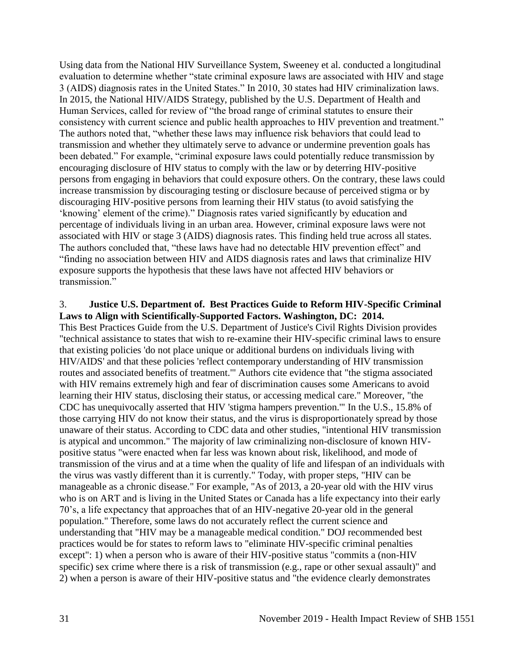Using data from the National HIV Surveillance System, Sweeney et al. conducted a longitudinal evaluation to determine whether "state criminal exposure laws are associated with HIV and stage 3 (AIDS) diagnosis rates in the United States." In 2010, 30 states had HIV criminalization laws. In 2015, the National HIV/AIDS Strategy, published by the U.S. Department of Health and Human Services, called for review of "the broad range of criminal statutes to ensure their consistency with current science and public health approaches to HIV prevention and treatment." The authors noted that, "whether these laws may influence risk behaviors that could lead to transmission and whether they ultimately serve to advance or undermine prevention goals has been debated." For example, "criminal exposure laws could potentially reduce transmission by encouraging disclosure of HIV status to comply with the law or by deterring HIV-positive persons from engaging in behaviors that could exposure others. On the contrary, these laws could increase transmission by discouraging testing or disclosure because of perceived stigma or by discouraging HIV-positive persons from learning their HIV status (to avoid satisfying the 'knowing' element of the crime)." Diagnosis rates varied significantly by education and percentage of individuals living in an urban area. However, criminal exposure laws were not associated with HIV or stage 3 (AIDS) diagnosis rates. This finding held true across all states. The authors concluded that, "these laws have had no detectable HIV prevention effect" and "finding no association between HIV and AIDS diagnosis rates and laws that criminalize HIV exposure supports the hypothesis that these laws have not affected HIV behaviors or transmission."

### 3. **Justice U.S. Department of. Best Practices Guide to Reform HIV-Specific Criminal Laws to Align with Scientifically-Supported Factors. Washington, DC: 2014.**

This Best Practices Guide from the U.S. Department of Justice's Civil Rights Division provides "technical assistance to states that wish to re-examine their HIV-specific criminal laws to ensure that existing policies 'do not place unique or additional burdens on individuals living with HIV/AIDS' and that these policies 'reflect contemporary understanding of HIV transmission routes and associated benefits of treatment.'" Authors cite evidence that "the stigma associated with HIV remains extremely high and fear of discrimination causes some Americans to avoid learning their HIV status, disclosing their status, or accessing medical care." Moreover, "the CDC has unequivocally asserted that HIV 'stigma hampers prevention.'" In the U.S., 15.8% of those carrying HIV do not know their status, and the virus is disproportionately spread by those unaware of their status. According to CDC data and other studies, "intentional HIV transmission is atypical and uncommon." The majority of law criminalizing non-disclosure of known HIVpositive status "were enacted when far less was known about risk, likelihood, and mode of transmission of the virus and at a time when the quality of life and lifespan of an individuals with the virus was vastly different than it is currently." Today, with proper steps, "HIV can be manageable as a chronic disease." For example, "As of 2013, a 20-year old with the HIV virus who is on ART and is living in the United States or Canada has a life expectancy into their early 70's, a life expectancy that approaches that of an HIV-negative 20-year old in the general population." Therefore, some laws do not accurately reflect the current science and understanding that "HIV may be a manageable medical condition." DOJ recommended best practices would be for states to reform laws to "eliminate HIV-specific criminal penalties except": 1) when a person who is aware of their HIV-positive status "commits a (non-HIV specific) sex crime where there is a risk of transmission (e.g., rape or other sexual assault)" and 2) when a person is aware of their HIV-positive status and "the evidence clearly demonstrates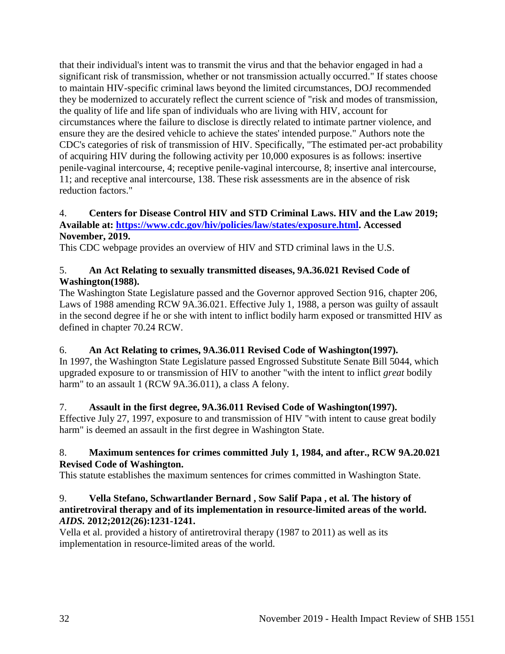that their individual's intent was to transmit the virus and that the behavior engaged in had a significant risk of transmission, whether or not transmission actually occurred." If states choose to maintain HIV-specific criminal laws beyond the limited circumstances, DOJ recommended they be modernized to accurately reflect the current science of "risk and modes of transmission, the quality of life and life span of individuals who are living with HIV, account for circumstances where the failure to disclose is directly related to intimate partner violence, and ensure they are the desired vehicle to achieve the states' intended purpose." Authors note the CDC's categories of risk of transmission of HIV. Specifically, "The estimated per-act probability of acquiring HIV during the following activity per 10,000 exposures is as follows: insertive penile-vaginal intercourse, 4; receptive penile-vaginal intercourse, 8; insertive anal intercourse, 11; and receptive anal intercourse, 138. These risk assessments are in the absence of risk reduction factors."

### 4. **Centers for Disease Control HIV and STD Criminal Laws. HIV and the Law 2019; Available at: [https://www.cdc.gov/hiv/policies/law/states/exposure.html.](https://www.cdc.gov/hiv/policies/law/states/exposure.html) Accessed November, 2019.**

This CDC webpage provides an overview of HIV and STD criminal laws in the U.S.

## 5. **An Act Relating to sexually transmitted diseases, 9A.36.021 Revised Code of Washington(1988).**

The Washington State Legislature passed and the Governor approved Section 916, chapter 206, Laws of 1988 amending RCW 9A.36.021. Effective July 1, 1988, a person was guilty of assault in the second degree if he or she with intent to inflict bodily harm exposed or transmitted HIV as defined in chapter 70.24 RCW.

## 6. **An Act Relating to crimes, 9A.36.011 Revised Code of Washington(1997).**

In 1997, the Washington State Legislature passed Engrossed Substitute Senate Bill 5044, which upgraded exposure to or transmission of HIV to another "with the intent to inflict *great* bodily harm" to an assault 1 (RCW 9A.36.011), a class A felony.

## 7. **Assault in the first degree, 9A.36.011 Revised Code of Washington(1997).**

Effective July 27, 1997, exposure to and transmission of HIV "with intent to cause great bodily harm" is deemed an assault in the first degree in Washington State.

## 8. **Maximum sentences for crimes committed July 1, 1984, and after., RCW 9A.20.021 Revised Code of Washington.**

This statute establishes the maximum sentences for crimes committed in Washington State.

## 9. **Vella Stefano, Schwartlander Bernard , Sow Salif Papa , et al. The history of antiretroviral therapy and of its implementation in resource-limited areas of the world.**  *AIDS.* **2012;2012(26):1231-1241.**

Vella et al. provided a history of antiretroviral therapy (1987 to 2011) as well as its implementation in resource-limited areas of the world.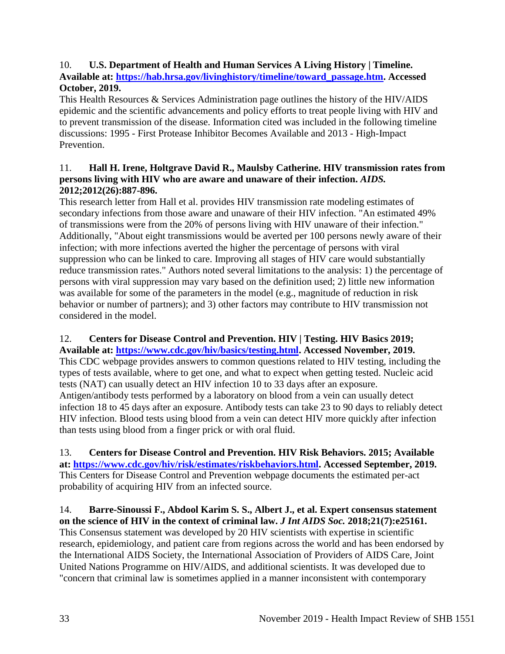## 10. **U.S. Department of Health and Human Services A Living History | Timeline. Available at: [https://hab.hrsa.gov/livinghistory/timeline/toward\\_passage.htm.](https://hab.hrsa.gov/livinghistory/timeline/toward_passage.htm) Accessed October, 2019.**

This Health Resources & Services Administration page outlines the history of the HIV/AIDS epidemic and the scientific advancements and policy efforts to treat people living with HIV and to prevent transmission of the disease. Information cited was included in the following timeline discussions: 1995 - First Protease Inhibitor Becomes Available and 2013 - High-Impact **Prevention** 

# 11. **Hall H. Irene, Holtgrave David R., Maulsby Catherine. HIV transmission rates from persons living with HIV who are aware and unaware of their infection.** *AIDS.*  **2012;2012(26):887-896.**

This research letter from Hall et al. provides HIV transmission rate modeling estimates of secondary infections from those aware and unaware of their HIV infection. "An estimated 49% of transmissions were from the 20% of persons living with HIV unaware of their infection." Additionally, "About eight transmissions would be averted per 100 persons newly aware of their infection; with more infections averted the higher the percentage of persons with viral suppression who can be linked to care. Improving all stages of HIV care would substantially reduce transmission rates." Authors noted several limitations to the analysis: 1) the percentage of persons with viral suppression may vary based on the definition used; 2) little new information was available for some of the parameters in the model (e.g., magnitude of reduction in risk behavior or number of partners); and 3) other factors may contribute to HIV transmission not considered in the model.

# 12. **Centers for Disease Control and Prevention. HIV | Testing. HIV Basics 2019;**

**Available at: [https://www.cdc.gov/hiv/basics/testing.html.](https://www.cdc.gov/hiv/basics/testing.html) Accessed November, 2019.** This CDC webpage provides answers to common questions related to HIV testing, including the types of tests available, where to get one, and what to expect when getting tested. Nucleic acid tests (NAT) can usually detect an HIV infection 10 to 33 days after an exposure. Antigen/antibody tests performed by a laboratory on blood from a vein can usually detect infection 18 to 45 days after an exposure. Antibody tests can take 23 to 90 days to reliably detect HIV infection. Blood tests using blood from a vein can detect HIV more quickly after infection than tests using blood from a finger prick or with oral fluid.

13. **Centers for Disease Control and Prevention. HIV Risk Behaviors. 2015; Available at: [https://www.cdc.gov/hiv/risk/estimates/riskbehaviors.html.](https://www.cdc.gov/hiv/risk/estimates/riskbehaviors.html) Accessed September, 2019.** This Centers for Disease Control and Prevention webpage documents the estimated per-act probability of acquiring HIV from an infected source.

# 14. **Barre-Sinoussi F., Abdool Karim S. S., Albert J., et al. Expert consensus statement on the science of HIV in the context of criminal law.** *J Int AIDS Soc.* **2018;21(7):e25161.**

This Consensus statement was developed by 20 HIV scientists with expertise in scientific research, epidemiology, and patient care from regions across the world and has been endorsed by the International AIDS Society, the International Association of Providers of AIDS Care, Joint United Nations Programme on HIV/AIDS, and additional scientists. It was developed due to "concern that criminal law is sometimes applied in a manner inconsistent with contemporary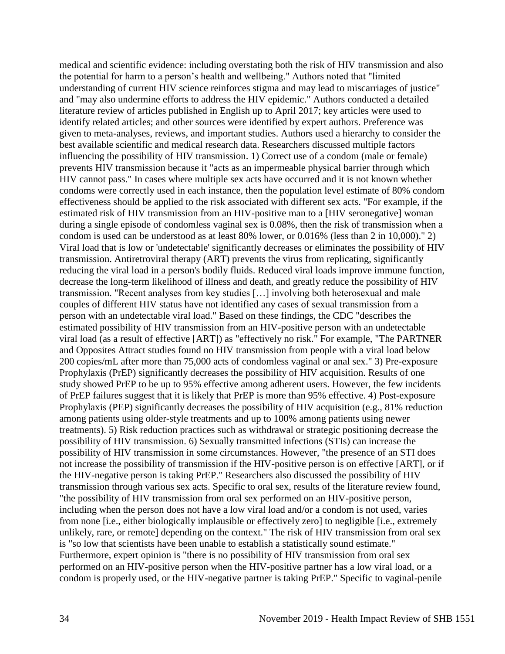medical and scientific evidence: including overstating both the risk of HIV transmission and also the potential for harm to a person's health and wellbeing." Authors noted that "limited understanding of current HIV science reinforces stigma and may lead to miscarriages of justice" and "may also undermine efforts to address the HIV epidemic." Authors conducted a detailed literature review of articles published in English up to April 2017; key articles were used to identify related articles; and other sources were identified by expert authors. Preference was given to meta-analyses, reviews, and important studies. Authors used a hierarchy to consider the best available scientific and medical research data. Researchers discussed multiple factors influencing the possibility of HIV transmission. 1) Correct use of a condom (male or female) prevents HIV transmission because it "acts as an impermeable physical barrier through which HIV cannot pass." In cases where multiple sex acts have occurred and it is not known whether condoms were correctly used in each instance, then the population level estimate of 80% condom effectiveness should be applied to the risk associated with different sex acts. "For example, if the estimated risk of HIV transmission from an HIV-positive man to a [HIV seronegative] woman during a single episode of condomless vaginal sex is 0.08%, then the risk of transmission when a condom is used can be understood as at least 80% lower, or 0.016% (less than 2 in 10,000)." 2) Viral load that is low or 'undetectable' significantly decreases or eliminates the possibility of HIV transmission. Antiretroviral therapy (ART) prevents the virus from replicating, significantly reducing the viral load in a person's bodily fluids. Reduced viral loads improve immune function, decrease the long-term likelihood of illness and death, and greatly reduce the possibility of HIV transmission. "Recent analyses from key studies […] involving both heterosexual and male couples of different HIV status have not identified any cases of sexual transmission from a person with an undetectable viral load." Based on these findings, the CDC "describes the estimated possibility of HIV transmission from an HIV-positive person with an undetectable viral load (as a result of effective [ART]) as "effectively no risk." For example, "The PARTNER and Opposites Attract studies found no HIV transmission from people with a viral load below 200 copies/mL after more than 75,000 acts of condomless vaginal or anal sex." 3) Pre-exposure Prophylaxis (PrEP) significantly decreases the possibility of HIV acquisition. Results of one study showed PrEP to be up to 95% effective among adherent users. However, the few incidents of PrEP failures suggest that it is likely that PrEP is more than 95% effective. 4) Post-exposure Prophylaxis (PEP) significantly decreases the possibility of HIV acquisition (e.g., 81% reduction among patients using older-style treatments and up to 100% among patients using newer treatments). 5) Risk reduction practices such as withdrawal or strategic positioning decrease the possibility of HIV transmission. 6) Sexually transmitted infections (STIs) can increase the possibility of HIV transmission in some circumstances. However, "the presence of an STI does not increase the possibility of transmission if the HIV-positive person is on effective [ART], or if the HIV-negative person is taking PrEP." Researchers also discussed the possibility of HIV transmission through various sex acts. Specific to oral sex, results of the literature review found, "the possibility of HIV transmission from oral sex performed on an HIV-positive person, including when the person does not have a low viral load and/or a condom is not used, varies from none [i.e., either biologically implausible or effectively zero] to negligible [i.e., extremely unlikely, rare, or remote] depending on the context." The risk of HIV transmission from oral sex is "so low that scientists have been unable to establish a statistically sound estimate." Furthermore, expert opinion is "there is no possibility of HIV transmission from oral sex performed on an HIV-positive person when the HIV-positive partner has a low viral load, or a condom is properly used, or the HIV-negative partner is taking PrEP." Specific to vaginal-penile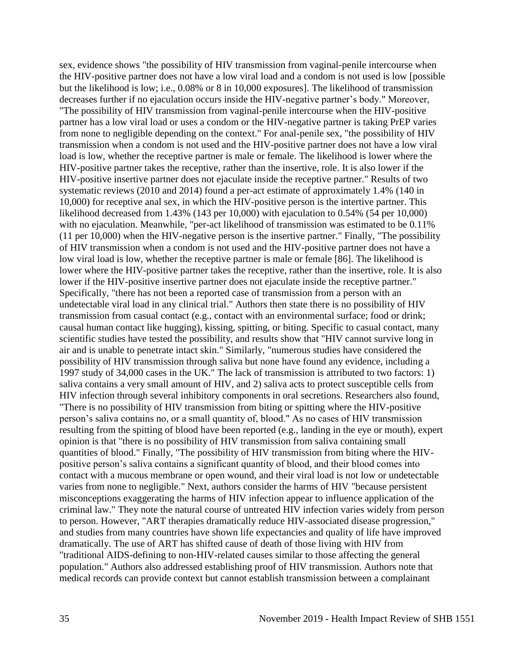sex, evidence shows "the possibility of HIV transmission from vaginal-penile intercourse when the HIV-positive partner does not have a low viral load and a condom is not used is low [possible but the likelihood is low; i.e., 0.08% or 8 in 10,000 exposures]. The likelihood of transmission decreases further if no ejaculation occurs inside the HIV-negative partner's body." Moreover, "The possibility of HIV transmission from vaginal-penile intercourse when the HIV-positive partner has a low viral load or uses a condom or the HIV-negative partner is taking PrEP varies from none to negligible depending on the context." For anal-penile sex, "the possibility of HIV transmission when a condom is not used and the HIV-positive partner does not have a low viral load is low, whether the receptive partner is male or female. The likelihood is lower where the HIV-positive partner takes the receptive, rather than the insertive, role. It is also lower if the HIV-positive insertive partner does not ejaculate inside the receptive partner." Results of two systematic reviews (2010 and 2014) found a per-act estimate of approximately 1.4% (140 in 10,000) for receptive anal sex, in which the HIV-positive person is the intertive partner. This likelihood decreased from 1.43% (143 per 10,000) with ejaculation to 0.54% (54 per 10,000) with no ejaculation. Meanwhile, "per-act likelihood of transmission was estimated to be 0.11% (11 per 10,000) when the HIV-negative person is the insertive partner." Finally, "The possibility of HIV transmission when a condom is not used and the HIV-positive partner does not have a low viral load is low, whether the receptive partner is male or female [86]. The likelihood is lower where the HIV-positive partner takes the receptive, rather than the insertive, role. It is also lower if the HIV-positive insertive partner does not ejaculate inside the receptive partner." Specifically, "there has not been a reported case of transmission from a person with an undetectable viral load in any clinical trial." Authors then state there is no possibility of HIV transmission from casual contact (e.g., contact with an environmental surface; food or drink; causal human contact like hugging), kissing, spitting, or biting. Specific to casual contact, many scientific studies have tested the possibility, and results show that "HIV cannot survive long in air and is unable to penetrate intact skin." Similarly, "numerous studies have considered the possibility of HIV transmission through saliva but none have found any evidence, including a 1997 study of 34,000 cases in the UK." The lack of transmission is attributed to two factors: 1) saliva contains a very small amount of HIV, and 2) saliva acts to protect susceptible cells from HIV infection through several inhibitory components in oral secretions. Researchers also found, "There is no possibility of HIV transmission from biting or spitting where the HIV-positive person's saliva contains no, or a small quantity of, blood." As no cases of HIV transmission resulting from the spitting of blood have been reported (e.g., landing in the eye or mouth), expert opinion is that "there is no possibility of HIV transmission from saliva containing small quantities of blood." Finally, "The possibility of HIV transmission from biting where the HIVpositive person's saliva contains a significant quantity of blood, and their blood comes into contact with a mucous membrane or open wound, and their viral load is not low or undetectable varies from none to negligible." Next, authors consider the harms of HIV "because persistent misconceptions exaggerating the harms of HIV infection appear to influence application of the criminal law." They note the natural course of untreated HIV infection varies widely from person to person. However, "ART therapies dramatically reduce HIV-associated disease progression," and studies from many countries have shown life expectancies and quality of life have improved dramatically. The use of ART has shifted cause of death of those living with HIV from "traditional AIDS-defining to non-HIV-related causes similar to those affecting the general population." Authors also addressed establishing proof of HIV transmission. Authors note that medical records can provide context but cannot establish transmission between a complainant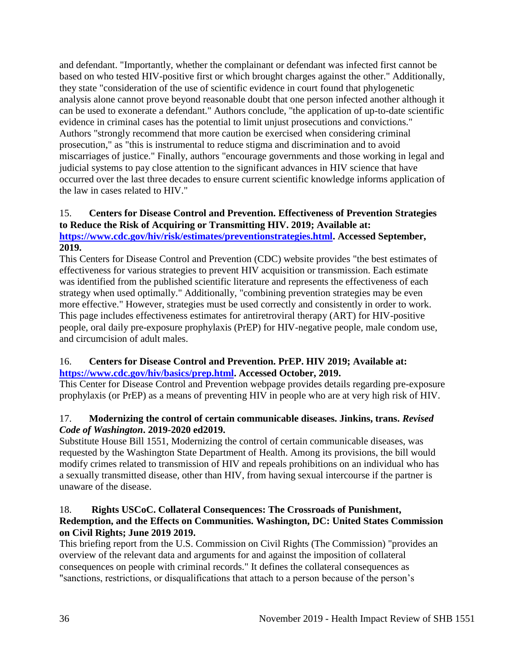and defendant. "Importantly, whether the complainant or defendant was infected first cannot be based on who tested HIV-positive first or which brought charges against the other." Additionally, they state "consideration of the use of scientific evidence in court found that phylogenetic analysis alone cannot prove beyond reasonable doubt that one person infected another although it can be used to exonerate a defendant." Authors conclude, "the application of up-to-date scientific evidence in criminal cases has the potential to limit unjust prosecutions and convictions." Authors "strongly recommend that more caution be exercised when considering criminal prosecution," as "this is instrumental to reduce stigma and discrimination and to avoid miscarriages of justice." Finally, authors "encourage governments and those working in legal and judicial systems to pay close attention to the significant advances in HIV science that have occurred over the last three decades to ensure current scientific knowledge informs application of the law in cases related to HIV."

# 15. **Centers for Disease Control and Prevention. Effectiveness of Prevention Strategies to Reduce the Risk of Acquiring or Transmitting HIV. 2019; Available at:**

**[https://www.cdc.gov/hiv/risk/estimates/preventionstrategies.html.](https://www.cdc.gov/hiv/risk/estimates/preventionstrategies.html) Accessed September, 2019.**

This Centers for Disease Control and Prevention (CDC) website provides "the best estimates of effectiveness for various strategies to prevent HIV acquisition or transmission. Each estimate was identified from the published scientific literature and represents the effectiveness of each strategy when used optimally." Additionally, "combining prevention strategies may be even more effective." However, strategies must be used correctly and consistently in order to work. This page includes effectiveness estimates for antiretroviral therapy (ART) for HIV-positive people, oral daily pre-exposure prophylaxis (PrEP) for HIV-negative people, male condom use, and circumcision of adult males.

# 16. **Centers for Disease Control and Prevention. PrEP. HIV 2019; Available at: [https://www.cdc.gov/hiv/basics/prep.html.](https://www.cdc.gov/hiv/basics/prep.html) Accessed October, 2019.**

This Center for Disease Control and Prevention webpage provides details regarding pre-exposure prophylaxis (or PrEP) as a means of preventing HIV in people who are at very high risk of HIV.

# 17. **Modernizing the control of certain communicable diseases. Jinkins, trans.** *Revised Code of Washington***. 2019-2020 ed2019.**

Substitute House Bill 1551, Modernizing the control of certain communicable diseases, was requested by the Washington State Department of Health. Among its provisions, the bill would modify crimes related to transmission of HIV and repeals prohibitions on an individual who has a sexually transmitted disease, other than HIV, from having sexual intercourse if the partner is unaware of the disease.

# 18. **Rights USCoC. Collateral Consequences: The Crossroads of Punishment, Redemption, and the Effects on Communities. Washington, DC: United States Commission on Civil Rights; June 2019 2019.**

This briefing report from the U.S. Commission on Civil Rights (The Commission) "provides an overview of the relevant data and arguments for and against the imposition of collateral consequences on people with criminal records." It defines the collateral consequences as "sanctions, restrictions, or disqualifications that attach to a person because of the person's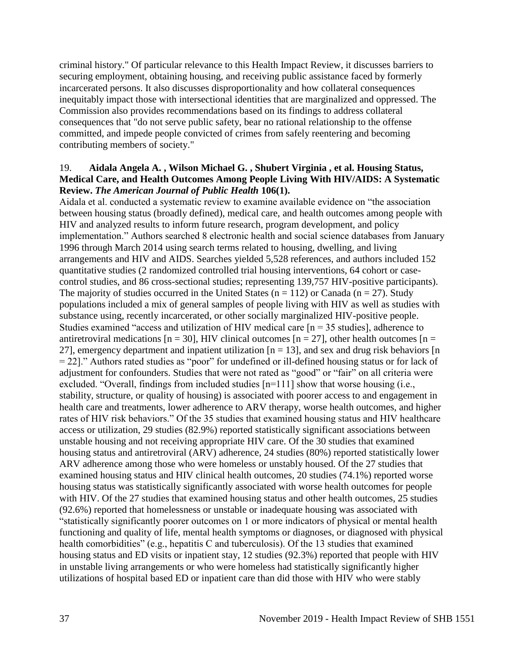criminal history." Of particular relevance to this Health Impact Review, it discusses barriers to securing employment, obtaining housing, and receiving public assistance faced by formerly incarcerated persons. It also discusses disproportionality and how collateral consequences inequitably impact those with intersectional identities that are marginalized and oppressed. The Commission also provides recommendations based on its findings to address collateral consequences that "do not serve public safety, bear no rational relationship to the offense committed, and impede people convicted of crimes from safely reentering and becoming contributing members of society."

### 19. **Aidala Angela A. , Wilson Michael G. , Shubert Virginia , et al. Housing Status, Medical Care, and Health Outcomes Among People Living With HIV/AIDS: A Systematic Review.** *The American Journal of Public Health* **106(1).**

Aidala et al. conducted a systematic review to examine available evidence on "the association between housing status (broadly defined), medical care, and health outcomes among people with HIV and analyzed results to inform future research, program development, and policy implementation." Authors searched 8 electronic health and social science databases from January 1996 through March 2014 using search terms related to housing, dwelling, and living arrangements and HIV and AIDS. Searches yielded 5,528 references, and authors included 152 quantitative studies (2 randomized controlled trial housing interventions, 64 cohort or casecontrol studies, and 86 cross-sectional studies; representing 139,757 HIV-positive participants). The majority of studies occurred in the United States ( $n = 112$ ) or Canada ( $n = 27$ ). Study populations included a mix of general samples of people living with HIV as well as studies with substance using, recently incarcerated, or other socially marginalized HIV-positive people. Studies examined "access and utilization of HIV medical care  $[n = 35$  studies], adherence to antiretroviral medications  $[n = 30]$ , HIV clinical outcomes  $[n = 27]$ , other health outcomes  $[n = 10]$ 27], emergency department and inpatient utilization  $[n = 13]$ , and sex and drug risk behaviors  $[n]$ = 22]." Authors rated studies as "poor" for undefined or ill-defined housing status or for lack of adjustment for confounders. Studies that were not rated as "good" or "fair" on all criteria were excluded. "Overall, findings from included studies [n=111] show that worse housing (i.e., stability, structure, or quality of housing) is associated with poorer access to and engagement in health care and treatments, lower adherence to ARV therapy, worse health outcomes, and higher rates of HIV risk behaviors." Of the 35 studies that examined housing status and HIV healthcare access or utilization, 29 studies (82.9%) reported statistically significant associations between unstable housing and not receiving appropriate HIV care. Of the 30 studies that examined housing status and antiretroviral (ARV) adherence, 24 studies (80%) reported statistically lower ARV adherence among those who were homeless or unstably housed. Of the 27 studies that examined housing status and HIV clinical health outcomes, 20 studies (74.1%) reported worse housing status was statistically significantly associated with worse health outcomes for people with HIV. Of the 27 studies that examined housing status and other health outcomes, 25 studies (92.6%) reported that homelessness or unstable or inadequate housing was associated with "statistically significantly poorer outcomes on 1 or more indicators of physical or mental health functioning and quality of life, mental health symptoms or diagnoses, or diagnosed with physical health comorbidities" (e.g., hepatitis C and tuberculosis). Of the 13 studies that examined housing status and ED visits or inpatient stay, 12 studies (92.3%) reported that people with HIV in unstable living arrangements or who were homeless had statistically significantly higher utilizations of hospital based ED or inpatient care than did those with HIV who were stably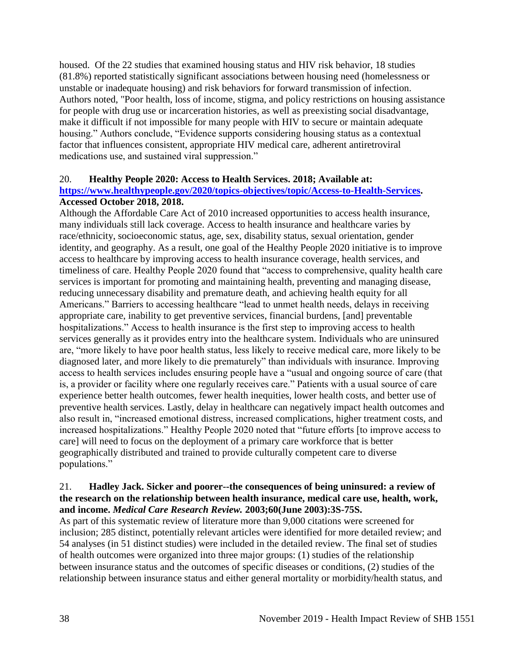housed. Of the 22 studies that examined housing status and HIV risk behavior, 18 studies (81.8%) reported statistically significant associations between housing need (homelessness or unstable or inadequate housing) and risk behaviors for forward transmission of infection. Authors noted, "Poor health, loss of income, stigma, and policy restrictions on housing assistance for people with drug use or incarceration histories, as well as preexisting social disadvantage, make it difficult if not impossible for many people with HIV to secure or maintain adequate housing." Authors conclude, "Evidence supports considering housing status as a contextual factor that influences consistent, appropriate HIV medical care, adherent antiretroviral medications use, and sustained viral suppression."

### 20. **Healthy People 2020: Access to Health Services. 2018; Available at:**

### **[https://www.healthypeople.gov/2020/topics-objectives/topic/Access-to-Health-Services.](https://www.healthypeople.gov/2020/topics-objectives/topic/Access-to-Health-Services) Accessed October 2018, 2018.**

Although the Affordable Care Act of 2010 increased opportunities to access health insurance, many individuals still lack coverage. Access to health insurance and healthcare varies by race/ethnicity, socioeconomic status, age, sex, disability status, sexual orientation, gender identity, and geography. As a result, one goal of the Healthy People 2020 initiative is to improve access to healthcare by improving access to health insurance coverage, health services, and timeliness of care. Healthy People 2020 found that "access to comprehensive, quality health care services is important for promoting and maintaining health, preventing and managing disease, reducing unnecessary disability and premature death, and achieving health equity for all Americans." Barriers to accessing healthcare "lead to unmet health needs, delays in receiving appropriate care, inability to get preventive services, financial burdens, [and] preventable hospitalizations." Access to health insurance is the first step to improving access to health services generally as it provides entry into the healthcare system. Individuals who are uninsured are, "more likely to have poor health status, less likely to receive medical care, more likely to be diagnosed later, and more likely to die prematurely" than individuals with insurance. Improving access to health services includes ensuring people have a "usual and ongoing source of care (that is, a provider or facility where one regularly receives care." Patients with a usual source of care experience better health outcomes, fewer health inequities, lower health costs, and better use of preventive health services. Lastly, delay in healthcare can negatively impact health outcomes and also result in, "increased emotional distress, increased complications, higher treatment costs, and increased hospitalizations." Healthy People 2020 noted that "future efforts [to improve access to care] will need to focus on the deployment of a primary care workforce that is better geographically distributed and trained to provide culturally competent care to diverse populations."

## 21. **Hadley Jack. Sicker and poorer--the consequences of being uninsured: a review of the research on the relationship between health insurance, medical care use, health, work, and income.** *Medical Care Research Review.* **2003;60(June 2003):3S-75S.**

As part of this systematic review of literature more than 9,000 citations were screened for inclusion; 285 distinct, potentially relevant articles were identified for more detailed review; and 54 analyses (in 51 distinct studies) were included in the detailed review. The final set of studies of health outcomes were organized into three major groups: (1) studies of the relationship between insurance status and the outcomes of specific diseases or conditions, (2) studies of the relationship between insurance status and either general mortality or morbidity/health status, and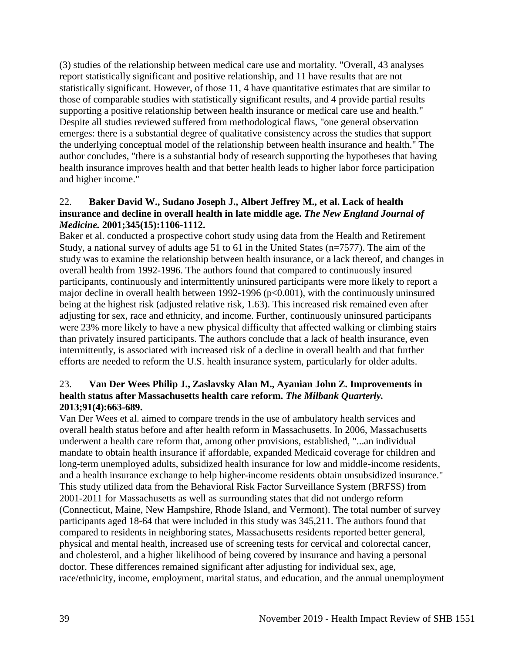(3) studies of the relationship between medical care use and mortality. "Overall, 43 analyses report statistically significant and positive relationship, and 11 have results that are not statistically significant. However, of those 11, 4 have quantitative estimates that are similar to those of comparable studies with statistically significant results, and 4 provide partial results supporting a positive relationship between health insurance or medical care use and health." Despite all studies reviewed suffered from methodological flaws, "one general observation emerges: there is a substantial degree of qualitative consistency across the studies that support the underlying conceptual model of the relationship between health insurance and health." The author concludes, "there is a substantial body of research supporting the hypotheses that having health insurance improves health and that better health leads to higher labor force participation and higher income."

### 22. **Baker David W., Sudano Joseph J., Albert Jeffrey M., et al. Lack of health insurance and decline in overall health in late middle age.** *The New England Journal of Medicine.* **2001;345(15):1106-1112.**

Baker et al. conducted a prospective cohort study using data from the Health and Retirement Study, a national survey of adults age 51 to 61 in the United States (n=7577). The aim of the study was to examine the relationship between health insurance, or a lack thereof, and changes in overall health from 1992-1996. The authors found that compared to continuously insured participants, continuously and intermittently uninsured participants were more likely to report a major decline in overall health between 1992-1996 ( $p<0.001$ ), with the continuously uninsured being at the highest risk (adjusted relative risk, 1.63). This increased risk remained even after adjusting for sex, race and ethnicity, and income. Further, continuously uninsured participants were 23% more likely to have a new physical difficulty that affected walking or climbing stairs than privately insured participants. The authors conclude that a lack of health insurance, even intermittently, is associated with increased risk of a decline in overall health and that further efforts are needed to reform the U.S. health insurance system, particularly for older adults.

## 23. **Van Der Wees Philip J., Zaslavsky Alan M., Ayanian John Z. Improvements in health status after Massachusetts health care reform.** *The Milbank Quarterly.*  **2013;91(4):663-689.**

Van Der Wees et al. aimed to compare trends in the use of ambulatory health services and overall health status before and after health reform in Massachusetts. In 2006, Massachusetts underwent a health care reform that, among other provisions, established, "...an individual mandate to obtain health insurance if affordable, expanded Medicaid coverage for children and long-term unemployed adults, subsidized health insurance for low and middle-income residents, and a health insurance exchange to help higher-income residents obtain unsubsidized insurance." This study utilized data from the Behavioral Risk Factor Surveillance System (BRFSS) from 2001-2011 for Massachusetts as well as surrounding states that did not undergo reform (Connecticut, Maine, New Hampshire, Rhode Island, and Vermont). The total number of survey participants aged 18-64 that were included in this study was 345,211. The authors found that compared to residents in neighboring states, Massachusetts residents reported better general, physical and mental health, increased use of screening tests for cervical and colorectal cancer, and cholesterol, and a higher likelihood of being covered by insurance and having a personal doctor. These differences remained significant after adjusting for individual sex, age, race/ethnicity, income, employment, marital status, and education, and the annual unemployment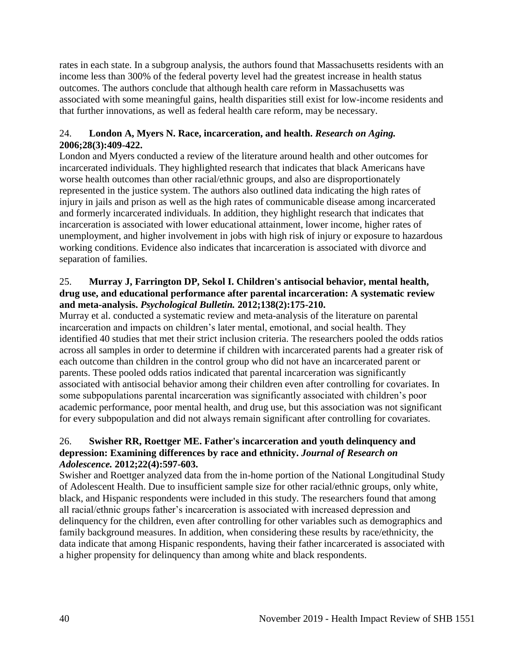rates in each state. In a subgroup analysis, the authors found that Massachusetts residents with an income less than 300% of the federal poverty level had the greatest increase in health status outcomes. The authors conclude that although health care reform in Massachusetts was associated with some meaningful gains, health disparities still exist for low-income residents and that further innovations, as well as federal health care reform, may be necessary.

## 24. **London A, Myers N. Race, incarceration, and health.** *Research on Aging.*  **2006;28(3):409-422.**

London and Myers conducted a review of the literature around health and other outcomes for incarcerated individuals. They highlighted research that indicates that black Americans have worse health outcomes than other racial/ethnic groups, and also are disproportionately represented in the justice system. The authors also outlined data indicating the high rates of injury in jails and prison as well as the high rates of communicable disease among incarcerated and formerly incarcerated individuals. In addition, they highlight research that indicates that incarceration is associated with lower educational attainment, lower income, higher rates of unemployment, and higher involvement in jobs with high risk of injury or exposure to hazardous working conditions. Evidence also indicates that incarceration is associated with divorce and separation of families.

## 25. **Murray J, Farrington DP, Sekol I. Children's antisocial behavior, mental health, drug use, and educational performance after parental incarceration: A systematic review and meta-analysis.** *Psychological Bulletin.* **2012;138(2):175-210.**

Murray et al. conducted a systematic review and meta-analysis of the literature on parental incarceration and impacts on children's later mental, emotional, and social health. They identified 40 studies that met their strict inclusion criteria. The researchers pooled the odds ratios across all samples in order to determine if children with incarcerated parents had a greater risk of each outcome than children in the control group who did not have an incarcerated parent or parents. These pooled odds ratios indicated that parental incarceration was significantly associated with antisocial behavior among their children even after controlling for covariates. In some subpopulations parental incarceration was significantly associated with children's poor academic performance, poor mental health, and drug use, but this association was not significant for every subpopulation and did not always remain significant after controlling for covariates.

# 26. **Swisher RR, Roettger ME. Father's incarceration and youth delinquency and depression: Examining differences by race and ethnicity.** *Journal of Research on Adolescence.* **2012;22(4):597-603.**

Swisher and Roettger analyzed data from the in-home portion of the National Longitudinal Study of Adolescent Health. Due to insufficient sample size for other racial/ethnic groups, only white, black, and Hispanic respondents were included in this study. The researchers found that among all racial/ethnic groups father's incarceration is associated with increased depression and delinquency for the children, even after controlling for other variables such as demographics and family background measures. In addition, when considering these results by race/ethnicity, the data indicate that among Hispanic respondents, having their father incarcerated is associated with a higher propensity for delinquency than among white and black respondents.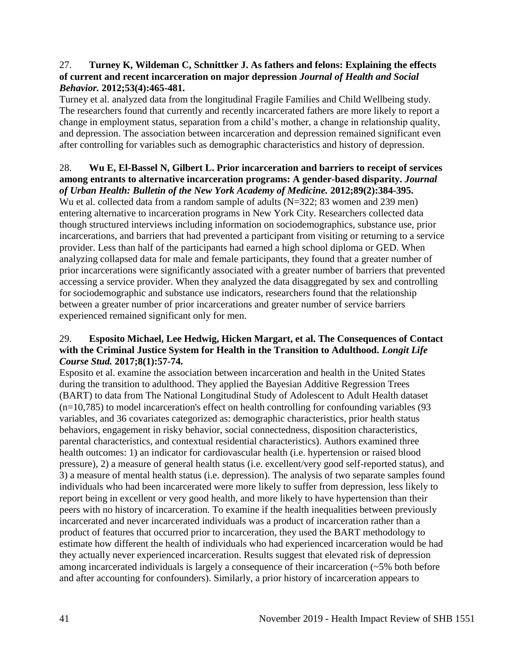### 27. **Turney K, Wildeman C, Schnittker J. As fathers and felons: Explaining the effects of current and recent incarceration on major depression** *Journal of Health and Social Behavior.* **2012;53(4):465-481.**

Turney et al. analyzed data from the longitudinal Fragile Families and Child Wellbeing study. The researchers found that currently and recently incarcerated fathers are more likely to report a change in employment status, separation from a child's mother, a change in relationship quality, and depression. The association between incarceration and depression remained significant even after controlling for variables such as demographic characteristics and history of depression.

### 28. **Wu E, El-Bassel N, Gilbert L. Prior incarceration and barriers to receipt of services among entrants to alternative incarceration programs: A gender-based disparity.** *Journal of Urban Health: Bulletin of the New York Academy of Medicine.* **2012;89(2):384-395.**

Wu et al. collected data from a random sample of adults (N=322; 83 women and 239 men) entering alternative to incarceration programs in New York City. Researchers collected data though structured interviews including information on sociodemographics, substance use, prior incarcerations, and barriers that had prevented a participant from visiting or returning to a service provider. Less than half of the participants had earned a high school diploma or GED. When analyzing collapsed data for male and female participants, they found that a greater number of prior incarcerations were significantly associated with a greater number of barriers that prevented accessing a service provider. When they analyzed the data disaggregated by sex and controlling for sociodemographic and substance use indicators, researchers found that the relationship between a greater number of prior incarcerations and greater number of service barriers experienced remained significant only for men.

## 29. **Esposito Michael, Lee Hedwig, Hicken Margart, et al. The Consequences of Contact with the Criminal Justice System for Health in the Transition to Adulthood.** *Longit Life Course Stud.* **2017;8(1):57-74.**

Esposito et al. examine the association between incarceration and health in the United States during the transition to adulthood. They applied the Bayesian Additive Regression Trees (BART) to data from The National Longitudinal Study of Adolescent to Adult Health dataset (n=10,785) to model incarceration's effect on health controlling for confounding variables (93 variables, and 36 covariates categorized as: demographic characteristics, prior health status behaviors, engagement in risky behavior, social connectedness, disposition characteristics, parental characteristics, and contextual residential characteristics). Authors examined three health outcomes: 1) an indicator for cardiovascular health (i.e. hypertension or raised blood pressure), 2) a measure of general health status (i.e. excellent/very good self-reported status), and 3) a measure of mental health status (i.e. depression). The analysis of two separate samples found individuals who had been incarcerated were more likely to suffer from depression, less likely to report being in excellent or very good health, and more likely to have hypertension than their peers with no history of incarceration. To examine if the health inequalities between previously incarcerated and never incarcerated individuals was a product of incarceration rather than a product of features that occurred prior to incarceration, they used the BART methodology to estimate how different the health of individuals who had experienced incarceration would be had they actually never experienced incarceration. Results suggest that elevated risk of depression among incarcerated individuals is largely a consequence of their incarceration (~5% both before and after accounting for confounders). Similarly, a prior history of incarceration appears to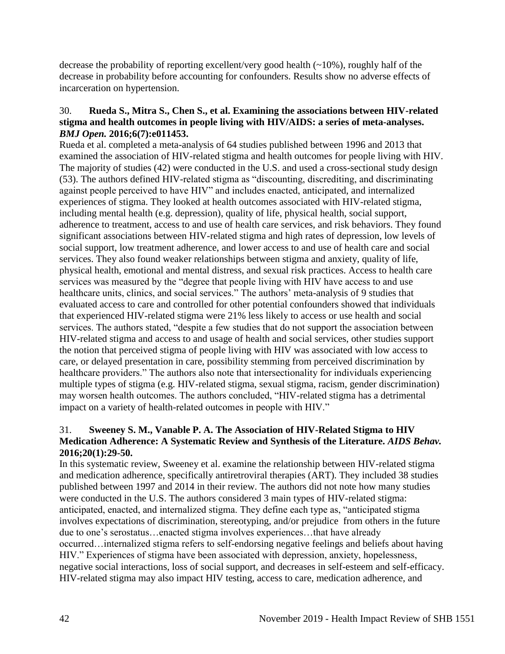decrease the probability of reporting excellent/very good health  $(\sim 10\%)$ , roughly half of the decrease in probability before accounting for confounders. Results show no adverse effects of incarceration on hypertension.

## 30. **Rueda S., Mitra S., Chen S., et al. Examining the associations between HIV-related stigma and health outcomes in people living with HIV/AIDS: a series of meta-analyses.**  *BMJ Open.* **2016;6(7):e011453.**

Rueda et al. completed a meta-analysis of 64 studies published between 1996 and 2013 that examined the association of HIV-related stigma and health outcomes for people living with HIV. The majority of studies (42) were conducted in the U.S. and used a cross-sectional study design (53). The authors defined HIV-related stigma as "discounting, discrediting, and discriminating against people perceived to have HIV" and includes enacted, anticipated, and internalized experiences of stigma. They looked at health outcomes associated with HIV-related stigma, including mental health (e.g. depression), quality of life, physical health, social support, adherence to treatment, access to and use of health care services, and risk behaviors. They found significant associations between HIV-related stigma and high rates of depression, low levels of social support, low treatment adherence, and lower access to and use of health care and social services. They also found weaker relationships between stigma and anxiety, quality of life, physical health, emotional and mental distress, and sexual risk practices. Access to health care services was measured by the "degree that people living with HIV have access to and use healthcare units, clinics, and social services." The authors' meta-analysis of 9 studies that evaluated access to care and controlled for other potential confounders showed that individuals that experienced HIV-related stigma were 21% less likely to access or use health and social services. The authors stated, "despite a few studies that do not support the association between HIV-related stigma and access to and usage of health and social services, other studies support the notion that perceived stigma of people living with HIV was associated with low access to care, or delayed presentation in care, possibility stemming from perceived discrimination by healthcare providers." The authors also note that intersectionality for individuals experiencing multiple types of stigma (e.g. HIV-related stigma, sexual stigma, racism, gender discrimination) may worsen health outcomes. The authors concluded, "HIV-related stigma has a detrimental impact on a variety of health-related outcomes in people with HIV."

## 31. **Sweeney S. M., Vanable P. A. The Association of HIV-Related Stigma to HIV Medication Adherence: A Systematic Review and Synthesis of the Literature.** *AIDS Behav.*  **2016;20(1):29-50.**

In this systematic review, Sweeney et al. examine the relationship between HIV-related stigma and medication adherence, specifically antiretroviral therapies (ART). They included 38 studies published between 1997 and 2014 in their review. The authors did not note how many studies were conducted in the U.S. The authors considered 3 main types of HIV-related stigma: anticipated, enacted, and internalized stigma. They define each type as, "anticipated stigma involves expectations of discrimination, stereotyping, and/or prejudice from others in the future due to one's serostatus…enacted stigma involves experiences…that have already occurred…internalized stigma refers to self-endorsing negative feelings and beliefs about having HIV." Experiences of stigma have been associated with depression, anxiety, hopelessness, negative social interactions, loss of social support, and decreases in self-esteem and self-efficacy. HIV-related stigma may also impact HIV testing, access to care, medication adherence, and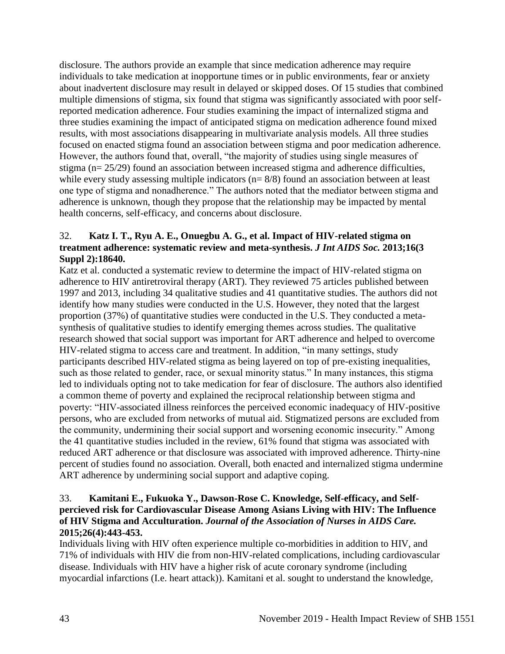disclosure. The authors provide an example that since medication adherence may require individuals to take medication at inopportune times or in public environments, fear or anxiety about inadvertent disclosure may result in delayed or skipped doses. Of 15 studies that combined multiple dimensions of stigma, six found that stigma was significantly associated with poor selfreported medication adherence. Four studies examining the impact of internalized stigma and three studies examining the impact of anticipated stigma on medication adherence found mixed results, with most associations disappearing in multivariate analysis models. All three studies focused on enacted stigma found an association between stigma and poor medication adherence. However, the authors found that, overall, "the majority of studies using single measures of stigma (n= 25/29) found an association between increased stigma and adherence difficulties, while every study assessing multiple indicators ( $n= 8/8$ ) found an association between at least one type of stigma and nonadherence." The authors noted that the mediator between stigma and adherence is unknown, though they propose that the relationship may be impacted by mental health concerns, self-efficacy, and concerns about disclosure.

# 32. **Katz I. T., Ryu A. E., Onuegbu A. G., et al. Impact of HIV-related stigma on treatment adherence: systematic review and meta-synthesis.** *J Int AIDS Soc.* **2013;16(3 Suppl 2):18640.**

Katz et al. conducted a systematic review to determine the impact of HIV-related stigma on adherence to HIV antiretroviral therapy (ART). They reviewed 75 articles published between 1997 and 2013, including 34 qualitative studies and 41 quantitative studies. The authors did not identify how many studies were conducted in the U.S. However, they noted that the largest proportion (37%) of quantitative studies were conducted in the U.S. They conducted a metasynthesis of qualitative studies to identify emerging themes across studies. The qualitative research showed that social support was important for ART adherence and helped to overcome HIV-related stigma to access care and treatment. In addition, "in many settings, study participants described HIV-related stigma as being layered on top of pre-existing inequalities, such as those related to gender, race, or sexual minority status." In many instances, this stigma led to individuals opting not to take medication for fear of disclosure. The authors also identified a common theme of poverty and explained the reciprocal relationship between stigma and poverty: "HIV-associated illness reinforces the perceived economic inadequacy of HIV-positive persons, who are excluded from networks of mutual aid. Stigmatized persons are excluded from the community, undermining their social support and worsening economic insecurity." Among the 41 quantitative studies included in the review, 61% found that stigma was associated with reduced ART adherence or that disclosure was associated with improved adherence. Thirty-nine percent of studies found no association. Overall, both enacted and internalized stigma undermine ART adherence by undermining social support and adaptive coping.

# 33. **Kamitani E., Fukuoka Y., Dawson-Rose C. Knowledge, Self-efficacy, and Selfpercieved risk for Cardiovascular Disease Among Asians Living with HIV: The Influence of HIV Stigma and Acculturation.** *Journal of the Association of Nurses in AIDS Care.*  **2015;26(4):443-453.**

Individuals living with HIV often experience multiple co-morbidities in addition to HIV, and 71% of individuals with HIV die from non-HIV-related complications, including cardiovascular disease. Individuals with HIV have a higher risk of acute coronary syndrome (including myocardial infarctions (I.e. heart attack)). Kamitani et al. sought to understand the knowledge,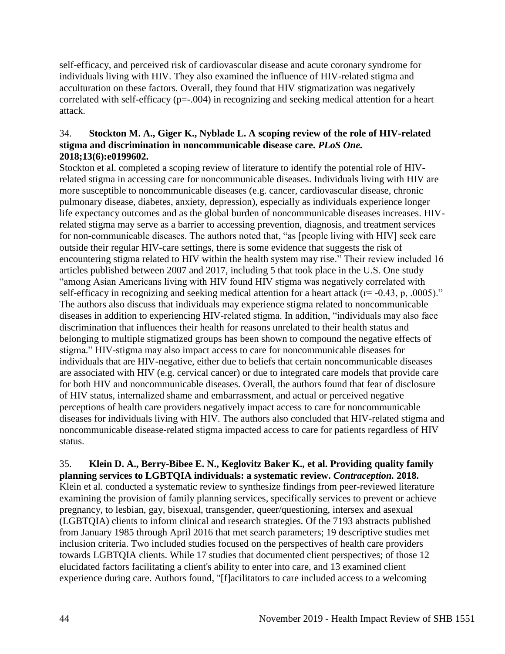self-efficacy, and perceived risk of cardiovascular disease and acute coronary syndrome for individuals living with HIV. They also examined the influence of HIV-related stigma and acculturation on these factors. Overall, they found that HIV stigmatization was negatively correlated with self-efficacy (p=-.004) in recognizing and seeking medical attention for a heart attack.

### 34. **Stockton M. A., Giger K., Nyblade L. A scoping review of the role of HIV-related stigma and discrimination in noncommunicable disease care.** *PLoS One.*  **2018;13(6):e0199602.**

Stockton et al. completed a scoping review of literature to identify the potential role of HIVrelated stigma in accessing care for noncommunicable diseases. Individuals living with HIV are more susceptible to noncommunicable diseases (e.g. cancer, cardiovascular disease, chronic pulmonary disease, diabetes, anxiety, depression), especially as individuals experience longer life expectancy outcomes and as the global burden of noncommunicable diseases increases. HIVrelated stigma may serve as a barrier to accessing prevention, diagnosis, and treatment services for non-communicable diseases. The authors noted that, "as [people living with HIV] seek care outside their regular HIV-care settings, there is some evidence that suggests the risk of encountering stigma related to HIV within the health system may rise." Their review included 16 articles published between 2007 and 2017, including 5 that took place in the U.S. One study "among Asian Americans living with HIV found HIV stigma was negatively correlated with self-efficacy in recognizing and seeking medical attention for a heart attack ( $r = -0.43$ , p, .0005)." The authors also discuss that individuals may experience stigma related to noncommunicable diseases in addition to experiencing HIV-related stigma. In addition, "individuals may also face discrimination that influences their health for reasons unrelated to their health status and belonging to multiple stigmatized groups has been shown to compound the negative effects of stigma." HIV-stigma may also impact access to care for noncommunicable diseases for individuals that are HIV-negative, either due to beliefs that certain noncommunicable diseases are associated with HIV (e.g. cervical cancer) or due to integrated care models that provide care for both HIV and noncommunicable diseases. Overall, the authors found that fear of disclosure of HIV status, internalized shame and embarrassment, and actual or perceived negative perceptions of health care providers negatively impact access to care for noncommunicable diseases for individuals living with HIV. The authors also concluded that HIV-related stigma and noncommunicable disease-related stigma impacted access to care for patients regardless of HIV status.

35. **Klein D. A., Berry-Bibee E. N., Keglovitz Baker K., et al. Providing quality family planning services to LGBTQIA individuals: a systematic review.** *Contraception.* **2018.** Klein et al. conducted a systematic review to synthesize findings from peer-reviewed literature examining the provision of family planning services, specifically services to prevent or achieve pregnancy, to lesbian, gay, bisexual, transgender, queer/questioning, intersex and asexual (LGBTQIA) clients to inform clinical and research strategies. Of the 7193 abstracts published from January 1985 through April 2016 that met search parameters; 19 descriptive studies met inclusion criteria. Two included studies focused on the perspectives of health care providers towards LGBTQIA clients. While 17 studies that documented client perspectives; of those 12 elucidated factors facilitating a client's ability to enter into care, and 13 examined client experience during care. Authors found, "[f]acilitators to care included access to a welcoming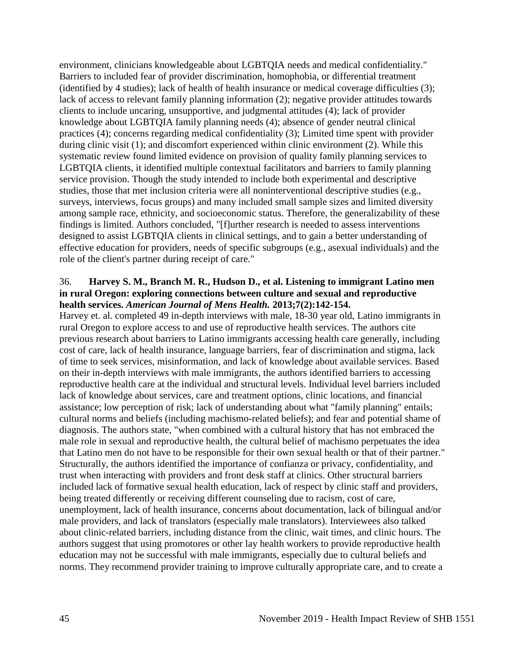environment, clinicians knowledgeable about LGBTQIA needs and medical confidentiality." Barriers to included fear of provider discrimination, homophobia, or differential treatment (identified by 4 studies); lack of health of health insurance or medical coverage difficulties (3); lack of access to relevant family planning information (2); negative provider attitudes towards clients to include uncaring, unsupportive, and judgmental attitudes (4); lack of provider knowledge about LGBTQIA family planning needs (4); absence of gender neutral clinical practices (4); concerns regarding medical confidentiality (3); Limited time spent with provider during clinic visit (1); and discomfort experienced within clinic environment (2). While this systematic review found limited evidence on provision of quality family planning services to LGBTQIA clients, it identified multiple contextual facilitators and barriers to family planning service provision. Though the study intended to include both experimental and descriptive studies, those that met inclusion criteria were all noninterventional descriptive studies (e.g., surveys, interviews, focus groups) and many included small sample sizes and limited diversity among sample race, ethnicity, and socioeconomic status. Therefore, the generalizability of these findings is limited. Authors concluded, "[f]urther research is needed to assess interventions designed to assist LGBTQIA clients in clinical settings, and to gain a better understanding of effective education for providers, needs of specific subgroups (e.g., asexual individuals) and the role of the client's partner during receipt of care."

### 36. **Harvey S. M., Branch M. R., Hudson D., et al. Listening to immigrant Latino men in rural Oregon: exploring connections between culture and sexual and reproductive health services.** *American Journal of Mens Health.* **2013;7(2):142-154.**

Harvey et. al. completed 49 in-depth interviews with male, 18-30 year old, Latino immigrants in rural Oregon to explore access to and use of reproductive health services. The authors cite previous research about barriers to Latino immigrants accessing health care generally, including cost of care, lack of health insurance, language barriers, fear of discrimination and stigma, lack of time to seek services, misinformation, and lack of knowledge about available services. Based on their in-depth interviews with male immigrants, the authors identified barriers to accessing reproductive health care at the individual and structural levels. Individual level barriers included lack of knowledge about services, care and treatment options, clinic locations, and financial assistance; low perception of risk; lack of understanding about what "family planning" entails; cultural norms and beliefs (including machismo-related beliefs); and fear and potential shame of diagnosis. The authors state, "when combined with a cultural history that has not embraced the male role in sexual and reproductive health, the cultural belief of machismo perpetuates the idea that Latino men do not have to be responsible for their own sexual health or that of their partner." Structurally, the authors identified the importance of confianza or privacy, confidentiality, and trust when interacting with providers and front desk staff at clinics. Other structural barriers included lack of formative sexual health education, lack of respect by clinic staff and providers, being treated differently or receiving different counseling due to racism, cost of care, unemployment, lack of health insurance, concerns about documentation, lack of bilingual and/or male providers, and lack of translators (especially male translators). Interviewees also talked about clinic-related barriers, including distance from the clinic, wait times, and clinic hours. The authors suggest that using promotores or other lay health workers to provide reproductive health education may not be successful with male immigrants, especially due to cultural beliefs and norms. They recommend provider training to improve culturally appropriate care, and to create a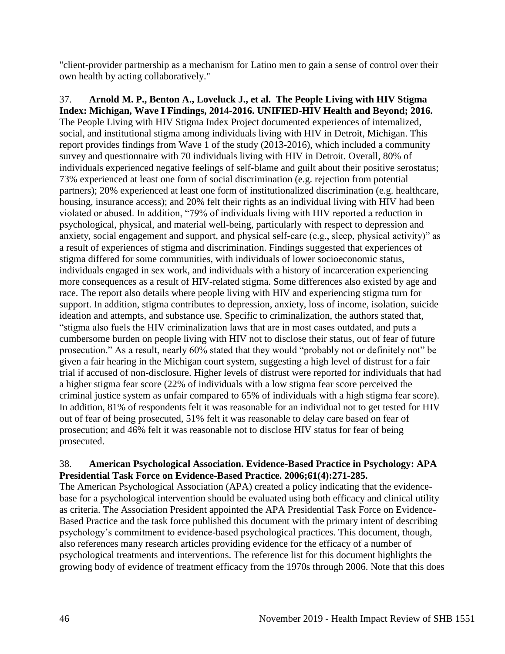"client-provider partnership as a mechanism for Latino men to gain a sense of control over their own health by acting collaboratively."

37. **Arnold M. P., Benton A., Loveluck J., et al. The People Living with HIV Stigma Index: Michigan, Wave I Findings, 2014-2016. UNIFIED-HIV Health and Beyond; 2016.** The People Living with HIV Stigma Index Project documented experiences of internalized, social, and institutional stigma among individuals living with HIV in Detroit, Michigan. This report provides findings from Wave 1 of the study (2013-2016), which included a community survey and questionnaire with 70 individuals living with HIV in Detroit. Overall, 80% of individuals experienced negative feelings of self-blame and guilt about their positive serostatus; 73% experienced at least one form of social discrimination (e.g. rejection from potential partners); 20% experienced at least one form of institutionalized discrimination (e.g. healthcare, housing, insurance access); and 20% felt their rights as an individual living with HIV had been violated or abused. In addition, "79% of individuals living with HIV reported a reduction in psychological, physical, and material well-being, particularly with respect to depression and anxiety, social engagement and support, and physical self-care (e.g., sleep, physical activity)" as a result of experiences of stigma and discrimination. Findings suggested that experiences of stigma differed for some communities, with individuals of lower socioeconomic status, individuals engaged in sex work, and individuals with a history of incarceration experiencing more consequences as a result of HIV-related stigma. Some differences also existed by age and race. The report also details where people living with HIV and experiencing stigma turn for support. In addition, stigma contributes to depression, anxiety, loss of income, isolation, suicide ideation and attempts, and substance use. Specific to criminalization, the authors stated that, "stigma also fuels the HIV criminalization laws that are in most cases outdated, and puts a cumbersome burden on people living with HIV not to disclose their status, out of fear of future prosecution." As a result, nearly 60% stated that they would "probably not or definitely not" be given a fair hearing in the Michigan court system, suggesting a high level of distrust for a fair trial if accused of non-disclosure. Higher levels of distrust were reported for individuals that had a higher stigma fear score (22% of individuals with a low stigma fear score perceived the criminal justice system as unfair compared to 65% of individuals with a high stigma fear score). In addition, 81% of respondents felt it was reasonable for an individual not to get tested for HIV out of fear of being prosecuted, 51% felt it was reasonable to delay care based on fear of prosecution; and 46% felt it was reasonable not to disclose HIV status for fear of being prosecuted.

## 38. **American Psychological Association. Evidence-Based Practice in Psychology: APA Presidential Task Force on Evidence-Based Practice. 2006;61(4):271-285.**

The American Psychological Association (APA) created a policy indicating that the evidencebase for a psychological intervention should be evaluated using both efficacy and clinical utility as criteria. The Association President appointed the APA Presidential Task Force on Evidence-Based Practice and the task force published this document with the primary intent of describing psychology's commitment to evidence-based psychological practices. This document, though, also references many research articles providing evidence for the efficacy of a number of psychological treatments and interventions. The reference list for this document highlights the growing body of evidence of treatment efficacy from the 1970s through 2006. Note that this does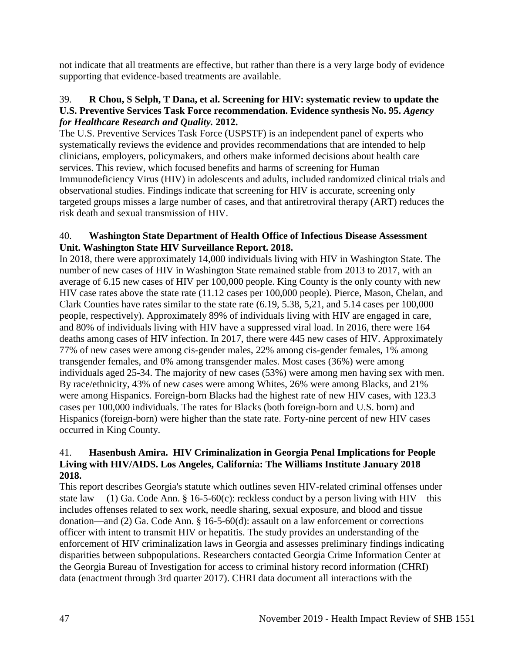not indicate that all treatments are effective, but rather than there is a very large body of evidence supporting that evidence-based treatments are available.

### 39. **R Chou, S Selph, T Dana, et al. Screening for HIV: systematic review to update the U.S. Preventive Services Task Force recommendation. Evidence synthesis No. 95.** *Agency for Healthcare Research and Quality.* **2012.**

The U.S. Preventive Services Task Force (USPSTF) is an independent panel of experts who systematically reviews the evidence and provides recommendations that are intended to help clinicians, employers, policymakers, and others make informed decisions about health care services. This review, which focused benefits and harms of screening for Human Immunodeficiency Virus (HIV) in adolescents and adults, included randomized clinical trials and observational studies. Findings indicate that screening for HIV is accurate, screening only targeted groups misses a large number of cases, and that antiretroviral therapy (ART) reduces the risk death and sexual transmission of HIV.

### 40. **Washington State Department of Health Office of Infectious Disease Assessment Unit. Washington State HIV Surveillance Report. 2018.**

In 2018, there were approximately 14,000 individuals living with HIV in Washington State. The number of new cases of HIV in Washington State remained stable from 2013 to 2017, with an average of 6.15 new cases of HIV per 100,000 people. King County is the only county with new HIV case rates above the state rate (11.12 cases per 100,000 people). Pierce, Mason, Chelan, and Clark Counties have rates similar to the state rate (6.19, 5.38, 5,21, and 5.14 cases per 100,000 people, respectively). Approximately 89% of individuals living with HIV are engaged in care, and 80% of individuals living with HIV have a suppressed viral load. In 2016, there were 164 deaths among cases of HIV infection. In 2017, there were 445 new cases of HIV. Approximately 77% of new cases were among cis-gender males, 22% among cis-gender females, 1% among transgender females, and 0% among transgender males. Most cases (36%) were among individuals aged 25-34. The majority of new cases (53%) were among men having sex with men. By race/ethnicity, 43% of new cases were among Whites, 26% were among Blacks, and 21% were among Hispanics. Foreign-born Blacks had the highest rate of new HIV cases, with 123.3 cases per 100,000 individuals. The rates for Blacks (both foreign-born and U.S. born) and Hispanics (foreign-born) were higher than the state rate. Forty-nine percent of new HIV cases occurred in King County.

## 41. **Hasenbush Amira. HIV Criminalization in Georgia Penal Implications for People Living with HIV/AIDS. Los Angeles, California: The Williams Institute January 2018 2018.**

This report describes Georgia's statute which outlines seven HIV-related criminal offenses under state law— (1) Ga. Code Ann. § 16-5-60(c): reckless conduct by a person living with HIV—this includes offenses related to sex work, needle sharing, sexual exposure, and blood and tissue donation—and (2) Ga. Code Ann. § 16-5-60(d): assault on a law enforcement or corrections officer with intent to transmit HIV or hepatitis. The study provides an understanding of the enforcement of HIV criminalization laws in Georgia and assesses preliminary findings indicating disparities between subpopulations. Researchers contacted Georgia Crime Information Center at the Georgia Bureau of Investigation for access to criminal history record information (CHRI) data (enactment through 3rd quarter 2017). CHRI data document all interactions with the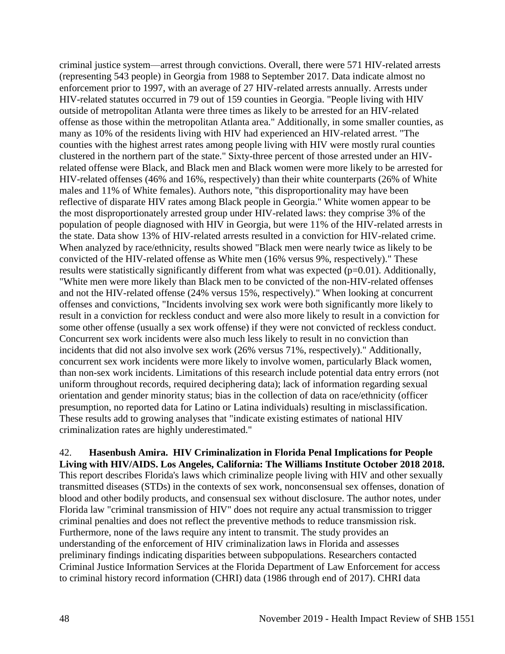criminal justice system—arrest through convictions. Overall, there were 571 HIV-related arrests (representing 543 people) in Georgia from 1988 to September 2017. Data indicate almost no enforcement prior to 1997, with an average of 27 HIV-related arrests annually. Arrests under HIV-related statutes occurred in 79 out of 159 counties in Georgia. "People living with HIV outside of metropolitan Atlanta were three times as likely to be arrested for an HIV-related offense as those within the metropolitan Atlanta area." Additionally, in some smaller counties, as many as 10% of the residents living with HIV had experienced an HIV-related arrest. "The counties with the highest arrest rates among people living with HIV were mostly rural counties clustered in the northern part of the state." Sixty-three percent of those arrested under an HIVrelated offense were Black, and Black men and Black women were more likely to be arrested for HIV-related offenses (46% and 16%, respectively) than their white counterparts (26% of White males and 11% of White females). Authors note, "this disproportionality may have been reflective of disparate HIV rates among Black people in Georgia." White women appear to be the most disproportionately arrested group under HIV-related laws: they comprise 3% of the population of people diagnosed with HIV in Georgia, but were 11% of the HIV-related arrests in the state. Data show 13% of HIV-related arrests resulted in a conviction for HIV-related crime. When analyzed by race/ethnicity, results showed "Black men were nearly twice as likely to be convicted of the HIV-related offense as White men (16% versus 9%, respectively)." These results were statistically significantly different from what was expected (p=0.01). Additionally, "White men were more likely than Black men to be convicted of the non-HIV-related offenses and not the HIV-related offense (24% versus 15%, respectively)." When looking at concurrent offenses and convictions, "Incidents involving sex work were both significantly more likely to result in a conviction for reckless conduct and were also more likely to result in a conviction for some other offense (usually a sex work offense) if they were not convicted of reckless conduct. Concurrent sex work incidents were also much less likely to result in no conviction than incidents that did not also involve sex work (26% versus 71%, respectively)." Additionally, concurrent sex work incidents were more likely to involve women, particularly Black women, than non-sex work incidents. Limitations of this research include potential data entry errors (not uniform throughout records, required deciphering data); lack of information regarding sexual orientation and gender minority status; bias in the collection of data on race/ethnicity (officer presumption, no reported data for Latino or Latina individuals) resulting in misclassification. These results add to growing analyses that "indicate existing estimates of national HIV criminalization rates are highly underestimated."

42. **Hasenbush Amira. HIV Criminalization in Florida Penal Implications for People Living with HIV/AIDS. Los Angeles, California: The Williams Institute October 2018 2018.** This report describes Florida's laws which criminalize people living with HIV and other sexually transmitted diseases (STDs) in the contexts of sex work, nonconsensual sex offenses, donation of blood and other bodily products, and consensual sex without disclosure. The author notes, under Florida law "criminal transmission of HIV" does not require any actual transmission to trigger criminal penalties and does not reflect the preventive methods to reduce transmission risk. Furthermore, none of the laws require any intent to transmit. The study provides an understanding of the enforcement of HIV criminalization laws in Florida and assesses preliminary findings indicating disparities between subpopulations. Researchers contacted Criminal Justice Information Services at the Florida Department of Law Enforcement for access to criminal history record information (CHRI) data (1986 through end of 2017). CHRI data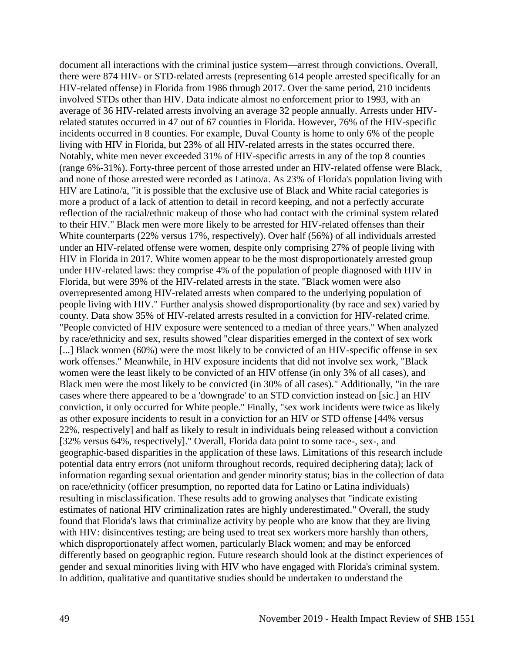document all interactions with the criminal justice system—arrest through convictions. Overall, there were 874 HIV- or STD-related arrests (representing 614 people arrested specifically for an HIV-related offense) in Florida from 1986 through 2017. Over the same period, 210 incidents involved STDs other than HIV. Data indicate almost no enforcement prior to 1993, with an average of 36 HIV-related arrests involving an average 32 people annually. Arrests under HIVrelated statutes occurred in 47 out of 67 counties in Florida. However, 76% of the HIV-specific incidents occurred in 8 counties. For example, Duval County is home to only 6% of the people living with HIV in Florida, but 23% of all HIV-related arrests in the states occurred there. Notably, white men never exceeded 31% of HIV-specific arrests in any of the top 8 counties (range 6%-31%). Forty-three percent of those arrested under an HIV-related offense were Black, and none of those arrested were recorded as Latino/a. As 23% of Florida's population living with HIV are Latino/a, "it is possible that the exclusive use of Black and White racial categories is more a product of a lack of attention to detail in record keeping, and not a perfectly accurate reflection of the racial/ethnic makeup of those who had contact with the criminal system related to their HIV." Black men were more likely to be arrested for HIV-related offenses than their White counterparts (22% versus 17%, respectively). Over half (56%) of all individuals arrested under an HIV-related offense were women, despite only comprising 27% of people living with HIV in Florida in 2017. White women appear to be the most disproportionately arrested group under HIV-related laws: they comprise 4% of the population of people diagnosed with HIV in Florida, but were 39% of the HIV-related arrests in the state. "Black women were also overrepresented among HIV-related arrests when compared to the underlying population of people living with HIV." Further analysis showed disproportionality (by race and sex) varied by county. Data show 35% of HIV-related arrests resulted in a conviction for HIV-related crime. "People convicted of HIV exposure were sentenced to a median of three years." When analyzed by race/ethnicity and sex, results showed "clear disparities emerged in the context of sex work [...] Black women (60%) were the most likely to be convicted of an HIV-specific offense in sex work offenses." Meanwhile, in HIV exposure incidents that did not involve sex work, "Black women were the least likely to be convicted of an HIV offense (in only 3% of all cases), and Black men were the most likely to be convicted (in 30% of all cases)." Additionally, "in the rare cases where there appeared to be a 'downgrade' to an STD conviction instead on [sic.] an HIV conviction, it only occurred for White people." Finally, "sex work incidents were twice as likely as other exposure incidents to result in a conviction for an HIV or STD offense [44% versus 22%, respectively] and half as likely to result in individuals being released without a conviction [32% versus 64%, respectively]." Overall, Florida data point to some race-, sex-, and geographic-based disparities in the application of these laws. Limitations of this research include potential data entry errors (not uniform throughout records, required deciphering data); lack of information regarding sexual orientation and gender minority status; bias in the collection of data on race/ethnicity (officer presumption, no reported data for Latino or Latina individuals) resulting in misclassification. These results add to growing analyses that "indicate existing estimates of national HIV criminalization rates are highly underestimated." Overall, the study found that Florida's laws that criminalize activity by people who are know that they are living with HIV: disincentives testing; are being used to treat sex workers more harshly than others, which disproportionately affect women, particularly Black women; and may be enforced differently based on geographic region. Future research should look at the distinct experiences of gender and sexual minorities living with HIV who have engaged with Florida's criminal system. In addition, qualitative and quantitative studies should be undertaken to understand the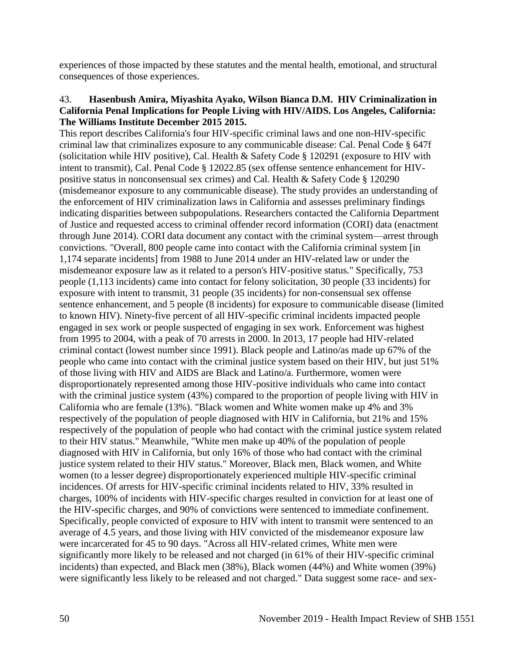experiences of those impacted by these statutes and the mental health, emotional, and structural consequences of those experiences.

### 43. **Hasenbush Amira, Miyashita Ayako, Wilson Bianca D.M. HIV Criminalization in California Penal Implications for People Living with HIV/AIDS. Los Angeles, California: The Williams Institute December 2015 2015.**

This report describes California's four HIV-specific criminal laws and one non-HIV-specific criminal law that criminalizes exposure to any communicable disease: Cal. Penal Code § 647f (solicitation while HIV positive), Cal. Health & Safety Code § 120291 (exposure to HIV with intent to transmit), Cal. Penal Code § 12022.85 (sex offense sentence enhancement for HIVpositive status in nonconsensual sex crimes) and Cal. Health & Safety Code § 120290 (misdemeanor exposure to any communicable disease). The study provides an understanding of the enforcement of HIV criminalization laws in California and assesses preliminary findings indicating disparities between subpopulations. Researchers contacted the California Department of Justice and requested access to criminal offender record information (CORI) data (enactment through June 2014). CORI data document any contact with the criminal system—arrest through convictions. "Overall, 800 people came into contact with the California criminal system [in 1,174 separate incidents] from 1988 to June 2014 under an HIV-related law or under the misdemeanor exposure law as it related to a person's HIV-positive status." Specifically, 753 people (1,113 incidents) came into contact for felony solicitation, 30 people (33 incidents) for exposure with intent to transmit, 31 people (35 incidents) for non-consensual sex offense sentence enhancement, and 5 people (8 incidents) for exposure to communicable disease (limited to known HIV). Ninety-five percent of all HIV-specific criminal incidents impacted people engaged in sex work or people suspected of engaging in sex work. Enforcement was highest from 1995 to 2004, with a peak of 70 arrests in 2000. In 2013, 17 people had HIV-related criminal contact (lowest number since 1991). Black people and Latino/as made up 67% of the people who came into contact with the criminal justice system based on their HIV, but just 51% of those living with HIV and AIDS are Black and Latino/a. Furthermore, women were disproportionately represented among those HIV-positive individuals who came into contact with the criminal justice system (43%) compared to the proportion of people living with HIV in California who are female (13%). "Black women and White women make up 4% and 3% respectively of the population of people diagnosed with HIV in California, but 21% and 15% respectively of the population of people who had contact with the criminal justice system related to their HIV status." Meanwhile, "White men make up 40% of the population of people diagnosed with HIV in California, but only 16% of those who had contact with the criminal justice system related to their HIV status." Moreover, Black men, Black women, and White women (to a lesser degree) disproportionately experienced multiple HIV-specific criminal incidences. Of arrests for HIV-specific criminal incidents related to HIV, 33% resulted in charges, 100% of incidents with HIV-specific charges resulted in conviction for at least one of the HIV-specific charges, and 90% of convictions were sentenced to immediate confinement. Specifically, people convicted of exposure to HIV with intent to transmit were sentenced to an average of 4.5 years, and those living with HIV convicted of the misdemeanor exposure law were incarcerated for 45 to 90 days. "Across all HIV-related crimes, White men were significantly more likely to be released and not charged (in 61% of their HIV-specific criminal incidents) than expected, and Black men (38%), Black women (44%) and White women (39%) were significantly less likely to be released and not charged." Data suggest some race- and sex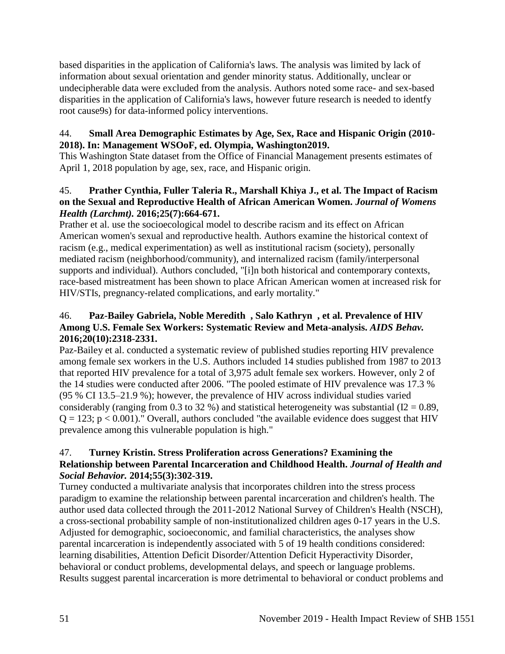based disparities in the application of California's laws. The analysis was limited by lack of information about sexual orientation and gender minority status. Additionally, unclear or undecipherable data were excluded from the analysis. Authors noted some race- and sex-based disparities in the application of California's laws, however future research is needed to identfy root cause9s) for data-informed policy interventions.

# 44. **Small Area Demographic Estimates by Age, Sex, Race and Hispanic Origin (2010- 2018). In: Management WSOoF, ed. Olympia, Washington2019.**

This Washington State dataset from the Office of Financial Management presents estimates of April 1, 2018 population by age, sex, race, and Hispanic origin.

# 45. **Prather Cynthia, Fuller Taleria R., Marshall Khiya J., et al. The Impact of Racism on the Sexual and Reproductive Health of African American Women.** *Journal of Womens Health (Larchmt).* **2016;25(7):664-671.**

Prather et al. use the socioecological model to describe racism and its effect on African American women's sexual and reproductive health. Authors examine the historical context of racism (e.g., medical experimentation) as well as institutional racism (society), personally mediated racism (neighborhood/community), and internalized racism (family/interpersonal supports and individual). Authors concluded, "[i]n both historical and contemporary contexts, race-based mistreatment has been shown to place African American women at increased risk for HIV/STIs, pregnancy-related complications, and early mortality."

# 46. **Paz-Bailey Gabriela, Noble Meredith , Salo Kathryn , et al. Prevalence of HIV Among U.S. Female Sex Workers: Systematic Review and Meta-analysis.** *AIDS Behav.*  **2016;20(10):2318-2331.**

Paz-Bailey et al. conducted a systematic review of published studies reporting HIV prevalence among female sex workers in the U.S. Authors included 14 studies published from 1987 to 2013 that reported HIV prevalence for a total of 3,975 adult female sex workers. However, only 2 of the 14 studies were conducted after 2006. "The pooled estimate of HIV prevalence was 17.3 % (95 % CI 13.5–21.9 %); however, the prevalence of HIV across individual studies varied considerably (ranging from 0.3 to 32 %) and statistical heterogeneity was substantial (I2 = 0.89,  $Q = 123$ ;  $p < 0.001$ )." Overall, authors concluded "the available evidence does suggest that HIV prevalence among this vulnerable population is high."

# 47. **Turney Kristin. Stress Proliferation across Generations? Examining the Relationship between Parental Incarceration and Childhood Health.** *Journal of Health and Social Behavior.* **2014;55(3):302-319.**

Turney conducted a multivariate analysis that incorporates children into the stress process paradigm to examine the relationship between parental incarceration and children's health. The author used data collected through the 2011-2012 National Survey of Children's Health (NSCH), a cross-sectional probability sample of non-institutionalized children ages 0-17 years in the U.S. Adjusted for demographic, socioeconomic, and familial characteristics, the analyses show parental incarceration is independently associated with 5 of 19 health conditions considered: learning disabilities, Attention Deficit Disorder/Attention Deficit Hyperactivity Disorder, behavioral or conduct problems, developmental delays, and speech or language problems. Results suggest parental incarceration is more detrimental to behavioral or conduct problems and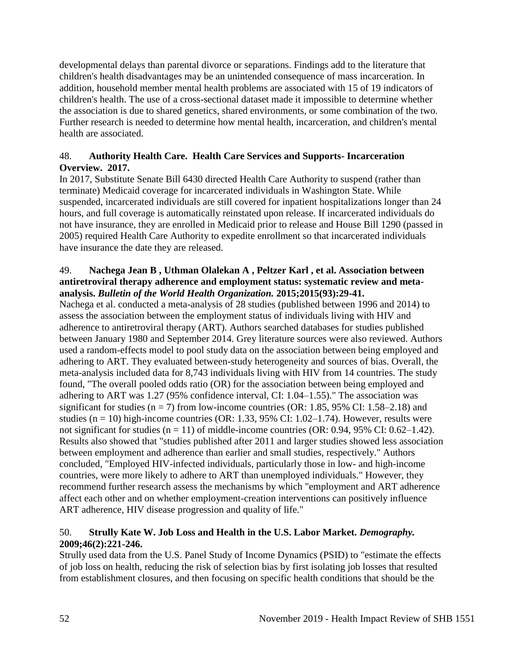developmental delays than parental divorce or separations. Findings add to the literature that children's health disadvantages may be an unintended consequence of mass incarceration. In addition, household member mental health problems are associated with 15 of 19 indicators of children's health. The use of a cross-sectional dataset made it impossible to determine whether the association is due to shared genetics, shared environments, or some combination of the two. Further research is needed to determine how mental health, incarceration, and children's mental health are associated.

## 48. **Authority Health Care. Health Care Services and Supports- Incarceration Overview. 2017.**

In 2017, Substitute Senate Bill 6430 directed Health Care Authority to suspend (rather than terminate) Medicaid coverage for incarcerated individuals in Washington State. While suspended, incarcerated individuals are still covered for inpatient hospitalizations longer than 24 hours, and full coverage is automatically reinstated upon release. If incarcerated individuals do not have insurance, they are enrolled in Medicaid prior to release and House Bill 1290 (passed in 2005) required Health Care Authority to expedite enrollment so that incarcerated individuals have insurance the date they are released.

## 49. **Nachega Jean B , Uthman Olalekan A , Peltzer Karl , et al. Association between antiretroviral therapy adherence and employment status: systematic review and metaanalysis.** *Bulletin of the World Health Organization.* **2015;2015(93):29-41.**

Nachega et al. conducted a meta-analysis of 28 studies (published between 1996 and 2014) to assess the association between the employment status of individuals living with HIV and adherence to antiretroviral therapy (ART). Authors searched databases for studies published between January 1980 and September 2014. Grey literature sources were also reviewed. Authors used a random-effects model to pool study data on the association between being employed and adhering to ART. They evaluated between-study heterogeneity and sources of bias. Overall, the meta-analysis included data for 8,743 individuals living with HIV from 14 countries. The study found, "The overall pooled odds ratio (OR) for the association between being employed and adhering to ART was 1.27 (95% confidence interval, CI: 1.04–1.55)." The association was significant for studies ( $n = 7$ ) from low-income countries (OR: 1.85, 95% CI: 1.58–2.18) and studies ( $n = 10$ ) high-income countries (OR: 1.33, 95% CI: 1.02–1.74). However, results were not significant for studies  $(n = 11)$  of middle-income countries  $(OR: 0.94, 95\% \text{ CI}: 0.62-1.42)$ . Results also showed that "studies published after 2011 and larger studies showed less association between employment and adherence than earlier and small studies, respectively." Authors concluded, "Employed HIV-infected individuals, particularly those in low- and high-income countries, were more likely to adhere to ART than unemployed individuals." However, they recommend further research assess the mechanisms by which "employment and ART adherence affect each other and on whether employment-creation interventions can positively influence ART adherence, HIV disease progression and quality of life."

# 50. **Strully Kate W. Job Loss and Health in the U.S. Labor Market.** *Demography.*  **2009;46(2):221-246.**

Strully used data from the U.S. Panel Study of Income Dynamics (PSID) to "estimate the effects of job loss on health, reducing the risk of selection bias by first isolating job losses that resulted from establishment closures, and then focusing on specific health conditions that should be the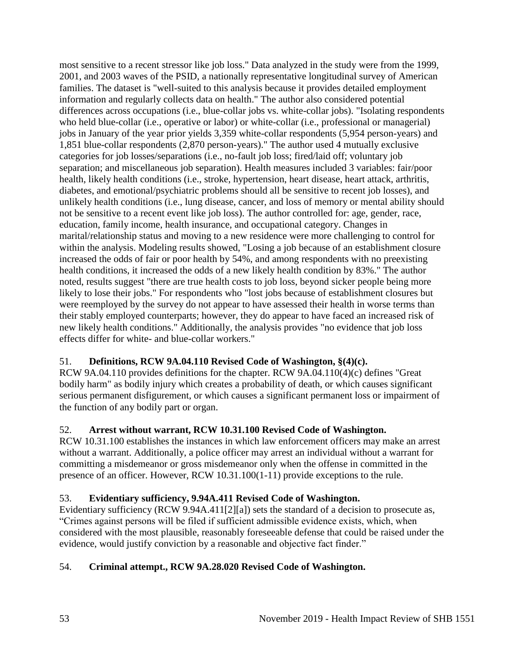most sensitive to a recent stressor like job loss." Data analyzed in the study were from the 1999, 2001, and 2003 waves of the PSID, a nationally representative longitudinal survey of American families. The dataset is "well-suited to this analysis because it provides detailed employment information and regularly collects data on health." The author also considered potential differences across occupations (i.e., blue-collar jobs vs. white-collar jobs). "Isolating respondents who held blue-collar (i.e., operative or labor) or white-collar (i.e., professional or managerial) jobs in January of the year prior yields 3,359 white-collar respondents (5,954 person-years) and 1,851 blue-collar respondents (2,870 person-years)." The author used 4 mutually exclusive categories for job losses/separations (i.e., no-fault job loss; fired/laid off; voluntary job separation; and miscellaneous job separation). Health measures included 3 variables: fair/poor health, likely health conditions (i.e., stroke, hypertension, heart disease, heart attack, arthritis, diabetes, and emotional/psychiatric problems should all be sensitive to recent job losses), and unlikely health conditions (i.e., lung disease, cancer, and loss of memory or mental ability should not be sensitive to a recent event like job loss). The author controlled for: age, gender, race, education, family income, health insurance, and occupational category. Changes in marital/relationship status and moving to a new residence were more challenging to control for within the analysis. Modeling results showed, "Losing a job because of an establishment closure increased the odds of fair or poor health by 54%, and among respondents with no preexisting health conditions, it increased the odds of a new likely health condition by 83%." The author noted, results suggest "there are true health costs to job loss, beyond sicker people being more likely to lose their jobs." For respondents who "lost jobs because of establishment closures but were reemployed by the survey do not appear to have assessed their health in worse terms than their stably employed counterparts; however, they do appear to have faced an increased risk of new likely health conditions." Additionally, the analysis provides "no evidence that job loss effects differ for white- and blue-collar workers."

# 51. **Definitions, RCW 9A.04.110 Revised Code of Washington, §(4)(c).**

RCW 9A.04.110 provides definitions for the chapter. RCW 9A.04.110(4)(c) defines "Great bodily harm" as bodily injury which creates a probability of death, or which causes significant serious permanent disfigurement, or which causes a significant permanent loss or impairment of the function of any bodily part or organ.

# 52. **Arrest without warrant, RCW 10.31.100 Revised Code of Washington.**

RCW 10.31.100 establishes the instances in which law enforcement officers may make an arrest without a warrant. Additionally, a police officer may arrest an individual without a warrant for committing a misdemeanor or gross misdemeanor only when the offense in committed in the presence of an officer. However, RCW 10.31.100(1-11) provide exceptions to the rule.

# 53. **Evidentiary sufficiency, 9.94A.411 Revised Code of Washington.**

Evidentiary sufficiency (RCW 9.94A.411[2][a]) sets the standard of a decision to prosecute as, "Crimes against persons will be filed if sufficient admissible evidence exists, which, when considered with the most plausible, reasonably foreseeable defense that could be raised under the evidence, would justify conviction by a reasonable and objective fact finder."

# 54. **Criminal attempt., RCW 9A.28.020 Revised Code of Washington.**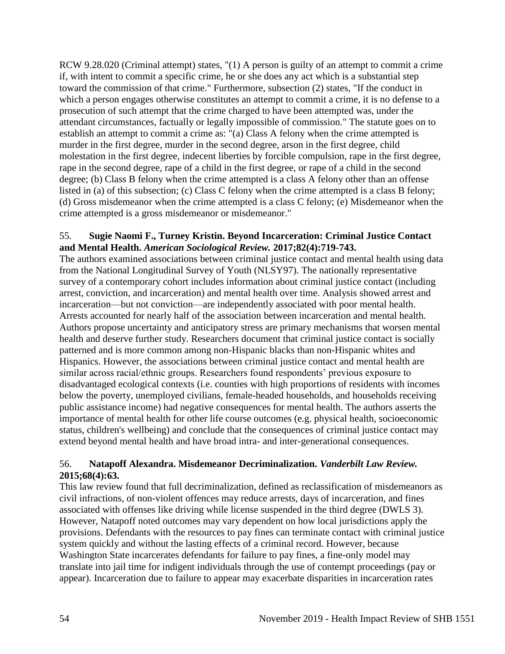RCW 9.28.020 (Criminal attempt) states, "(1) A person is guilty of an attempt to commit a crime if, with intent to commit a specific crime, he or she does any act which is a substantial step toward the commission of that crime." Furthermore, subsection (2) states, "If the conduct in which a person engages otherwise constitutes an attempt to commit a crime, it is no defense to a prosecution of such attempt that the crime charged to have been attempted was, under the attendant circumstances, factually or legally impossible of commission." The statute goes on to establish an attempt to commit a crime as: "(a) Class A felony when the crime attempted is murder in the first degree, murder in the second degree, arson in the first degree, child molestation in the first degree, indecent liberties by forcible compulsion, rape in the first degree, rape in the second degree, rape of a child in the first degree, or rape of a child in the second degree; (b) Class B felony when the crime attempted is a class A felony other than an offense listed in (a) of this subsection; (c) Class C felony when the crime attempted is a class B felony; (d) Gross misdemeanor when the crime attempted is a class C felony; (e) Misdemeanor when the crime attempted is a gross misdemeanor or misdemeanor."

### 55. **Sugie Naomi F., Turney Kristin. Beyond Incarceration: Criminal Justice Contact and Mental Health.** *American Sociological Review.* **2017;82(4):719-743.**

The authors examined associations between criminal justice contact and mental health using data from the National Longitudinal Survey of Youth (NLSY97). The nationally representative survey of a contemporary cohort includes information about criminal justice contact (including arrest, conviction, and incarceration) and mental health over time. Analysis showed arrest and incarceration—but not conviction—are independently associated with poor mental health. Arrests accounted for nearly half of the association between incarceration and mental health. Authors propose uncertainty and anticipatory stress are primary mechanisms that worsen mental health and deserve further study. Researchers document that criminal justice contact is socially patterned and is more common among non-Hispanic blacks than non-Hispanic whites and Hispanics. However, the associations between criminal justice contact and mental health are similar across racial/ethnic groups. Researchers found respondents' previous exposure to disadvantaged ecological contexts (i.e. counties with high proportions of residents with incomes below the poverty, unemployed civilians, female-headed households, and households receiving public assistance income) had negative consequences for mental health. The authors asserts the importance of mental health for other life course outcomes (e.g. physical health, socioeconomic status, children's wellbeing) and conclude that the consequences of criminal justice contact may extend beyond mental health and have broad intra- and inter-generational consequences.

# 56. **Natapoff Alexandra. Misdemeanor Decriminalization.** *Vanderbilt Law Review.*  **2015;68(4):63.**

This law review found that full decriminalization, defined as reclassification of misdemeanors as civil infractions, of non-violent offences may reduce arrests, days of incarceration, and fines associated with offenses like driving while license suspended in the third degree (DWLS 3). However, Natapoff noted outcomes may vary dependent on how local jurisdictions apply the provisions. Defendants with the resources to pay fines can terminate contact with criminal justice system quickly and without the lasting effects of a criminal record. However, because Washington State incarcerates defendants for failure to pay fines, a fine-only model may translate into jail time for indigent individuals through the use of contempt proceedings (pay or appear). Incarceration due to failure to appear may exacerbate disparities in incarceration rates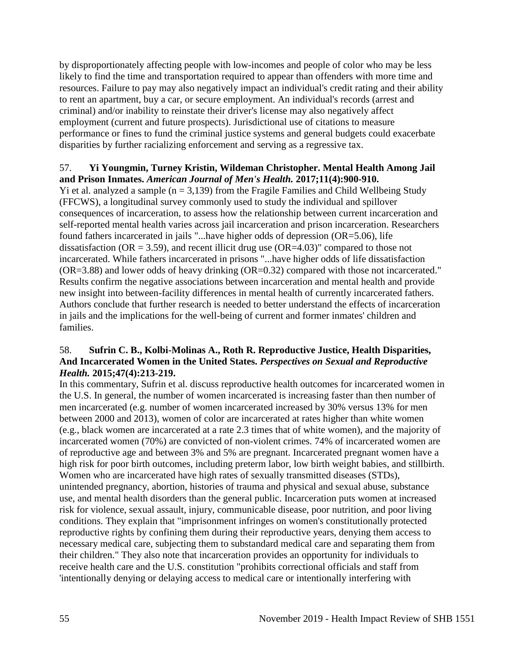by disproportionately affecting people with low-incomes and people of color who may be less likely to find the time and transportation required to appear than offenders with more time and resources. Failure to pay may also negatively impact an individual's credit rating and their ability to rent an apartment, buy a car, or secure employment. An individual's records (arrest and criminal) and/or inability to reinstate their driver's license may also negatively affect employment (current and future prospects). Jurisdictional use of citations to measure performance or fines to fund the criminal justice systems and general budgets could exacerbate disparities by further racializing enforcement and serving as a regressive tax.

## 57. **Yi Youngmin, Turney Kristin, Wildeman Christopher. Mental Health Among Jail and Prison Inmates.** *American Journal of Men's Health.* **2017;11(4):900-910.**

Yi et al. analyzed a sample  $(n = 3,139)$  from the Fragile Families and Child Wellbeing Study (FFCWS), a longitudinal survey commonly used to study the individual and spillover consequences of incarceration, to assess how the relationship between current incarceration and self-reported mental health varies across jail incarceration and prison incarceration. Researchers found fathers incarcerated in jails "...have higher odds of depression (OR=5.06), life dissatisfaction ( $OR = 3.59$ ), and recent illicit drug use ( $OR = 4.03$ )" compared to those not incarcerated. While fathers incarcerated in prisons "...have higher odds of life dissatisfaction (OR=3.88) and lower odds of heavy drinking (OR=0.32) compared with those not incarcerated." Results confirm the negative associations between incarceration and mental health and provide new insight into between-facility differences in mental health of currently incarcerated fathers. Authors conclude that further research is needed to better understand the effects of incarceration in jails and the implications for the well-being of current and former inmates' children and families.

# 58. **Sufrin C. B., Kolbi-Molinas A., Roth R. Reproductive Justice, Health Disparities, And Incarcerated Women in the United States.** *Perspectives on Sexual and Reproductive Health.* **2015;47(4):213-219.**

In this commentary, Sufrin et al. discuss reproductive health outcomes for incarcerated women in the U.S. In general, the number of women incarcerated is increasing faster than then number of men incarcerated (e.g. number of women incarcerated increased by 30% versus 13% for men between 2000 and 2013), women of color are incarcerated at rates higher than white women (e.g., black women are incarcerated at a rate 2.3 times that of white women), and the majority of incarcerated women (70%) are convicted of non-violent crimes. 74% of incarcerated women are of reproductive age and between 3% and 5% are pregnant. Incarcerated pregnant women have a high risk for poor birth outcomes, including preterm labor, low birth weight babies, and stillbirth. Women who are incarcerated have high rates of sexually transmitted diseases (STDs), unintended pregnancy, abortion, histories of trauma and physical and sexual abuse, substance use, and mental health disorders than the general public. Incarceration puts women at increased risk for violence, sexual assault, injury, communicable disease, poor nutrition, and poor living conditions. They explain that "imprisonment infringes on women's constitutionally protected reproductive rights by confining them during their reproductive years, denying them access to necessary medical care, subjecting them to substandard medical care and separating them from their children." They also note that incarceration provides an opportunity for individuals to receive health care and the U.S. constitution "prohibits correctional officials and staff from 'intentionally denying or delaying access to medical care or intentionally interfering with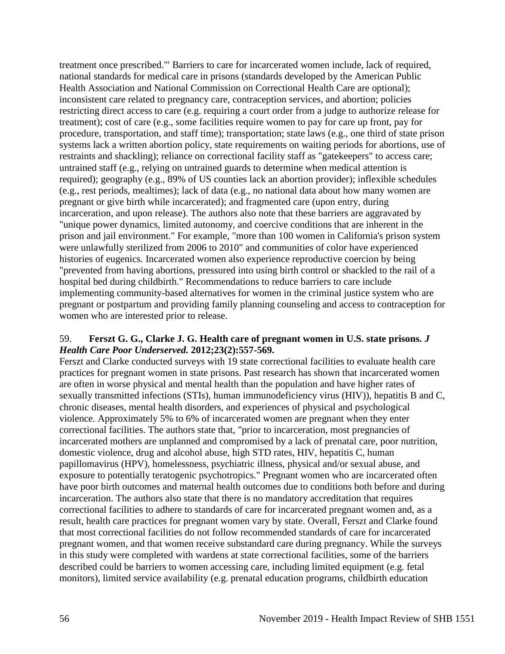treatment once prescribed.'" Barriers to care for incarcerated women include, lack of required, national standards for medical care in prisons (standards developed by the American Public Health Association and National Commission on Correctional Health Care are optional); inconsistent care related to pregnancy care, contraception services, and abortion; policies restricting direct access to care (e.g. requiring a court order from a judge to authorize release for treatment); cost of care (e.g., some facilities require women to pay for care up front, pay for procedure, transportation, and staff time); transportation; state laws (e.g., one third of state prison systems lack a written abortion policy, state requirements on waiting periods for abortions, use of restraints and shackling); reliance on correctional facility staff as "gatekeepers" to access care; untrained staff (e.g., relying on untrained guards to determine when medical attention is required); geography (e.g., 89% of US counties lack an abortion provider); inflexible schedules (e.g., rest periods, mealtimes); lack of data (e.g., no national data about how many women are pregnant or give birth while incarcerated); and fragmented care (upon entry, during incarceration, and upon release). The authors also note that these barriers are aggravated by "unique power dynamics, limited autonomy, and coercive conditions that are inherent in the prison and jail environment." For example, "more than 100 women in California's prison system were unlawfully sterilized from 2006 to 2010" and communities of color have experienced histories of eugenics. Incarcerated women also experience reproductive coercion by being "prevented from having abortions, pressured into using birth control or shackled to the rail of a hospital bed during childbirth." Recommendations to reduce barriers to care include implementing community-based alternatives for women in the criminal justice system who are pregnant or postpartum and providing family planning counseling and access to contraception for women who are interested prior to release.

## 59. **Ferszt G. G., Clarke J. G. Health care of pregnant women in U.S. state prisons.** *J Health Care Poor Underserved.* **2012;23(2):557-569.**

Ferszt and Clarke conducted surveys with 19 state correctional facilities to evaluate health care practices for pregnant women in state prisons. Past research has shown that incarcerated women are often in worse physical and mental health than the population and have higher rates of sexually transmitted infections (STIs), human immunodeficiency virus (HIV)), hepatitis B and C, chronic diseases, mental health disorders, and experiences of physical and psychological violence. Approximately 5% to 6% of incarcerated women are pregnant when they enter correctional facilities. The authors state that, "prior to incarceration, most pregnancies of incarcerated mothers are unplanned and compromised by a lack of prenatal care, poor nutrition, domestic violence, drug and alcohol abuse, high STD rates, HIV, hepatitis C, human papillomavirus (HPV), homelessness, psychiatric illness, physical and/or sexual abuse, and exposure to potentially teratogenic psychotropics." Pregnant women who are incarcerated often have poor birth outcomes and maternal health outcomes due to conditions both before and during incarceration. The authors also state that there is no mandatory accreditation that requires correctional facilities to adhere to standards of care for incarcerated pregnant women and, as a result, health care practices for pregnant women vary by state. Overall, Ferszt and Clarke found that most correctional facilities do not follow recommended standards of care for incarcerated pregnant women, and that women receive substandard care during pregnancy. While the surveys in this study were completed with wardens at state correctional facilities, some of the barriers described could be barriers to women accessing care, including limited equipment (e.g. fetal monitors), limited service availability (e.g. prenatal education programs, childbirth education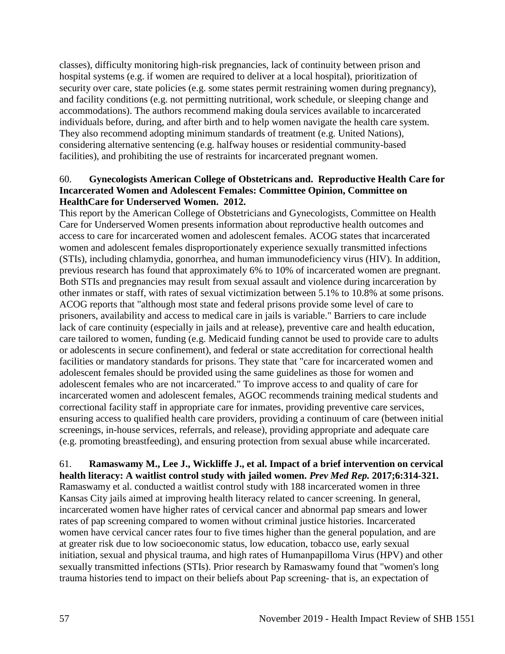classes), difficulty monitoring high-risk pregnancies, lack of continuity between prison and hospital systems (e.g. if women are required to deliver at a local hospital), prioritization of security over care, state policies (e.g. some states permit restraining women during pregnancy), and facility conditions (e.g. not permitting nutritional, work schedule, or sleeping change and accommodations). The authors recommend making doula services available to incarcerated individuals before, during, and after birth and to help women navigate the health care system. They also recommend adopting minimum standards of treatment (e.g. United Nations), considering alternative sentencing (e.g. halfway houses or residential community-based facilities), and prohibiting the use of restraints for incarcerated pregnant women.

## 60. **Gynecologists American College of Obstetricans and. Reproductive Health Care for Incarcerated Women and Adolescent Females: Committee Opinion, Committee on HealthCare for Underserved Women. 2012.**

This report by the American College of Obstetricians and Gynecologists, Committee on Health Care for Underserved Women presents information about reproductive health outcomes and access to care for incarcerated women and adolescent females. ACOG states that incarcerated women and adolescent females disproportionately experience sexually transmitted infections (STIs), including chlamydia, gonorrhea, and human immunodeficiency virus (HIV). In addition, previous research has found that approximately 6% to 10% of incarcerated women are pregnant. Both STIs and pregnancies may result from sexual assault and violence during incarceration by other inmates or staff, with rates of sexual victimization between 5.1% to 10.8% at some prisons. ACOG reports that "although most state and federal prisons provide some level of care to prisoners, availability and access to medical care in jails is variable." Barriers to care include lack of care continuity (especially in jails and at release), preventive care and health education, care tailored to women, funding (e.g. Medicaid funding cannot be used to provide care to adults or adolescents in secure confinement), and federal or state accreditation for correctional health facilities or mandatory standards for prisons. They state that "care for incarcerated women and adolescent females should be provided using the same guidelines as those for women and adolescent females who are not incarcerated." To improve access to and quality of care for incarcerated women and adolescent females, AGOC recommends training medical students and correctional facility staff in appropriate care for inmates, providing preventive care services, ensuring access to qualified health care providers, providing a continuum of care (between initial screenings, in-house services, referrals, and release), providing appropriate and adequate care (e.g. promoting breastfeeding), and ensuring protection from sexual abuse while incarcerated.

## 61. **Ramaswamy M., Lee J., Wickliffe J., et al. Impact of a brief intervention on cervical health literacy: A waitlist control study with jailed women.** *Prev Med Rep.* **2017;6:314-321.**

Ramaswamy et al. conducted a waitlist control study with 188 incarcerated women in three Kansas City jails aimed at improving health literacy related to cancer screening. In general, incarcerated women have higher rates of cervical cancer and abnormal pap smears and lower rates of pap screening compared to women without criminal justice histories. Incarcerated women have cervical cancer rates four to five times higher than the general population, and are at greater risk due to low socioeconomic status, low education, tobacco use, early sexual initiation, sexual and physical trauma, and high rates of Humanpapilloma Virus (HPV) and other sexually transmitted infections (STIs). Prior research by Ramaswamy found that "women's long trauma histories tend to impact on their beliefs about Pap screening- that is, an expectation of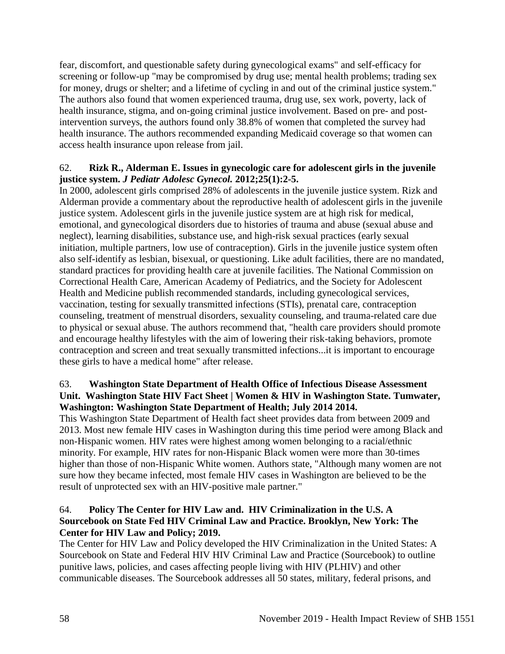fear, discomfort, and questionable safety during gynecological exams" and self-efficacy for screening or follow-up "may be compromised by drug use; mental health problems; trading sex for money, drugs or shelter; and a lifetime of cycling in and out of the criminal justice system." The authors also found that women experienced trauma, drug use, sex work, poverty, lack of health insurance, stigma, and on-going criminal justice involvement. Based on pre- and postintervention surveys, the authors found only 38.8% of women that completed the survey had health insurance. The authors recommended expanding Medicaid coverage so that women can access health insurance upon release from jail.

## 62. **Rizk R., Alderman E. Issues in gynecologic care for adolescent girls in the juvenile justice system.** *J Pediatr Adolesc Gynecol.* **2012;25(1):2-5.**

In 2000, adolescent girls comprised 28% of adolescents in the juvenile justice system. Rizk and Alderman provide a commentary about the reproductive health of adolescent girls in the juvenile justice system. Adolescent girls in the juvenile justice system are at high risk for medical, emotional, and gynecological disorders due to histories of trauma and abuse (sexual abuse and neglect), learning disabilities, substance use, and high-risk sexual practices (early sexual initiation, multiple partners, low use of contraception). Girls in the juvenile justice system often also self-identify as lesbian, bisexual, or questioning. Like adult facilities, there are no mandated, standard practices for providing health care at juvenile facilities. The National Commission on Correctional Health Care, American Academy of Pediatrics, and the Society for Adolescent Health and Medicine publish recommended standards, including gynecological services, vaccination, testing for sexually transmitted infections (STIs), prenatal care, contraception counseling, treatment of menstrual disorders, sexuality counseling, and trauma-related care due to physical or sexual abuse. The authors recommend that, "health care providers should promote and encourage healthy lifestyles with the aim of lowering their risk-taking behaviors, promote contraception and screen and treat sexually transmitted infections...it is important to encourage these girls to have a medical home" after release.

## 63. **Washington State Department of Health Office of Infectious Disease Assessment Unit. Washington State HIV Fact Sheet | Women & HIV in Washington State. Tumwater, Washington: Washington State Department of Health; July 2014 2014.**

This Washington State Department of Health fact sheet provides data from between 2009 and 2013. Most new female HIV cases in Washington during this time period were among Black and non-Hispanic women. HIV rates were highest among women belonging to a racial/ethnic minority. For example, HIV rates for non-Hispanic Black women were more than 30-times higher than those of non-Hispanic White women. Authors state, "Although many women are not sure how they became infected, most female HIV cases in Washington are believed to be the result of unprotected sex with an HIV-positive male partner."

## 64. **Policy The Center for HIV Law and. HIV Criminalization in the U.S. A Sourcebook on State Fed HIV Criminal Law and Practice. Brooklyn, New York: The Center for HIV Law and Policy; 2019.**

The Center for HIV Law and Policy developed the HIV Criminalization in the United States: A Sourcebook on State and Federal HIV HIV Criminal Law and Practice (Sourcebook) to outline punitive laws, policies, and cases affecting people living with HIV (PLHIV) and other communicable diseases. The Sourcebook addresses all 50 states, military, federal prisons, and